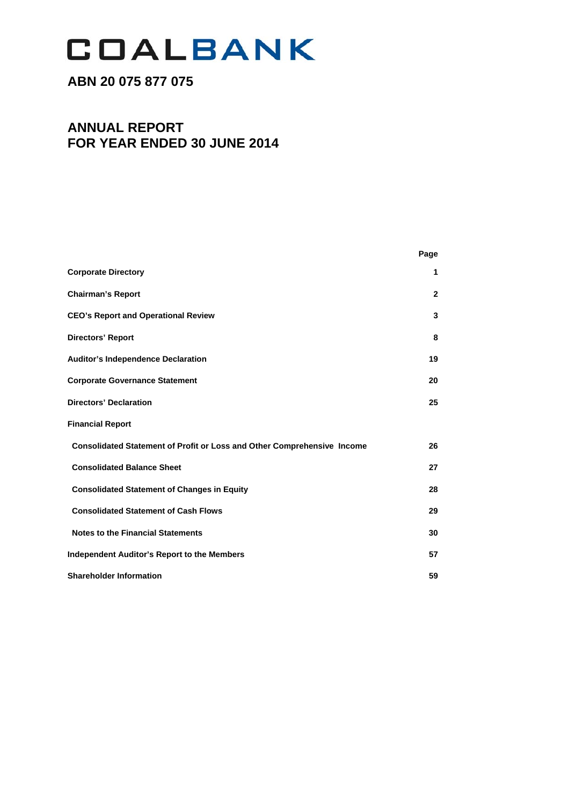## **ABN 20 075 877 075**

## **ANNUAL REPORT FOR YEAR ENDED 30 JUNE 2014**

|                                                                                | Page         |
|--------------------------------------------------------------------------------|--------------|
| <b>Corporate Directory</b>                                                     | 1            |
| <b>Chairman's Report</b>                                                       | $\mathbf{2}$ |
| <b>CEO's Report and Operational Review</b>                                     | 3            |
| <b>Directors' Report</b>                                                       | 8            |
| <b>Auditor's Independence Declaration</b>                                      | 19           |
| <b>Corporate Governance Statement</b>                                          | 20           |
| <b>Directors' Declaration</b>                                                  | 25           |
| <b>Financial Report</b>                                                        |              |
| <b>Consolidated Statement of Profit or Loss and Other Comprehensive Income</b> | 26           |
| <b>Consolidated Balance Sheet</b>                                              | 27           |
| <b>Consolidated Statement of Changes in Equity</b>                             | 28           |
| <b>Consolidated Statement of Cash Flows</b>                                    | 29           |
| <b>Notes to the Financial Statements</b>                                       | 30           |
| <b>Independent Auditor's Report to the Members</b>                             | 57           |
| <b>Shareholder Information</b>                                                 | 59           |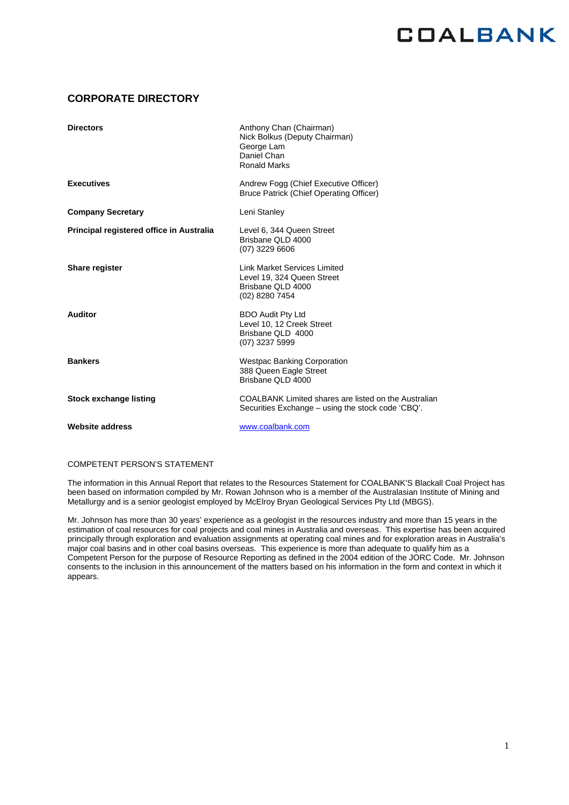## **CORPORATE DIRECTORY**

| <b>Directors</b>                         | Anthony Chan (Chairman)<br>Nick Bolkus (Deputy Chairman)<br>George Lam<br>Daniel Chan<br><b>Ronald Marks</b> |
|------------------------------------------|--------------------------------------------------------------------------------------------------------------|
| <b>Executives</b>                        | Andrew Fogg (Chief Executive Officer)<br>Bruce Patrick (Chief Operating Officer)                             |
| <b>Company Secretary</b>                 | Leni Stanley                                                                                                 |
| Principal registered office in Australia | Level 6, 344 Queen Street<br>Brisbane QLD 4000<br>$(07)$ 3229 6606                                           |
| <b>Share register</b>                    | <b>Link Market Services Limited</b><br>Level 19, 324 Queen Street<br>Brisbane QLD 4000<br>(02) 8280 7454     |
| Auditor                                  | <b>BDO Audit Pty Ltd</b><br>Level 10, 12 Creek Street<br>Brisbane QLD 4000<br>(07) 3237 5999                 |
| <b>Bankers</b>                           | <b>Westpac Banking Corporation</b><br>388 Queen Eagle Street<br>Brisbane QLD 4000                            |
| <b>Stock exchange listing</b>            | COALBANK Limited shares are listed on the Australian<br>Securities Exchange – using the stock code 'CBQ'.    |
| <b>Website address</b>                   | www.coalbank.com                                                                                             |

#### COMPETENT PERSON'S STATEMENT

The information in this Annual Report that relates to the Resources Statement for COALBANK'S Blackall Coal Project has been based on information compiled by Mr. Rowan Johnson who is a member of the Australasian Institute of Mining and Metallurgy and is a senior geologist employed by McElroy Bryan Geological Services Pty Ltd (MBGS).

Mr. Johnson has more than 30 years' experience as a geologist in the resources industry and more than 15 years in the estimation of coal resources for coal projects and coal mines in Australia and overseas. This expertise has been acquired principally through exploration and evaluation assignments at operating coal mines and for exploration areas in Australia's major coal basins and in other coal basins overseas. This experience is more than adequate to qualify him as a Competent Person for the purpose of Resource Reporting as defined in the 2004 edition of the JORC Code. Mr. Johnson consents to the inclusion in this announcement of the matters based on his information in the form and context in which it appears.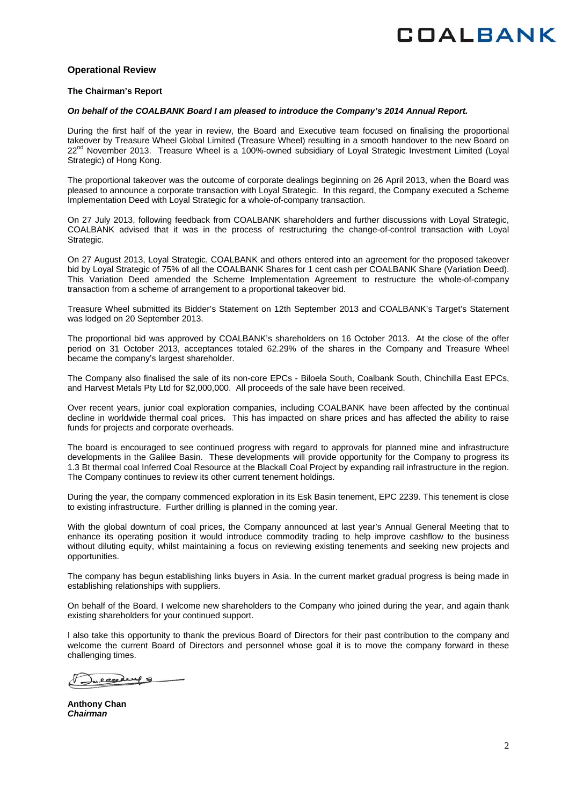### **Operational Review**

#### **The Chairman's Report**

#### *On behalf of the COALBANK Board I am pleased to introduce the Company's 2014 Annual Report.*

During the first half of the year in review, the Board and Executive team focused on finalising the proportional takeover by Treasure Wheel Global Limited (Treasure Wheel) resulting in a smooth handover to the new Board on 22<sup>nd</sup> November 2013. Treasure Wheel is a 100%-owned subsidiary of Loyal Strategic Investment Limited (Loyal Strategic) of Hong Kong.

The proportional takeover was the outcome of corporate dealings beginning on 26 April 2013, when the Board was pleased to announce a corporate transaction with Loyal Strategic. In this regard, the Company executed a Scheme Implementation Deed with Loyal Strategic for a whole-of-company transaction.

On 27 July 2013, following feedback from COALBANK shareholders and further discussions with Loyal Strategic, COALBANK advised that it was in the process of restructuring the change-of-control transaction with Loyal Strategic.

On 27 August 2013, Loyal Strategic, COALBANK and others entered into an agreement for the proposed takeover bid by Loyal Strategic of 75% of all the COALBANK Shares for 1 cent cash per COALBANK Share (Variation Deed). This Variation Deed amended the Scheme Implementation Agreement to restructure the whole-of-company transaction from a scheme of arrangement to a proportional takeover bid.

Treasure Wheel submitted its Bidder's Statement on 12th September 2013 and COALBANK's Target's Statement was lodged on 20 September 2013.

The proportional bid was approved by COALBANK's shareholders on 16 October 2013. At the close of the offer period on 31 October 2013, acceptances totaled 62.29% of the shares in the Company and Treasure Wheel became the company's largest shareholder.

The Company also finalised the sale of its non-core EPCs - Biloela South, Coalbank South, Chinchilla East EPCs, and Harvest Metals Pty Ltd for \$2,000,000. All proceeds of the sale have been received.

Over recent years, junior coal exploration companies, including COALBANK have been affected by the continual decline in worldwide thermal coal prices. This has impacted on share prices and has affected the ability to raise funds for projects and corporate overheads.

The board is encouraged to see continued progress with regard to approvals for planned mine and infrastructure developments in the Galilee Basin. These developments will provide opportunity for the Company to progress its 1.3 Bt thermal coal Inferred Coal Resource at the Blackall Coal Project by expanding rail infrastructure in the region. The Company continues to review its other current tenement holdings.

During the year, the company commenced exploration in its Esk Basin tenement, EPC 2239. This tenement is close to existing infrastructure. Further drilling is planned in the coming year.

With the global downturn of coal prices, the Company announced at last year's Annual General Meeting that to enhance its operating position it would introduce commodity trading to help improve cashflow to the business without diluting equity, whilst maintaining a focus on reviewing existing tenements and seeking new projects and opportunities.

The company has begun establishing links buyers in Asia. In the current market gradual progress is being made in establishing relationships with suppliers.

On behalf of the Board, I welcome new shareholders to the Company who joined during the year, and again thank existing shareholders for your continued support.

I also take this opportunity to thank the previous Board of Directors for their past contribution to the company and welcome the current Board of Directors and personnel whose goal it is to move the company forward in these challenging times.

reagaing

**Anthony Chan**  *Chairman*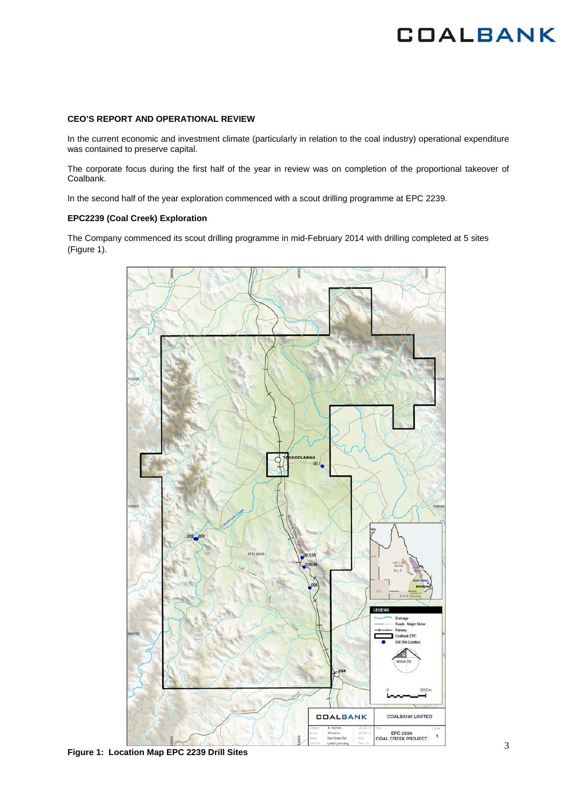### **CEO'S REPORT AND OPERATIONAL REVIEW**

In the current economic and investment climate (particularly in relation to the coal industry) operational expenditure was contained to preserve capital.

The corporate focus during the first half of the year in review was on completion of the proportional takeover of Coalbank.

In the second half of the year exploration commenced with a scout drilling programme at EPC 2239.

### **EPC2239 (Coal Creek) Exploration**

The Company commenced its scout drilling programme in mid-February 2014 with drilling completed at 5 sites (Figure 1).



**Figure 1: Location Map EPC 2239 Drill Sites**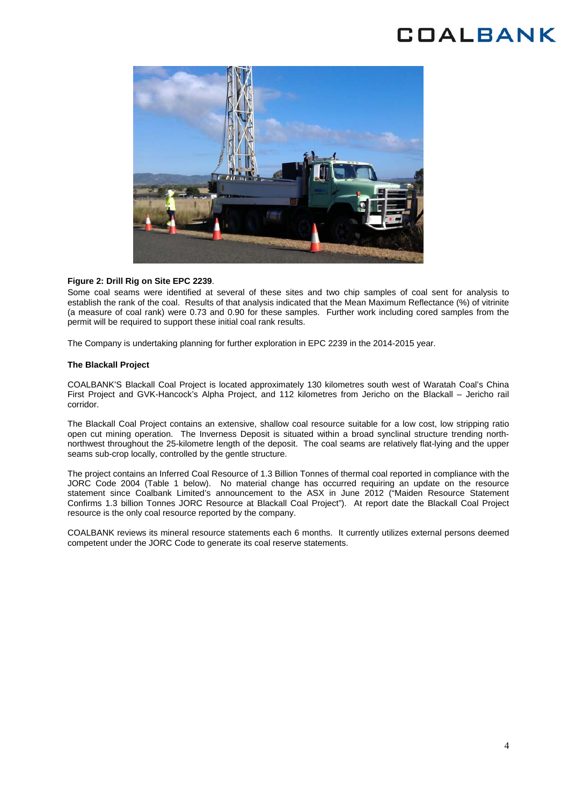

### **Figure 2: Drill Rig on Site EPC 2239**.

Some coal seams were identified at several of these sites and two chip samples of coal sent for analysis to establish the rank of the coal. Results of that analysis indicated that the Mean Maximum Reflectance (%) of vitrinite (a measure of coal rank) were 0.73 and 0.90 for these samples. Further work including cored samples from the permit will be required to support these initial coal rank results.

The Company is undertaking planning for further exploration in EPC 2239 in the 2014-2015 year.

#### **The Blackall Project**

COALBANK'S Blackall Coal Project is located approximately 130 kilometres south west of Waratah Coal's China First Project and GVK-Hancock's Alpha Project, and 112 kilometres from Jericho on the Blackall – Jericho rail corridor.

The Blackall Coal Project contains an extensive, shallow coal resource suitable for a low cost, low stripping ratio open cut mining operation. The Inverness Deposit is situated within a broad synclinal structure trending northnorthwest throughout the 25-kilometre length of the deposit. The coal seams are relatively flat-lying and the upper seams sub-crop locally, controlled by the gentle structure.

The project contains an Inferred Coal Resource of 1.3 Billion Tonnes of thermal coal reported in compliance with the JORC Code 2004 (Table 1 below). No material change has occurred requiring an update on the resource statement since Coalbank Limited's announcement to the ASX in June 2012 ("Maiden Resource Statement Confirms 1.3 billion Tonnes JORC Resource at Blackall Coal Project"). At report date the Blackall Coal Project resource is the only coal resource reported by the company.

COALBANK reviews its mineral resource statements each 6 months. It currently utilizes external persons deemed competent under the JORC Code to generate its coal reserve statements.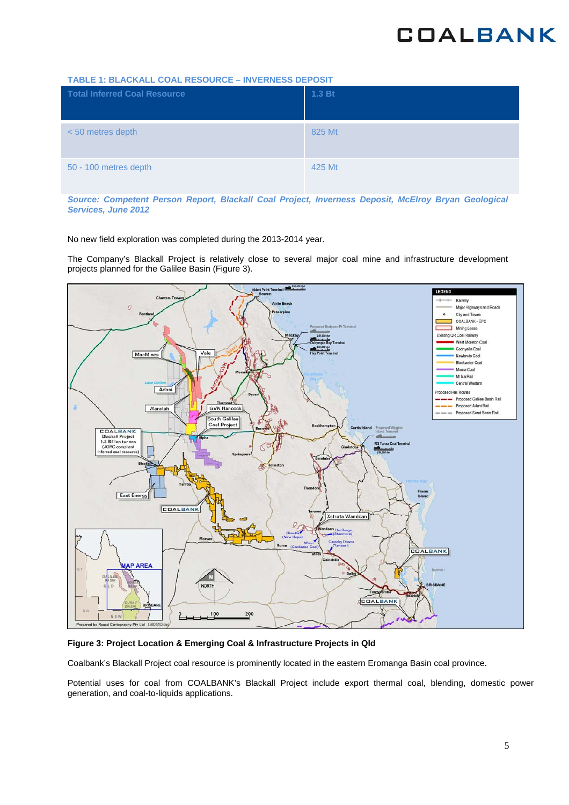### **TABLE 1: BLACKALL COAL RESOURCE – INVERNESS DEPOSIT**

| <b>Total Inferred Coal Resource</b> | 1.3 Bt |
|-------------------------------------|--------|
| < 50 metres depth                   | 825 Mt |
| 50 - 100 metres depth               | 425 Mt |

*Source: Competent Person Report, Blackall Coal Project, Inverness Deposit, McElroy Bryan Geological Services, June 2012* 

No new field exploration was completed during the 2013-2014 year.

The Company's Blackall Project is relatively close to several major coal mine and infrastructure development projects planned for the Galilee Basin (Figure 3).



**Figure 3: Project Location & Emerging Coal & Infrastructure Projects in Qld** 

Coalbank's Blackall Project coal resource is prominently located in the eastern Eromanga Basin coal province.

Potential uses for coal from COALBANK's Blackall Project include export thermal coal, blending, domestic power generation, and coal-to-liquids applications.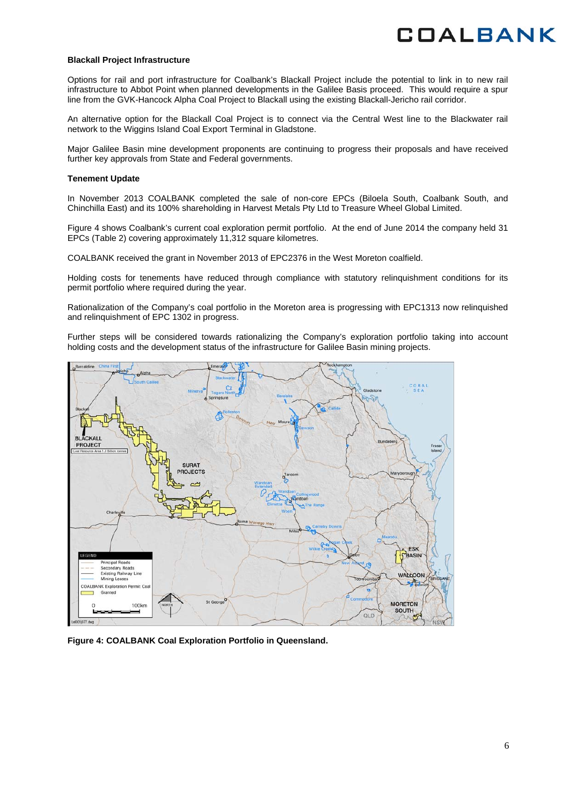#### **Blackall Project Infrastructure**

Options for rail and port infrastructure for Coalbank's Blackall Project include the potential to link in to new rail infrastructure to Abbot Point when planned developments in the Galilee Basis proceed. This would require a spur line from the GVK-Hancock Alpha Coal Project to Blackall using the existing Blackall-Jericho rail corridor.

An alternative option for the Blackall Coal Project is to connect via the Central West line to the Blackwater rail network to the Wiggins Island Coal Export Terminal in Gladstone.

Major Galilee Basin mine development proponents are continuing to progress their proposals and have received further key approvals from State and Federal governments.

#### **Tenement Update**

In November 2013 COALBANK completed the sale of non-core EPCs (Biloela South, Coalbank South, and Chinchilla East) and its 100% shareholding in Harvest Metals Pty Ltd to Treasure Wheel Global Limited.

Figure 4 shows Coalbank's current coal exploration permit portfolio. At the end of June 2014 the company held 31 EPCs (Table 2) covering approximately 11,312 square kilometres.

COALBANK received the grant in November 2013 of EPC2376 in the West Moreton coalfield.

Holding costs for tenements have reduced through compliance with statutory relinquishment conditions for its permit portfolio where required during the year.

Rationalization of the Company's coal portfolio in the Moreton area is progressing with EPC1313 now relinquished and relinquishment of EPC 1302 in progress.

Further steps will be considered towards rationalizing the Company's exploration portfolio taking into account holding costs and the development status of the infrastructure for Galilee Basin mining projects.



**Figure 4: COALBANK Coal Exploration Portfolio in Queensland.**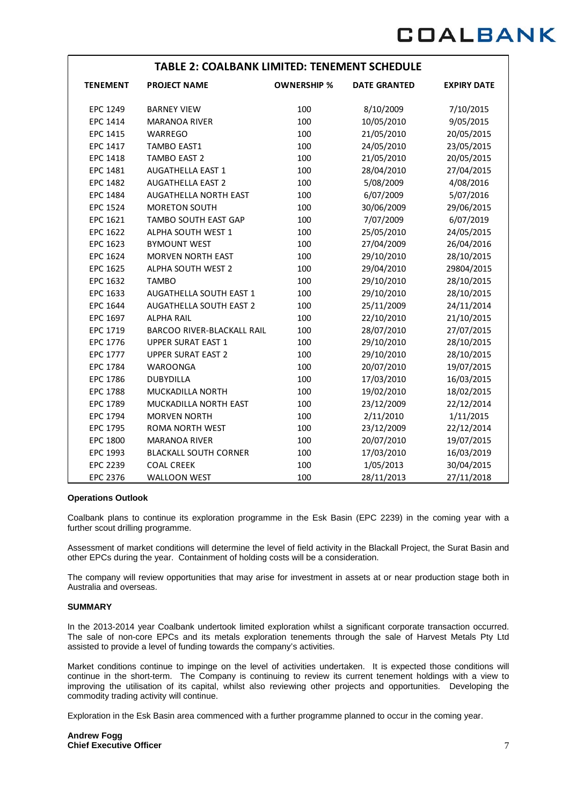| <b>TABLE 2: COALBANK LIMITED: TENEMENT SCHEDULE</b> |                                |                    |                     |                    |
|-----------------------------------------------------|--------------------------------|--------------------|---------------------|--------------------|
| <b>TENEMENT</b>                                     | <b>PROJECT NAME</b>            | <b>OWNERSHIP %</b> | <b>DATE GRANTED</b> | <b>EXPIRY DATE</b> |
| <b>EPC 1249</b>                                     | <b>BARNEY VIEW</b>             | 100                | 8/10/2009           | 7/10/2015          |
| <b>EPC 1414</b>                                     | <b>MARANOA RIVER</b>           | 100                | 10/05/2010          | 9/05/2015          |
| <b>EPC 1415</b>                                     | <b>WARREGO</b>                 | 100                | 21/05/2010          | 20/05/2015         |
| <b>EPC 1417</b>                                     | <b>TAMBO EAST1</b>             | 100                | 24/05/2010          | 23/05/2015         |
| <b>EPC 1418</b>                                     | <b>TAMBO EAST 2</b>            | 100                | 21/05/2010          | 20/05/2015         |
| <b>EPC 1481</b>                                     | <b>AUGATHELLA EAST 1</b>       | 100                | 28/04/2010          | 27/04/2015         |
| <b>EPC 1482</b>                                     | <b>AUGATHELLA EAST 2</b>       | 100                | 5/08/2009           | 4/08/2016          |
| <b>EPC 1484</b>                                     | AUGATHELLA NORTH EAST          | 100                | 6/07/2009           | 5/07/2016          |
| <b>EPC 1524</b>                                     | <b>MORETON SOUTH</b>           | 100                | 30/06/2009          | 29/06/2015         |
| EPC 1621                                            | TAMBO SOUTH EAST GAP           | 100                | 7/07/2009           | 6/07/2019          |
| <b>EPC 1622</b>                                     | ALPHA SOUTH WEST 1             | 100                | 25/05/2010          | 24/05/2015         |
| <b>EPC 1623</b>                                     | <b>BYMOUNT WEST</b>            | 100                | 27/04/2009          | 26/04/2016         |
| <b>EPC 1624</b>                                     | MORVEN NORTH EAST              | 100                | 29/10/2010          | 28/10/2015         |
| <b>EPC 1625</b>                                     | ALPHA SOUTH WEST 2             | 100                | 29/04/2010          | 29804/2015         |
| <b>EPC 1632</b>                                     | <b>TAMBO</b>                   | 100                | 29/10/2010          | 28/10/2015         |
| <b>EPC 1633</b>                                     | AUGATHELLA SOUTH EAST 1        | 100                | 29/10/2010          | 28/10/2015         |
| EPC 1644                                            | <b>AUGATHELLA SOUTH EAST 2</b> | 100                | 25/11/2009          | 24/11/2014         |
| EPC 1697                                            | <b>ALPHA RAIL</b>              | 100                | 22/10/2010          | 21/10/2015         |
| <b>EPC 1719</b>                                     | BARCOO RIVER-BLACKALL RAIL     | 100                | 28/07/2010          | 27/07/2015         |
| <b>EPC 1776</b>                                     | <b>UPPER SURAT EAST 1</b>      | 100                | 29/10/2010          | 28/10/2015         |
| <b>EPC 1777</b>                                     | <b>UPPER SURAT EAST 2</b>      | 100                | 29/10/2010          | 28/10/2015         |
| <b>EPC 1784</b>                                     | <b>WAROONGA</b>                | 100                | 20/07/2010          | 19/07/2015         |
| <b>EPC 1786</b>                                     | <b>DUBYDILLA</b>               | 100                | 17/03/2010          | 16/03/2015         |
| <b>EPC 1788</b>                                     | MUCKADILLA NORTH               | 100                | 19/02/2010          | 18/02/2015         |
| <b>EPC 1789</b>                                     | MUCKADILLA NORTH EAST          | 100                | 23/12/2009          | 22/12/2014         |
| <b>EPC 1794</b>                                     | <b>MORVEN NORTH</b>            | 100                | 2/11/2010           | 1/11/2015          |
| <b>EPC 1795</b>                                     | ROMA NORTH WEST                | 100                | 23/12/2009          | 22/12/2014         |
| <b>EPC 1800</b>                                     | <b>MARANOA RIVER</b>           | 100                | 20/07/2010          | 19/07/2015         |
| EPC 1993                                            | <b>BLACKALL SOUTH CORNER</b>   | 100                | 17/03/2010          | 16/03/2019         |
| <b>EPC 2239</b>                                     | <b>COAL CREEK</b>              | 100                | 1/05/2013           | 30/04/2015         |
| <b>EPC 2376</b>                                     | WALLOON WEST                   | 100                | 28/11/2013          | 27/11/2018         |

#### **Operations Outlook**

Coalbank plans to continue its exploration programme in the Esk Basin (EPC 2239) in the coming year with a further scout drilling programme.

Assessment of market conditions will determine the level of field activity in the Blackall Project, the Surat Basin and other EPCs during the year. Containment of holding costs will be a consideration.

The company will review opportunities that may arise for investment in assets at or near production stage both in Australia and overseas.

#### **SUMMARY**

In the 2013-2014 year Coalbank undertook limited exploration whilst a significant corporate transaction occurred. The sale of non-core EPCs and its metals exploration tenements through the sale of Harvest Metals Pty Ltd assisted to provide a level of funding towards the company's activities.

Market conditions continue to impinge on the level of activities undertaken. It is expected those conditions will continue in the short-term. The Company is continuing to review its current tenement holdings with a view to improving the utilisation of its capital, whilst also reviewing other projects and opportunities. Developing the commodity trading activity will continue.

Exploration in the Esk Basin area commenced with a further programme planned to occur in the coming year.

**Andrew Fogg Chief Executive Officer**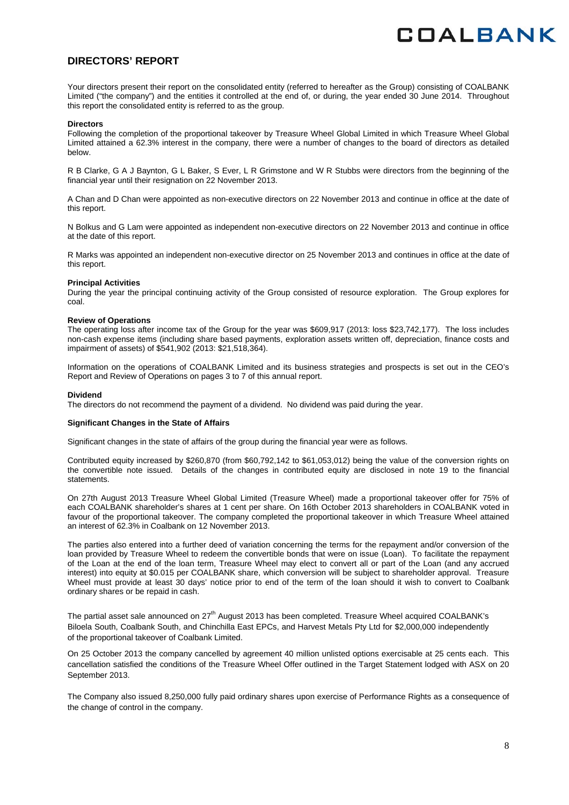## **DALBANK**

## **DIRECTORS' REPORT**

Your directors present their report on the consolidated entity (referred to hereafter as the Group) consisting of COALBANK Limited ("the company") and the entities it controlled at the end of, or during, the year ended 30 June 2014. Throughout this report the consolidated entity is referred to as the group.

#### **Directors**

Following the completion of the proportional takeover by Treasure Wheel Global Limited in which Treasure Wheel Global Limited attained a 62.3% interest in the company, there were a number of changes to the board of directors as detailed below.

R B Clarke, G A J Baynton, G L Baker, S Ever, L R Grimstone and W R Stubbs were directors from the beginning of the financial year until their resignation on 22 November 2013.

A Chan and D Chan were appointed as non-executive directors on 22 November 2013 and continue in office at the date of this report.

N Bolkus and G Lam were appointed as independent non-executive directors on 22 November 2013 and continue in office at the date of this report.

R Marks was appointed an independent non-executive director on 25 November 2013 and continues in office at the date of this report.

#### **Principal Activities**

During the year the principal continuing activity of the Group consisted of resource exploration. The Group explores for coal.

#### **Review of Operations**

The operating loss after income tax of the Group for the year was \$609,917 (2013: loss \$23,742,177). The loss includes non-cash expense items (including share based payments, exploration assets written off, depreciation, finance costs and impairment of assets) of \$541,902 (2013: \$21,518,364).

Information on the operations of COALBANK Limited and its business strategies and prospects is set out in the CEO's Report and Review of Operations on pages 3 to 7 of this annual report.

#### **Dividend**

The directors do not recommend the payment of a dividend. No dividend was paid during the year.

#### **Significant Changes in the State of Affairs**

Significant changes in the state of affairs of the group during the financial year were as follows.

Contributed equity increased by \$260,870 (from \$60,792,142 to \$61,053,012) being the value of the conversion rights on the convertible note issued. Details of the changes in contributed equity are disclosed in note 19 to the financial statements.

On 27th August 2013 Treasure Wheel Global Limited (Treasure Wheel) made a proportional takeover offer for 75% of each COALBANK shareholder's shares at 1 cent per share. On 16th October 2013 shareholders in COALBANK voted in favour of the proportional takeover. The company completed the proportional takeover in which Treasure Wheel attained an interest of 62.3% in Coalbank on 12 November 2013.

The parties also entered into a further deed of variation concerning the terms for the repayment and/or conversion of the loan provided by Treasure Wheel to redeem the convertible bonds that were on issue (Loan). To facilitate the repayment of the Loan at the end of the loan term, Treasure Wheel may elect to convert all or part of the Loan (and any accrued interest) into equity at \$0.015 per COALBANK share, which conversion will be subject to shareholder approval. Treasure Wheel must provide at least 30 days' notice prior to end of the term of the loan should it wish to convert to Coalbank ordinary shares or be repaid in cash.

The partial asset sale announced on 27<sup>th</sup> August 2013 has been completed. Treasure Wheel acquired COALBANK's Biloela South, Coalbank South, and Chinchilla East EPCs, and Harvest Metals Pty Ltd for \$2,000,000 independently of the proportional takeover of Coalbank Limited.

On 25 October 2013 the company cancelled by agreement 40 million unlisted options exercisable at 25 cents each. This cancellation satisfied the conditions of the Treasure Wheel Offer outlined in the Target Statement lodged with ASX on 20 September 2013.

The Company also issued 8,250,000 fully paid ordinary shares upon exercise of Performance Rights as a consequence of the change of control in the company.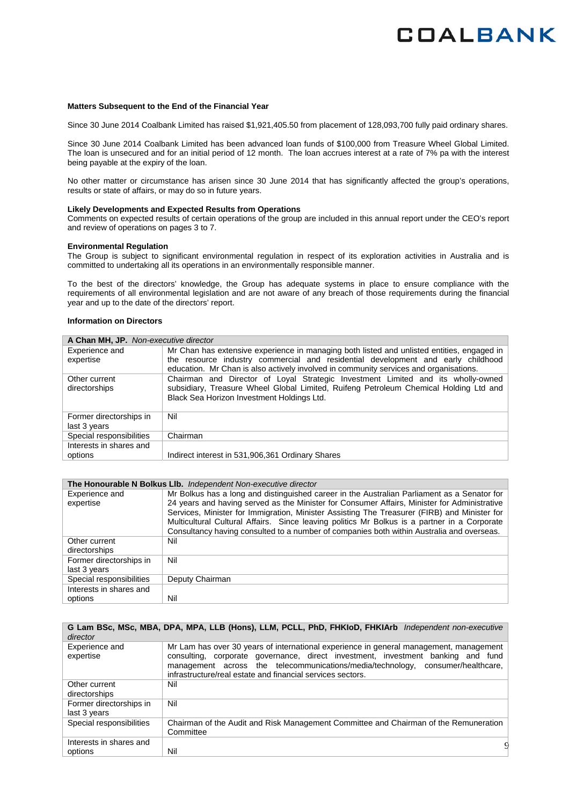#### **Matters Subsequent to the End of the Financial Year**

Since 30 June 2014 Coalbank Limited has raised \$1,921,405.50 from placement of 128,093,700 fully paid ordinary shares.

Since 30 June 2014 Coalbank Limited has been advanced loan funds of \$100,000 from Treasure Wheel Global Limited. The loan is unsecured and for an initial period of 12 month. The loan accrues interest at a rate of 7% pa with the interest being payable at the expiry of the loan.

No other matter or circumstance has arisen since 30 June 2014 that has significantly affected the group's operations, results or state of affairs, or may do so in future years.

#### **Likely Developments and Expected Results from Operations**

Comments on expected results of certain operations of the group are included in this annual report under the CEO's report and review of operations on pages 3 to 7.

#### **Environmental Regulation**

The Group is subject to significant environmental regulation in respect of its exploration activities in Australia and is committed to undertaking all its operations in an environmentally responsible manner.

To the best of the directors' knowledge, the Group has adequate systems in place to ensure compliance with the requirements of all environmental legislation and are not aware of any breach of those requirements during the financial year and up to the date of the directors' report.

#### **Information on Directors**

| A Chan MH, JP. Non-executive director |                                                                                                                                                                                                                         |
|---------------------------------------|-------------------------------------------------------------------------------------------------------------------------------------------------------------------------------------------------------------------------|
| Experience and                        | Mr Chan has extensive experience in managing both listed and unlisted entities, engaged in                                                                                                                              |
| expertise                             | the resource industry commercial and residential development and early childhood                                                                                                                                        |
|                                       | education. Mr Chan is also actively involved in community services and organisations.                                                                                                                                   |
| Other current<br>directorships        | Chairman and Director of Loyal Strategic Investment Limited and its wholly-owned<br>subsidiary, Treasure Wheel Global Limited, Ruifeng Petroleum Chemical Holding Ltd and<br>Black Sea Horizon Investment Holdings Ltd. |
| Former directorships in               | Nil                                                                                                                                                                                                                     |
| last 3 years                          |                                                                                                                                                                                                                         |
| Special responsibilities              | Chairman                                                                                                                                                                                                                |
| Interests in shares and               |                                                                                                                                                                                                                         |
| options                               | Indirect interest in 531,906,361 Ordinary Shares                                                                                                                                                                        |

|                          | The Honourable N Bolkus Lib. Independent Non-executive director                              |
|--------------------------|----------------------------------------------------------------------------------------------|
| Experience and           | Mr Bolkus has a long and distinguished career in the Australian Parliament as a Senator for  |
| expertise                | 24 years and having served as the Minister for Consumer Affairs, Minister for Administrative |
|                          | Services, Minister for Immigration, Minister Assisting The Treasurer (FIRB) and Minister for |
|                          | Multicultural Cultural Affairs. Since leaving politics Mr Bolkus is a partner in a Corporate |
|                          | Consultancy having consulted to a number of companies both within Australia and overseas.    |
| Other current            | Nil                                                                                          |
| directorships            |                                                                                              |
| Former directorships in  | Nil                                                                                          |
| last 3 years             |                                                                                              |
| Special responsibilities | Deputy Chairman                                                                              |
| Interests in shares and  |                                                                                              |
| options                  | Nil                                                                                          |

#### 9 **G Lam BSc, MSc, MBA, DPA, MPA, LLB (Hons), LLM, PCLL, PhD, FHKIoD, FHKIArb** *Independent non-executive director* Experience and expertise Mr Lam has over 30 years of international experience in general management, management consulting, corporate governance, direct investment, investment banking and fund management across the telecommunications/media/technology, consumer/healthcare, infrastructure/real estate and financial services sectors. Other current directorships Nil Former directorships in last 3 years<br>Special responsibilities Nil Chairman of the Audit and Risk Management Committee and Chairman of the Remuneration **Committee** Interests in shares and options Nil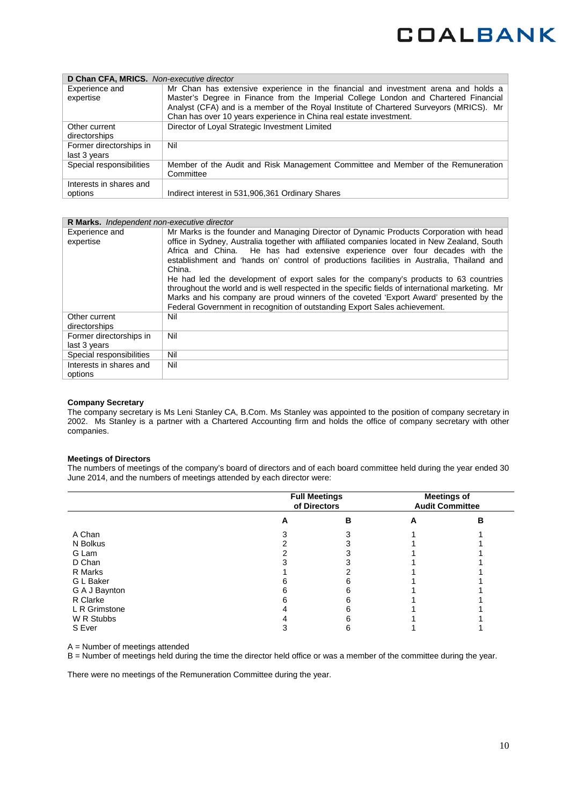| D Chan CFA, MRICS. Non-executive director |                                                                                         |
|-------------------------------------------|-----------------------------------------------------------------------------------------|
| Experience and                            | Mr Chan has extensive experience in the financial and investment arena and holds a      |
| expertise                                 | Master's Degree in Finance from the Imperial College London and Chartered Financial     |
|                                           | Analyst (CFA) and is a member of the Royal Institute of Chartered Surveyors (MRICS). Mr |
|                                           | Chan has over 10 years experience in China real estate investment.                      |
| Other current                             | Director of Loyal Strategic Investment Limited                                          |
| directorships                             |                                                                                         |
| Former directorships in                   | Nil                                                                                     |
| last 3 years                              |                                                                                         |
| Special responsibilities                  | Member of the Audit and Risk Management Committee and Member of the Remuneration        |
|                                           | Committee                                                                               |
| Interests in shares and                   |                                                                                         |
| options                                   | Indirect interest in 531,906,361 Ordinary Shares                                        |

| R Marks. Independent non-executive director |                                                                                                                                                                                                                                                                                                                                                                                                                                                                                                                                                                                                                                                                                                                                                     |  |  |  |
|---------------------------------------------|-----------------------------------------------------------------------------------------------------------------------------------------------------------------------------------------------------------------------------------------------------------------------------------------------------------------------------------------------------------------------------------------------------------------------------------------------------------------------------------------------------------------------------------------------------------------------------------------------------------------------------------------------------------------------------------------------------------------------------------------------------|--|--|--|
| Experience and<br>expertise                 | Mr Marks is the founder and Managing Director of Dynamic Products Corporation with head<br>office in Sydney, Australia together with affiliated companies located in New Zealand, South<br>Africa and China. He has had extensive experience over four decades with the<br>establishment and 'hands on' control of productions facilities in Australia, Thailand and<br>China.<br>He had led the development of export sales for the company's products to 63 countries<br>throughout the world and is well respected in the specific fields of international marketing. Mr<br>Marks and his company are proud winners of the coveted 'Export Award' presented by the<br>Federal Government in recognition of outstanding Export Sales achievement. |  |  |  |
| Other current<br>directorships              | Nil                                                                                                                                                                                                                                                                                                                                                                                                                                                                                                                                                                                                                                                                                                                                                 |  |  |  |
| Former directorships in<br>last 3 years     | Nil                                                                                                                                                                                                                                                                                                                                                                                                                                                                                                                                                                                                                                                                                                                                                 |  |  |  |
| Special responsibilities                    | Nil                                                                                                                                                                                                                                                                                                                                                                                                                                                                                                                                                                                                                                                                                                                                                 |  |  |  |
| Interests in shares and<br>options          | Nil                                                                                                                                                                                                                                                                                                                                                                                                                                                                                                                                                                                                                                                                                                                                                 |  |  |  |

### **Company Secretary**

The company secretary is Ms Leni Stanley CA, B.Com. Ms Stanley was appointed to the position of company secretary in 2002. Ms Stanley is a partner with a Chartered Accounting firm and holds the office of company secretary with other companies.

#### **Meetings of Directors**

The numbers of meetings of the company's board of directors and of each board committee held during the year ended 30 June 2014, and the numbers of meetings attended by each director were:

|               | <b>Full Meetings</b><br>of Directors |   | <b>Meetings of</b><br><b>Audit Committee</b> |   |
|---------------|--------------------------------------|---|----------------------------------------------|---|
|               | A                                    | в |                                              | R |
| A Chan        |                                      |   |                                              |   |
| N Bolkus      |                                      |   |                                              |   |
| G Lam         |                                      |   |                                              |   |
| D Chan        |                                      |   |                                              |   |
| R Marks       |                                      |   |                                              |   |
| G L Baker     |                                      |   |                                              |   |
| G A J Baynton |                                      |   |                                              |   |
| R Clarke      |                                      |   |                                              |   |
| L R Grimstone |                                      |   |                                              |   |
| W R Stubbs    |                                      |   |                                              |   |
| S Ever        |                                      |   |                                              |   |

A = Number of meetings attended

B = Number of meetings held during the time the director held office or was a member of the committee during the year.

There were no meetings of the Remuneration Committee during the year.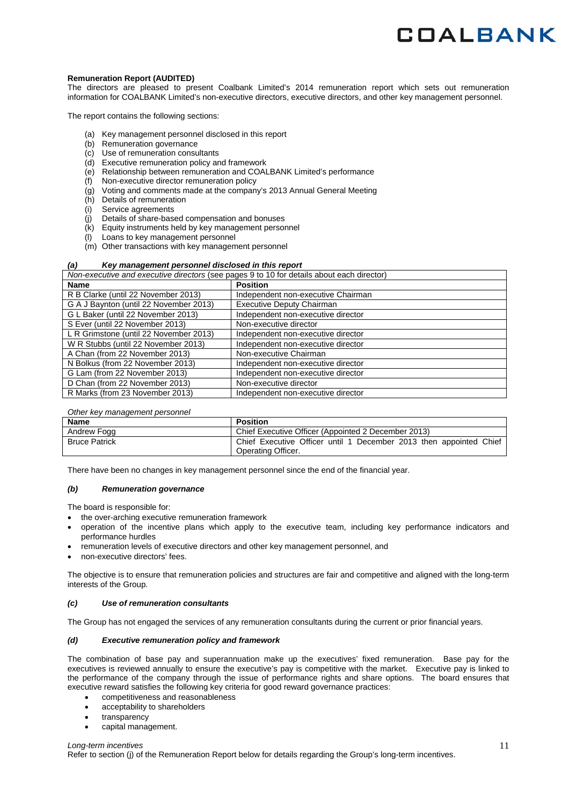#### **Remuneration Report (AUDITED)**

The directors are pleased to present Coalbank Limited's 2014 remuneration report which sets out remuneration information for COALBANK Limited's non-executive directors, executive directors, and other key management personnel.

The report contains the following sections:

- (a) Key management personnel disclosed in this report
- (b) Remuneration governance
- (c) Use of remuneration consultants
- (d) Executive remuneration policy and framework
- (e) Relationship between remuneration and COALBANK Limited's performance
- (f) Non-executive director remuneration policy
- (g) Voting and comments made at the company's 2013 Annual General Meeting
- (h) Details of remuneration
- (i) Service agreements
- (j) Details of share-based compensation and bonuses
- (k) Equity instruments held by key management personnel
- (l) Loans to key management personnel
- (m) Other transactions with key management personnel

#### *(a) Key management personnel disclosed in this report*

| Non-executive and executive directors (see pages 9 to 10 for details about each director) |                                    |  |
|-------------------------------------------------------------------------------------------|------------------------------------|--|
| <b>Name</b>                                                                               | <b>Position</b>                    |  |
| R B Clarke (until 22 November 2013)                                                       | Independent non-executive Chairman |  |
| G A J Baynton (until 22 November 2013)                                                    | <b>Executive Deputy Chairman</b>   |  |
| G L Baker (until 22 November 2013)                                                        | Independent non-executive director |  |
| S Ever (until 22 November 2013)                                                           | Non-executive director             |  |
| L R Grimstone (until 22 November 2013)                                                    | Independent non-executive director |  |
| W R Stubbs (until 22 November 2013)                                                       | Independent non-executive director |  |
| A Chan (from 22 November 2013)                                                            | Non-executive Chairman             |  |
| N Bolkus (from 22 November 2013)                                                          | Independent non-executive director |  |
| G Lam (from 22 November 2013)                                                             | Independent non-executive director |  |
| D Chan (from 22 November 2013)                                                            | Non-executive director             |  |
| R Marks (from 23 November 2013)                                                           | Independent non-executive director |  |

*Other key management personnel* 

| <b>Name</b>          | <b>Position</b>                                                                          |
|----------------------|------------------------------------------------------------------------------------------|
| Andrew Fogg          | Chief Executive Officer (Appointed 2 December 2013)                                      |
| <b>Bruce Patrick</b> | Chief Executive Officer until 1 December 2013 then appointed Chief<br>Operating Officer. |

There have been no changes in key management personnel since the end of the financial year.

#### *(b) Remuneration governance*

The board is responsible for:

- the over-arching executive remuneration framework
- operation of the incentive plans which apply to the executive team, including key performance indicators and performance hurdles
- remuneration levels of executive directors and other key management personnel, and
- non-executive directors' fees.

The objective is to ensure that remuneration policies and structures are fair and competitive and aligned with the long-term interests of the Group.

#### *(c) Use of remuneration consultants*

The Group has not engaged the services of any remuneration consultants during the current or prior financial years.

#### *(d) Executive remuneration policy and framework*

The combination of base pay and superannuation make up the executives' fixed remuneration. Base pay for the executives is reviewed annually to ensure the executive's pay is competitive with the market. Executive pay is linked to the performance of the company through the issue of performance rights and share options. The board ensures that executive reward satisfies the following key criteria for good reward governance practices:

- competitiveness and reasonableness
- acceptability to shareholders
- transparency
- capital management.

*Long-term incentives* 

Refer to section (j) of the Remuneration Report below for details regarding the Group's long-term incentives.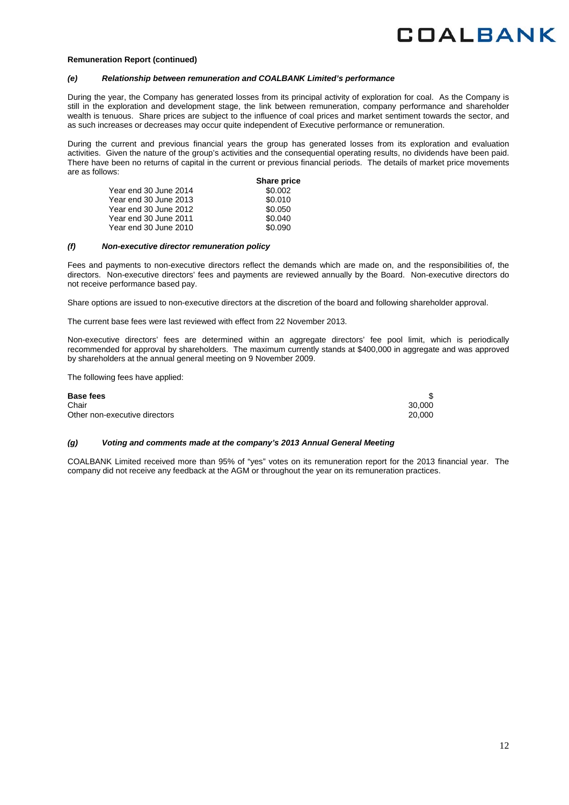#### **Remuneration Report (continued)**

#### *(e) Relationship between remuneration and COALBANK Limited's performance*

During the year, the Company has generated losses from its principal activity of exploration for coal. As the Company is still in the exploration and development stage, the link between remuneration, company performance and shareholder wealth is tenuous. Share prices are subject to the influence of coal prices and market sentiment towards the sector, and as such increases or decreases may occur quite independent of Executive performance or remuneration.

During the current and previous financial years the group has generated losses from its exploration and evaluation activities. Given the nature of the group's activities and the consequential operating results, no dividends have been paid. There have been no returns of capital in the current or previous financial periods. The details of market price movements are as follows:

|                       | <b>Share price</b> |
|-----------------------|--------------------|
| Year end 30 June 2014 | \$0.002            |
| Year end 30 June 2013 | \$0.010            |
| Year end 30 June 2012 | \$0.050            |
| Year end 30 June 2011 | \$0.040            |
| Year end 30 June 2010 | \$0.090            |

#### *(f) Non-executive director remuneration policy*

Fees and payments to non-executive directors reflect the demands which are made on, and the responsibilities of, the directors. Non-executive directors' fees and payments are reviewed annually by the Board. Non-executive directors do not receive performance based pay.

Share options are issued to non-executive directors at the discretion of the board and following shareholder approval.

The current base fees were last reviewed with effect from 22 November 2013.

Non-executive directors' fees are determined within an aggregate directors' fee pool limit, which is periodically recommended for approval by shareholders. The maximum currently stands at \$400,000 in aggregate and was approved by shareholders at the annual general meeting on 9 November 2009.

The following fees have applied:

| <b>Base fees</b>              |        |
|-------------------------------|--------|
| Chair                         | 30,000 |
| Other non-executive directors | 20,000 |

#### *(g) Voting and comments made at the company's 2013 Annual General Meeting*

COALBANK Limited received more than 95% of "yes" votes on its remuneration report for the 2013 financial year. The company did not receive any feedback at the AGM or throughout the year on its remuneration practices.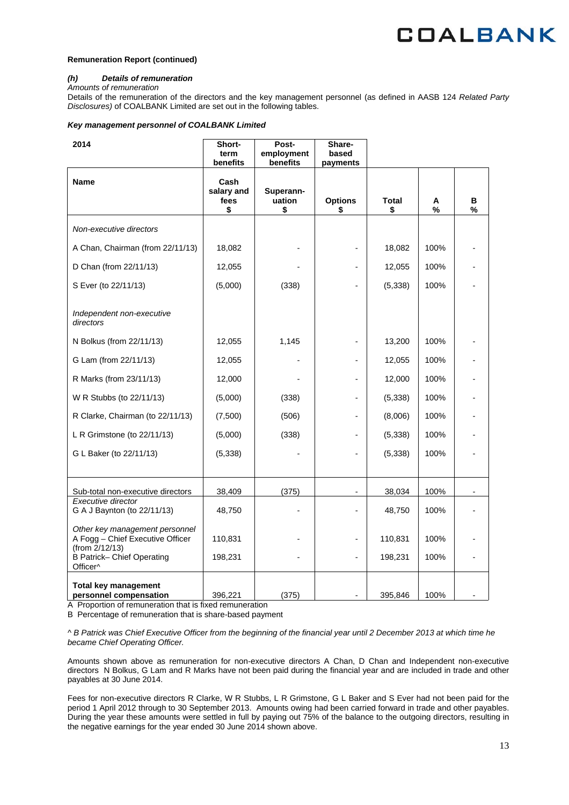#### **Remuneration Report (continued)**

#### *(h) Details of remuneration*

*Amounts of remuneration* 

Details of the remuneration of the directors and the key management personnel (as defined in AASB 124 *Related Party Disclosures)* of COALBANK Limited are set out in the following tables.

#### *Key management personnel of COALBANK Limited*

| 2014                                                                                                                           | Short-<br>term<br>benefits       | Post-<br>employment<br>benefits | Share-<br>based<br>payments |                    |              |        |
|--------------------------------------------------------------------------------------------------------------------------------|----------------------------------|---------------------------------|-----------------------------|--------------------|--------------|--------|
| <b>Name</b>                                                                                                                    | Cash<br>salary and<br>fees<br>\$ | Superann-<br>uation<br>\$       | <b>Options</b><br>\$        | <b>Total</b><br>\$ | A<br>%       | В<br>% |
| Non-executive directors                                                                                                        |                                  |                                 |                             |                    |              |        |
| A Chan, Chairman (from 22/11/13)                                                                                               | 18,082                           |                                 | $\overline{\phantom{a}}$    | 18,082             | 100%         |        |
| D Chan (from 22/11/13)                                                                                                         | 12,055                           |                                 |                             | 12,055             | 100%         |        |
| S Ever (to 22/11/13)                                                                                                           | (5,000)                          | (338)                           |                             | (5,338)            | 100%         |        |
| Independent non-executive<br>directors                                                                                         |                                  |                                 |                             |                    |              |        |
| N Bolkus (from 22/11/13)                                                                                                       | 12,055                           | 1,145                           |                             | 13,200             | 100%         |        |
| G Lam (from 22/11/13)                                                                                                          | 12,055                           |                                 |                             | 12,055             | 100%         |        |
| R Marks (from 23/11/13)                                                                                                        | 12,000                           |                                 |                             | 12,000             | 100%         |        |
| W R Stubbs (to 22/11/13)                                                                                                       | (5,000)                          | (338)                           |                             | (5, 338)           | 100%         |        |
| R Clarke, Chairman (to 22/11/13)                                                                                               | (7,500)                          | (506)                           |                             | (8,006)            | 100%         |        |
| L R Grimstone (to $22/11/13$ )                                                                                                 | (5,000)                          | (338)                           |                             | (5,338)            | 100%         |        |
| G L Baker (to 22/11/13)                                                                                                        | (5,338)                          |                                 | $\overline{a}$              | (5,338)            | 100%         |        |
|                                                                                                                                |                                  |                                 |                             |                    |              |        |
| Sub-total non-executive directors                                                                                              | 38,409                           | (375)                           |                             | 38,034             | 100%         |        |
| Executive director<br>G A J Baynton (to 22/11/13)                                                                              | 48,750                           |                                 |                             | 48,750             | 100%         |        |
| Other key management personnel<br>A Fogg - Chief Executive Officer<br>(from 2/12/13)<br>B Patrick- Chief Operating<br>Officer^ | 110,831<br>198,231               |                                 |                             | 110,831<br>198,231 | 100%<br>100% |        |
| Total key management<br>personnel compensation                                                                                 | 396,221                          | (375)                           |                             | 395,846            | 100%         |        |

A Proportion of remuneration that is fixed remuneration

B Percentage of remuneration that is share-based payment

*^ B Patrick was Chief Executive Officer from the beginning of the financial year until 2 December 2013 at which time he became Chief Operating Officer.* 

Amounts shown above as remuneration for non-executive directors A Chan, D Chan and Independent non-executive directors N Bolkus, G Lam and R Marks have not been paid during the financial year and are included in trade and other payables at 30 June 2014.

Fees for non-executive directors R Clarke, W R Stubbs, L R Grimstone, G L Baker and S Ever had not been paid for the period 1 April 2012 through to 30 September 2013. Amounts owing had been carried forward in trade and other payables. During the year these amounts were settled in full by paying out 75% of the balance to the outgoing directors, resulting in the negative earnings for the year ended 30 June 2014 shown above.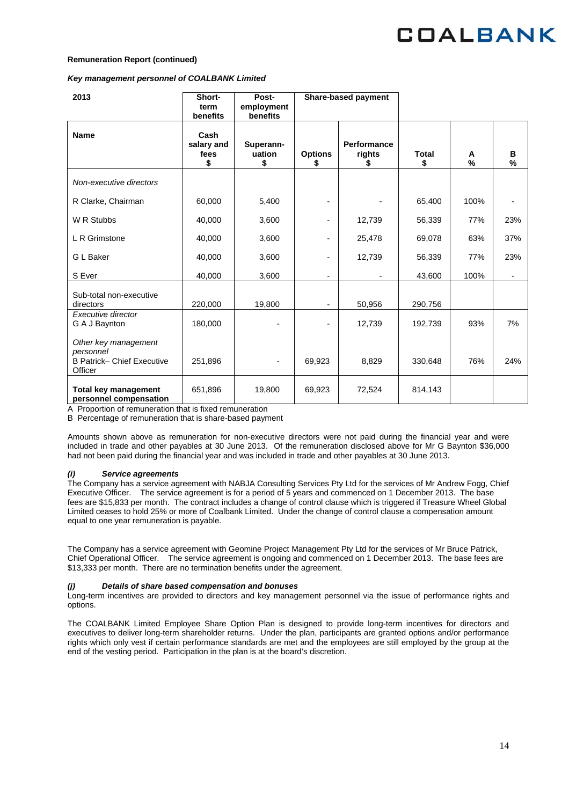#### **Remuneration Report (continued)**

#### *Key management personnel of COALBANK Limited*

| 2013                                                                              | Short-<br>term                         | Post-<br>employment             |                          | Share-based payment   |              |      |     |
|-----------------------------------------------------------------------------------|----------------------------------------|---------------------------------|--------------------------|-----------------------|--------------|------|-----|
| <b>Name</b>                                                                       | benefits<br>Cash<br>salary and<br>fees | benefits<br>Superann-<br>uation | <b>Options</b>           | Performance<br>rights | <b>Total</b> | A    | В   |
|                                                                                   | \$                                     | \$                              | \$                       | \$                    | \$           | %    | %   |
| Non-executive directors                                                           |                                        |                                 |                          |                       |              |      |     |
| R Clarke, Chairman                                                                | 60,000                                 | 5,400                           |                          |                       | 65,400       | 100% |     |
| W R Stubbs                                                                        | 40,000                                 | 3,600                           | $\overline{a}$           | 12,739                | 56,339       | 77%  | 23% |
| L R Grimstone                                                                     | 40,000                                 | 3,600                           | ۰                        | 25,478                | 69,078       | 63%  | 37% |
| G L Baker                                                                         | 40,000                                 | 3,600                           | $\overline{\phantom{a}}$ | 12,739                | 56,339       | 77%  | 23% |
| S Ever                                                                            | 40,000                                 | 3,600                           | $\overline{\phantom{a}}$ |                       | 43,600       | 100% |     |
| Sub-total non-executive<br>directors                                              | 220,000                                | 19,800                          | $\overline{\phantom{a}}$ | 50,956                | 290,756      |      |     |
| Executive director<br>G A J Baynton                                               | 180,000                                |                                 |                          | 12,739                | 192,739      | 93%  | 7%  |
| Other key management<br>personnel<br><b>B Patrick- Chief Executive</b><br>Officer | 251,896                                |                                 | 69,923                   | 8,829                 | 330,648      | 76%  | 24% |
| <b>Total key management</b><br>personnel compensation                             | 651,896                                | 19,800                          | 69,923                   | 72,524                | 814,143      |      |     |

A Proportion of remuneration that is fixed remuneration

B Percentage of remuneration that is share-based payment

Amounts shown above as remuneration for non-executive directors were not paid during the financial year and were included in trade and other payables at 30 June 2013. Of the remuneration disclosed above for Mr G Baynton \$36,000 had not been paid during the financial year and was included in trade and other payables at 30 June 2013.

#### *(i) Service agreements*

The Company has a service agreement with NABJA Consulting Services Pty Ltd for the services of Mr Andrew Fogg, Chief Executive Officer. The service agreement is for a period of 5 years and commenced on 1 December 2013. The base fees are \$15,833 per month. The contract includes a change of control clause which is triggered if Treasure Wheel Global Limited ceases to hold 25% or more of Coalbank Limited. Under the change of control clause a compensation amount equal to one year remuneration is payable.

The Company has a service agreement with Geomine Project Management Pty Ltd for the services of Mr Bruce Patrick, Chief Operational Officer. The service agreement is ongoing and commenced on 1 December 2013. The base fees are \$13,333 per month. There are no termination benefits under the agreement.

#### *(j) Details of share based compensation and bonuses*

Long-term incentives are provided to directors and key management personnel via the issue of performance rights and options.

The COALBANK Limited Employee Share Option Plan is designed to provide long-term incentives for directors and executives to deliver long-term shareholder returns. Under the plan, participants are granted options and/or performance rights which only vest if certain performance standards are met and the employees are still employed by the group at the end of the vesting period. Participation in the plan is at the board's discretion.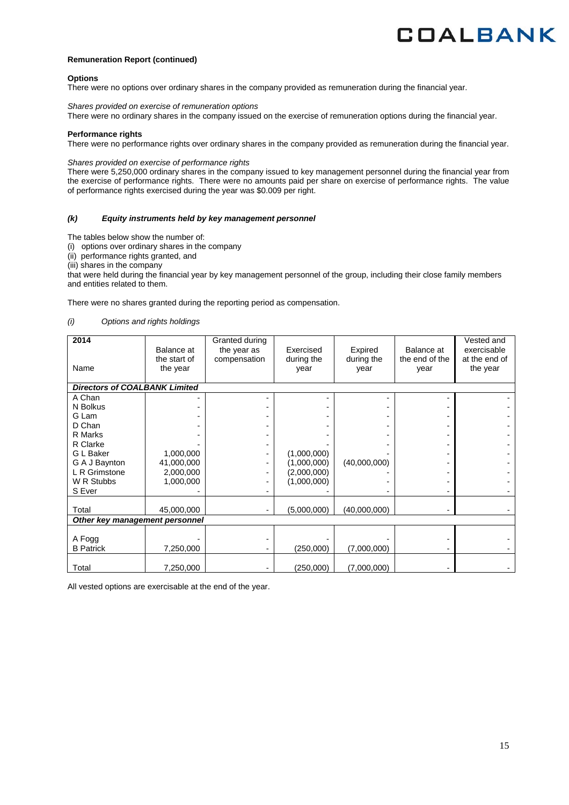#### **Remuneration Report (continued)**

### **Options**

There were no options over ordinary shares in the company provided as remuneration during the financial year.

*Shares provided on exercise of remuneration options* 

There were no ordinary shares in the company issued on the exercise of remuneration options during the financial year.

#### **Performance rights**

There were no performance rights over ordinary shares in the company provided as remuneration during the financial year.

#### *Shares provided on exercise of performance rights*

There were 5,250,000 ordinary shares in the company issued to key management personnel during the financial year from the exercise of performance rights. There were no amounts paid per share on exercise of performance rights. The value of performance rights exercised during the year was \$0.009 per right.

#### *(k) Equity instruments held by key management personnel*

The tables below show the number of:

(i) options over ordinary shares in the company

(ii) performance rights granted, and

(iii) shares in the company

that were held during the financial year by key management personnel of the group, including their close family members and entities related to them.

There were no shares granted during the reporting period as compensation.

#### *(i) Options and rights holdings*

| 2014<br>Name                         | Balance at<br>the start of<br>the year | Granted during<br>the year as<br>compensation | Exercised<br>during the<br>year | Expired<br>during the<br>year | Balance at<br>the end of the<br>year | Vested and<br>exercisable<br>at the end of<br>the year |
|--------------------------------------|----------------------------------------|-----------------------------------------------|---------------------------------|-------------------------------|--------------------------------------|--------------------------------------------------------|
| <b>Directors of COALBANK Limited</b> |                                        |                                               |                                 |                               |                                      |                                                        |
| A Chan                               |                                        |                                               |                                 |                               |                                      |                                                        |
| N Bolkus                             |                                        |                                               |                                 |                               |                                      |                                                        |
| G Lam                                |                                        |                                               |                                 |                               |                                      |                                                        |
| D Chan                               |                                        |                                               |                                 |                               |                                      |                                                        |
| R Marks                              |                                        |                                               |                                 |                               |                                      |                                                        |
| R Clarke                             |                                        |                                               |                                 |                               |                                      |                                                        |
| G L Baker                            | 1,000,000                              |                                               | (1,000,000)                     |                               |                                      |                                                        |
| G A J Baynton                        | 41,000,000                             |                                               | (1,000,000)                     | (40,000,000)                  |                                      |                                                        |
| L R Grimstone                        | 2,000,000                              |                                               | (2,000,000)                     |                               |                                      |                                                        |
| W R Stubbs                           | 1,000,000                              |                                               | (1,000,000)                     |                               |                                      |                                                        |
| S Ever                               |                                        |                                               |                                 |                               |                                      |                                                        |
|                                      |                                        |                                               |                                 |                               |                                      |                                                        |
| Total                                | 45,000,000                             |                                               | (5,000,000)                     | (40,000,000)                  |                                      |                                                        |
| Other key management personnel       |                                        |                                               |                                 |                               |                                      |                                                        |
|                                      |                                        |                                               |                                 |                               |                                      |                                                        |
| A Fogg                               |                                        |                                               |                                 |                               |                                      |                                                        |
| <b>B</b> Patrick                     | 7,250,000                              |                                               | (250,000)                       | (7,000,000)                   |                                      |                                                        |
| Total                                | 7,250,000                              |                                               | (250,000)                       | (7,000,000)                   |                                      |                                                        |

All vested options are exercisable at the end of the year.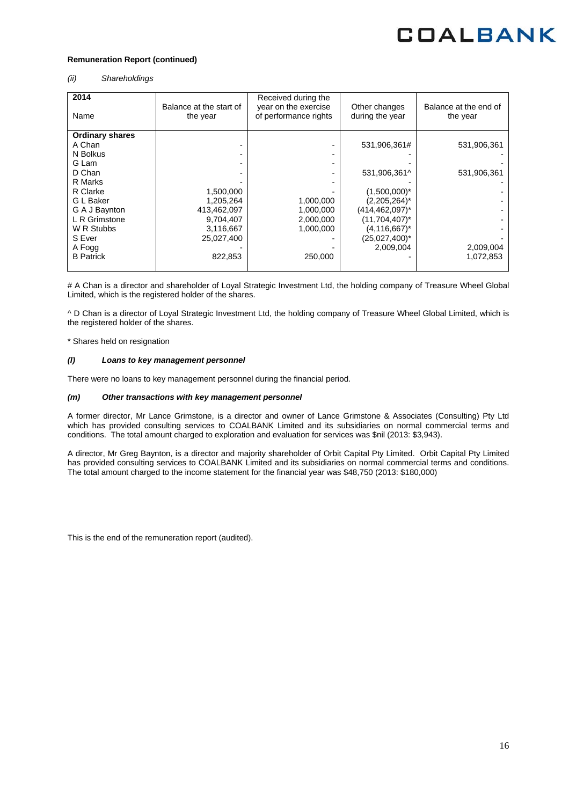#### **Remuneration Report (continued)**

#### *(ii) Shareholdings*

| 2014<br>Name           | Balance at the start of<br>the year | Received during the<br>year on the exercise<br>of performance rights | Other changes<br>during the year | Balance at the end of<br>the year |
|------------------------|-------------------------------------|----------------------------------------------------------------------|----------------------------------|-----------------------------------|
| <b>Ordinary shares</b> |                                     |                                                                      |                                  |                                   |
| A Chan                 |                                     |                                                                      | 531,906,361#                     | 531,906,361                       |
| N Bolkus               |                                     |                                                                      |                                  |                                   |
| G Lam                  |                                     |                                                                      |                                  |                                   |
| D Chan                 |                                     |                                                                      | 531,906,361^                     | 531,906,361                       |
| R Marks                |                                     |                                                                      |                                  |                                   |
| R Clarke               | 1,500,000                           |                                                                      | $(1,500,000)^*$                  |                                   |
| G L Baker              | 1,205,264                           | 1,000,000                                                            | $(2,205,264)^*$                  |                                   |
| G A J Baynton          | 413,462,097                         | 1,000,000                                                            | $(414, 462, 097)^*$              |                                   |
| L R Grimstone          | 9,704,407                           | 2,000,000                                                            | $(11,704,407)^*$                 |                                   |
| W R Stubbs             | 3,116,667                           | 1,000,000                                                            | $(4, 116, 667)^*$                |                                   |
| S Ever                 | 25,027,400                          |                                                                      | $(25,027,400)^*$                 |                                   |
| A Fogg                 |                                     |                                                                      | 2,009,004                        | 2,009,004                         |
| <b>B</b> Patrick       | 822,853                             | 250,000                                                              |                                  | 1,072,853                         |
|                        |                                     |                                                                      |                                  |                                   |

# A Chan is a director and shareholder of Loyal Strategic Investment Ltd, the holding company of Treasure Wheel Global Limited, which is the registered holder of the shares.

^ D Chan is a director of Loyal Strategic Investment Ltd, the holding company of Treasure Wheel Global Limited, which is the registered holder of the shares.

\* Shares held on resignation

#### *(l) Loans to key management personnel*

There were no loans to key management personnel during the financial period.

#### *(m) Other transactions with key management personnel*

A former director, Mr Lance Grimstone, is a director and owner of Lance Grimstone & Associates (Consulting) Pty Ltd which has provided consulting services to COALBANK Limited and its subsidiaries on normal commercial terms and conditions. The total amount charged to exploration and evaluation for services was \$nil (2013: \$3,943).

A director, Mr Greg Baynton, is a director and majority shareholder of Orbit Capital Pty Limited. Orbit Capital Pty Limited has provided consulting services to COALBANK Limited and its subsidiaries on normal commercial terms and conditions. The total amount charged to the income statement for the financial year was \$48,750 (2013: \$180,000)

This is the end of the remuneration report (audited).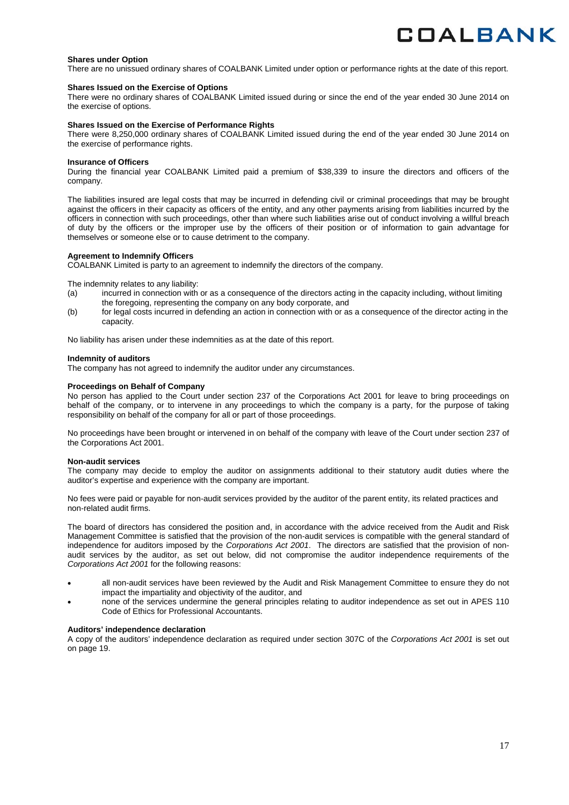## **DALBANK**

#### **Shares under Option**

There are no unissued ordinary shares of COALBANK Limited under option or performance rights at the date of this report.

#### **Shares Issued on the Exercise of Options**

There were no ordinary shares of COALBANK Limited issued during or since the end of the year ended 30 June 2014 on the exercise of options.

#### **Shares Issued on the Exercise of Performance Rights**

There were 8,250,000 ordinary shares of COALBANK Limited issued during the end of the year ended 30 June 2014 on the exercise of performance rights.

#### **Insurance of Officers**

During the financial year COALBANK Limited paid a premium of \$38,339 to insure the directors and officers of the company.

The liabilities insured are legal costs that may be incurred in defending civil or criminal proceedings that may be brought against the officers in their capacity as officers of the entity, and any other payments arising from liabilities incurred by the officers in connection with such proceedings, other than where such liabilities arise out of conduct involving a willful breach of duty by the officers or the improper use by the officers of their position or of information to gain advantage for themselves or someone else or to cause detriment to the company.

#### **Agreement to Indemnify Officers**

COALBANK Limited is party to an agreement to indemnify the directors of the company.

The indemnity relates to any liability:

- (a) incurred in connection with or as a consequence of the directors acting in the capacity including, without limiting the foregoing, representing the company on any body corporate, and
- (b) for legal costs incurred in defending an action in connection with or as a consequence of the director acting in the capacity.

No liability has arisen under these indemnities as at the date of this report.

#### **Indemnity of auditors**

The company has not agreed to indemnify the auditor under any circumstances.

#### **Proceedings on Behalf of Company**

No person has applied to the Court under section 237 of the Corporations Act 2001 for leave to bring proceedings on behalf of the company, or to intervene in any proceedings to which the company is a party, for the purpose of taking responsibility on behalf of the company for all or part of those proceedings.

No proceedings have been brought or intervened in on behalf of the company with leave of the Court under section 237 of the Corporations Act 2001.

#### **Non-audit services**

The company may decide to employ the auditor on assignments additional to their statutory audit duties where the auditor's expertise and experience with the company are important.

No fees were paid or payable for non-audit services provided by the auditor of the parent entity, its related practices and non-related audit firms.

The board of directors has considered the position and, in accordance with the advice received from the Audit and Risk Management Committee is satisfied that the provision of the non-audit services is compatible with the general standard of independence for auditors imposed by the *Corporations Act 2001*. The directors are satisfied that the provision of nonaudit services by the auditor, as set out below, did not compromise the auditor independence requirements of the *Corporations Act 2001* for the following reasons:

- all non-audit services have been reviewed by the Audit and Risk Management Committee to ensure they do not impact the impartiality and objectivity of the auditor, and
- none of the services undermine the general principles relating to auditor independence as set out in APES 110 Code of Ethics for Professional Accountants.

#### **Auditors' independence declaration**

A copy of the auditors' independence declaration as required under section 307C of the *Corporations Act 2001* is set out on page 19.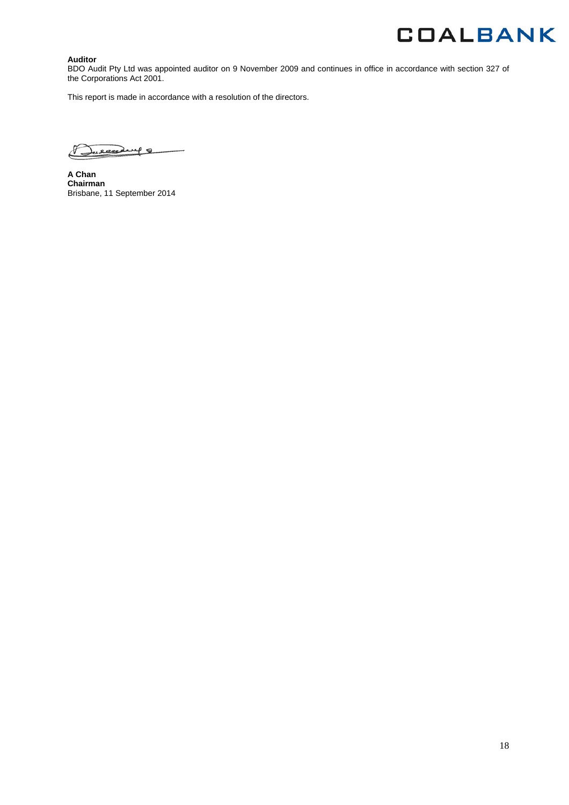#### **Auditor**

BDO Audit Pty Ltd was appointed auditor on 9 November 2009 and continues in office in accordance with section 327 of the Corporations Act 2001.

This report is made in accordance with a resolution of the directors.

 $f$ Juleadurf 8

**A Chan Chairman**  Brisbane, 11 September 2014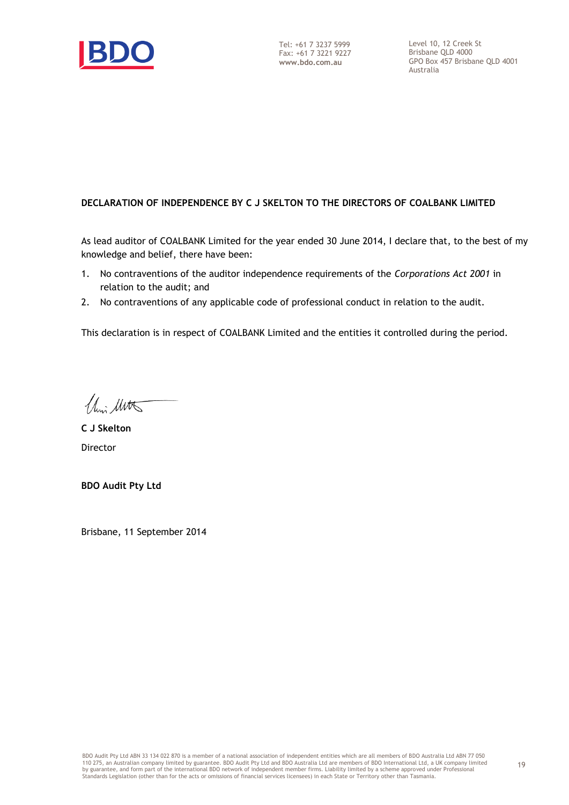

Level 10, 12 Creek St Brisbane QLD 4000 GPO Box 457 Brisbane QLD 4001 Australia

## **DECLARATION OF INDEPENDENCE BY C J SKELTON TO THE DIRECTORS OF COALBANK LIMITED**

As lead auditor of COALBANK Limited for the year ended 30 June 2014, I declare that, to the best of my knowledge and belief, there have been:

- 1. No contraventions of the auditor independence requirements of the *Corporations Act 2001* in relation to the audit; and
- 2. No contraventions of any applicable code of professional conduct in relation to the audit.

This declaration is in respect of COALBANK Limited and the entities it controlled during the period.

This little

**C J Skelton** Director

**BDO Audit Pty Ltd**

Brisbane, 11 September 2014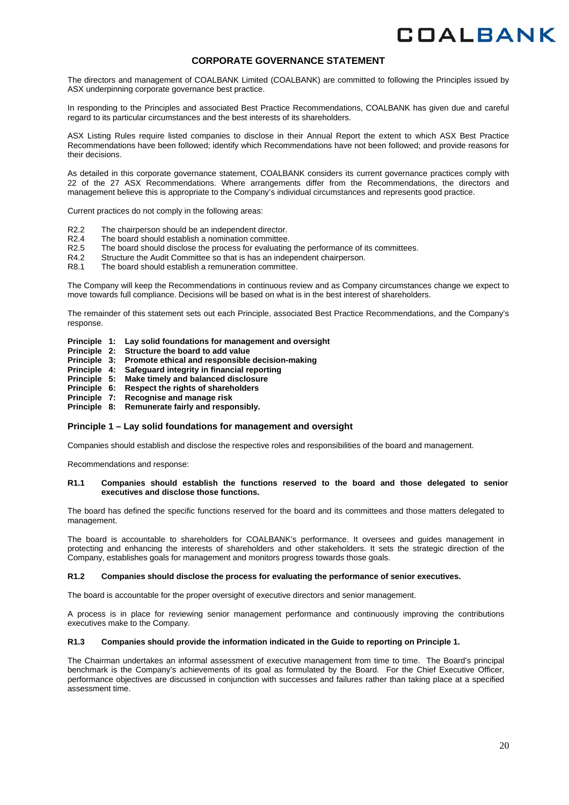### **CORPORATE GOVERNANCE STATEMENT**

The directors and management of COALBANK Limited (COALBANK) are committed to following the Principles issued by ASX underpinning corporate governance best practice.

In responding to the Principles and associated Best Practice Recommendations, COALBANK has given due and careful regard to its particular circumstances and the best interests of its shareholders.

ASX Listing Rules require listed companies to disclose in their Annual Report the extent to which ASX Best Practice Recommendations have been followed; identify which Recommendations have not been followed; and provide reasons for their decisions.

As detailed in this corporate governance statement, COALBANK considers its current governance practices comply with 22 of the 27 ASX Recommendations. Where arrangements differ from the Recommendations, the directors and management believe this is appropriate to the Company's individual circumstances and represents good practice.

Current practices do not comply in the following areas:

- R2.2 The chairperson should be an independent director.<br>R2.4 The board should establish a nomination committee
- R2.4 The board should establish a nomination committee.<br>R2.5 The board should disclose the process for evaluating
- R2.5 The board should disclose the process for evaluating the performance of its committees.<br>R4.2 Structure the Audit Committee so that is has an independent chairperson.
- R4.2 Structure the Audit Committee so that is has an independent chairperson.<br>R8.1 The board should establish a remuneration committee
- The board should establish a remuneration committee.

The Company will keep the Recommendations in continuous review and as Company circumstances change we expect to move towards full compliance. Decisions will be based on what is in the best interest of shareholders.

The remainder of this statement sets out each Principle, associated Best Practice Recommendations, and the Company's response.

- **Principle 1: Lay solid foundations for management and oversight**
- **Principle 2: Structure the board to add value**
- **Principle 3: Promote ethical and responsible decision-making**
- **Principle 4: Safeguard integrity in financial reporting**
- **Principle 5: Make timely and balanced disclosure**
- **Principle 6: Respect the rights of shareholders**
- **Recognise and manage risk**
- **Principle 8: Remunerate fairly and responsibly.**

#### **Principle 1 – Lay solid foundations for management and oversight**

Companies should establish and disclose the respective roles and responsibilities of the board and management.

Recommendations and response:

#### **R1.1 Companies should establish the functions reserved to the board and those delegated to senior executives and disclose those functions.**

The board has defined the specific functions reserved for the board and its committees and those matters delegated to management.

The board is accountable to shareholders for COALBANK's performance. It oversees and guides management in protecting and enhancing the interests of shareholders and other stakeholders. It sets the strategic direction of the Company, establishes goals for management and monitors progress towards those goals.

#### **R1.2 Companies should disclose the process for evaluating the performance of senior executives.**

The board is accountable for the proper oversight of executive directors and senior management.

A process is in place for reviewing senior management performance and continuously improving the contributions executives make to the Company.

#### **R1.3 Companies should provide the information indicated in the Guide to reporting on Principle 1.**

The Chairman undertakes an informal assessment of executive management from time to time. The Board's principal benchmark is the Company's achievements of its goal as formulated by the Board. For the Chief Executive Officer, performance objectives are discussed in conjunction with successes and failures rather than taking place at a specified assessment time.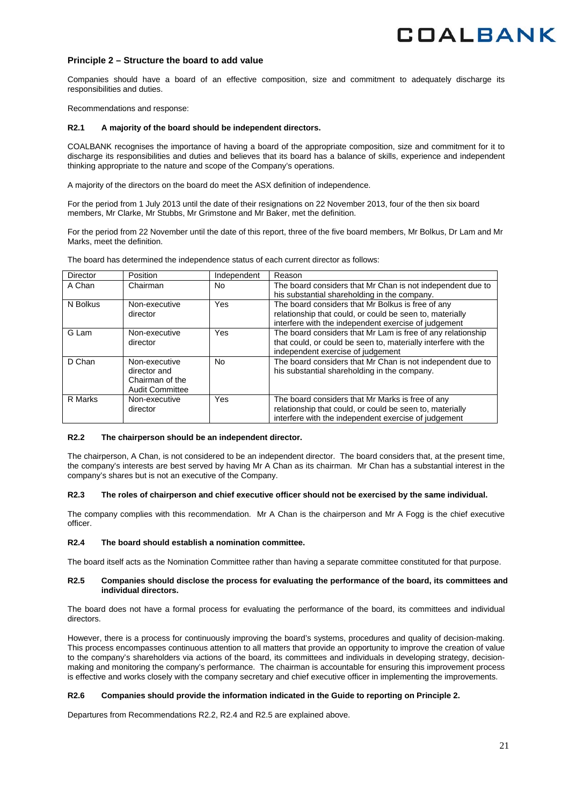#### **Principle 2 – Structure the board to add value**

Companies should have a board of an effective composition, size and commitment to adequately discharge its responsibilities and duties.

Recommendations and response:

#### **R2.1 A majority of the board should be independent directors.**

COALBANK recognises the importance of having a board of the appropriate composition, size and commitment for it to discharge its responsibilities and duties and believes that its board has a balance of skills, experience and independent thinking appropriate to the nature and scope of the Company's operations.

A majority of the directors on the board do meet the ASX definition of independence.

For the period from 1 July 2013 until the date of their resignations on 22 November 2013, four of the then six board members, Mr Clarke, Mr Stubbs, Mr Grimstone and Mr Baker, met the definition.

For the period from 22 November until the date of this report, three of the five board members, Mr Bolkus, Dr Lam and Mr Marks, meet the definition.

| <b>Director</b> | Position               | Independent | Reason                                                         |
|-----------------|------------------------|-------------|----------------------------------------------------------------|
| A Chan          | Chairman               | No          | The board considers that Mr Chan is not independent due to     |
|                 |                        |             | his substantial shareholding in the company.                   |
| N Bolkus        | Non-executive          | <b>Yes</b>  | The board considers that Mr Bolkus is free of any              |
|                 | director               |             | relationship that could, or could be seen to, materially       |
|                 |                        |             | interfere with the independent exercise of judgement           |
| G Lam           | Non-executive          | Yes         | The board considers that Mr Lam is free of any relationship    |
|                 | director               |             | that could, or could be seen to, materially interfere with the |
|                 |                        |             | independent exercise of judgement                              |
| D Chan          | Non-executive          | <b>No</b>   | The board considers that Mr Chan is not independent due to     |
|                 | director and           |             | his substantial shareholding in the company.                   |
|                 | Chairman of the        |             |                                                                |
|                 | <b>Audit Committee</b> |             |                                                                |
| R Marks         | Non-executive          | Yes         | The board considers that Mr Marks is free of any               |
|                 | director               |             | relationship that could, or could be seen to, materially       |
|                 |                        |             | interfere with the independent exercise of judgement           |

The board has determined the independence status of each current director as follows:

#### **R2.2 The chairperson should be an independent director.**

The chairperson, A Chan, is not considered to be an independent director. The board considers that, at the present time, the company's interests are best served by having Mr A Chan as its chairman. Mr Chan has a substantial interest in the company's shares but is not an executive of the Company.

#### **R2.3 The roles of chairperson and chief executive officer should not be exercised by the same individual.**

The company complies with this recommendation. Mr A Chan is the chairperson and Mr A Fogg is the chief executive officer.

#### **R2.4 The board should establish a nomination committee.**

The board itself acts as the Nomination Committee rather than having a separate committee constituted for that purpose.

#### **R2.5 Companies should disclose the process for evaluating the performance of the board, its committees and individual directors.**

The board does not have a formal process for evaluating the performance of the board, its committees and individual directors.

However, there is a process for continuously improving the board's systems, procedures and quality of decision-making. This process encompasses continuous attention to all matters that provide an opportunity to improve the creation of value to the company's shareholders via actions of the board, its committees and individuals in developing strategy, decisionmaking and monitoring the company's performance. The chairman is accountable for ensuring this improvement process is effective and works closely with the company secretary and chief executive officer in implementing the improvements.

#### **R2.6 Companies should provide the information indicated in the Guide to reporting on Principle 2.**

Departures from Recommendations R2.2, R2.4 and R2.5 are explained above.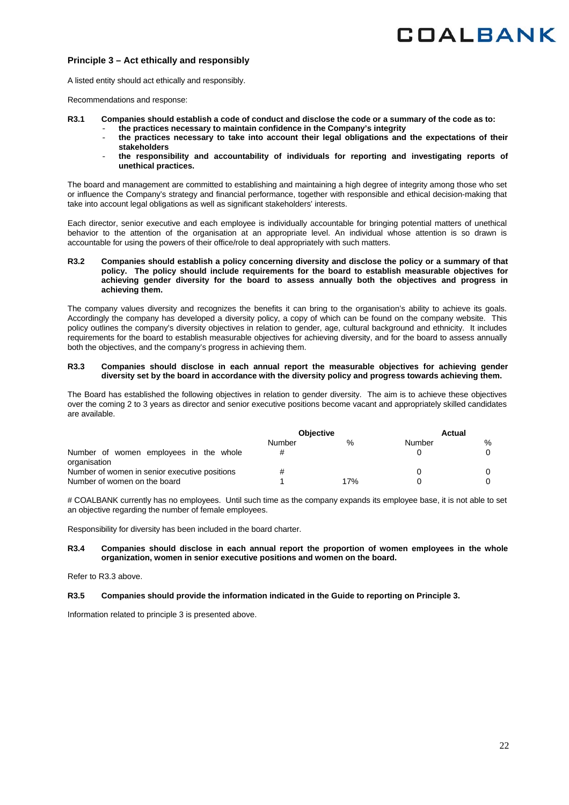#### **Principle 3 – Act ethically and responsibly**

A listed entity should act ethically and responsibly.

Recommendations and response:

- **R3.1 Companies should establish a code of conduct and disclose the code or a summary of the code as to:** 
	- **the practices necessary to maintain confidence in the Company's integrity** 
		- **the practices necessary to take into account their legal obligations and the expectations of their stakeholders**
		- **the responsibility and accountability of individuals for reporting and investigating reports of unethical practices.**

The board and management are committed to establishing and maintaining a high degree of integrity among those who set or influence the Company's strategy and financial performance, together with responsible and ethical decision-making that take into account legal obligations as well as significant stakeholders' interests.

Each director, senior executive and each employee is individually accountable for bringing potential matters of unethical behavior to the attention of the organisation at an appropriate level. An individual whose attention is so drawn is accountable for using the powers of their office/role to deal appropriately with such matters.

#### **R3.2 Companies should establish a policy concerning diversity and disclose the policy or a summary of that policy. The policy should include requirements for the board to establish measurable objectives for achieving gender diversity for the board to assess annually both the objectives and progress in achieving them.**

The company values diversity and recognizes the benefits it can bring to the organisation's ability to achieve its goals. Accordingly the company has developed a diversity policy, a copy of which can be found on the company website. This policy outlines the company's diversity objectives in relation to gender, age, cultural background and ethnicity. It includes requirements for the board to establish measurable objectives for achieving diversity, and for the board to assess annually both the objectives, and the company's progress in achieving them.

#### **R3.3 Companies should disclose in each annual report the measurable objectives for achieving gender diversity set by the board in accordance with the diversity policy and progress towards achieving them.**

The Board has established the following objectives in relation to gender diversity. The aim is to achieve these objectives over the coming 2 to 3 years as director and senior executive positions become vacant and appropriately skilled candidates are available.

|                                                        |        | <b>Objective</b> | Actual |      |
|--------------------------------------------------------|--------|------------------|--------|------|
|                                                        | Number | $\%$             | Number | $\%$ |
| Number of women employees in the whole<br>organisation |        |                  |        |      |
| Number of women in senior executive positions          |        |                  |        |      |
| Number of women on the board                           |        | 17%              |        |      |

# COALBANK currently has no employees. Until such time as the company expands its employee base, it is not able to set an objective regarding the number of female employees.

Responsibility for diversity has been included in the board charter.

**R3.4 Companies should disclose in each annual report the proportion of women employees in the whole organization, women in senior executive positions and women on the board.** 

Refer to R3.3 above.

#### **R3.5 Companies should provide the information indicated in the Guide to reporting on Principle 3.**

Information related to principle 3 is presented above.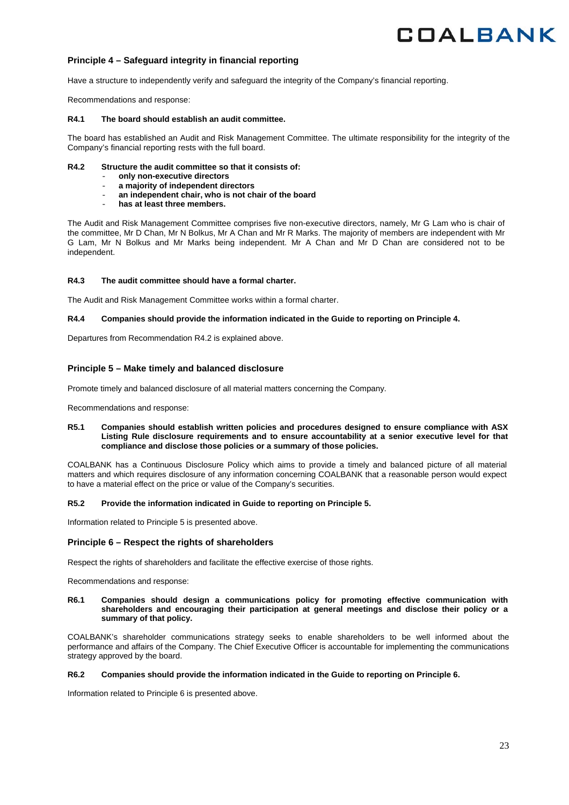#### **Principle 4 – Safeguard integrity in financial reporting**

Have a structure to independently verify and safeguard the integrity of the Company's financial reporting.

Recommendations and response:

#### **R4.1 The board should establish an audit committee.**

The board has established an Audit and Risk Management Committee. The ultimate responsibility for the integrity of the Company's financial reporting rests with the full board.

#### **R4.2 Structure the audit committee so that it consists of:**

- **only non-executive directors**
- **a majority of independent directors**
- **an independent chair, who is not chair of the board**
- has at least three members.

The Audit and Risk Management Committee comprises five non-executive directors, namely, Mr G Lam who is chair of the committee, Mr D Chan, Mr N Bolkus, Mr A Chan and Mr R Marks. The majority of members are independent with Mr G Lam, Mr N Bolkus and Mr Marks being independent. Mr A Chan and Mr D Chan are considered not to be independent.

#### **R4.3 The audit committee should have a formal charter.**

The Audit and Risk Management Committee works within a formal charter.

#### **R4.4 Companies should provide the information indicated in the Guide to reporting on Principle 4.**

Departures from Recommendation R4.2 is explained above.

#### **Principle 5 – Make timely and balanced disclosure**

Promote timely and balanced disclosure of all material matters concerning the Company.

Recommendations and response:

#### **R5.1 Companies should establish written policies and procedures designed to ensure compliance with ASX Listing Rule disclosure requirements and to ensure accountability at a senior executive level for that compliance and disclose those policies or a summary of those policies.**

COALBANK has a Continuous Disclosure Policy which aims to provide a timely and balanced picture of all material matters and which requires disclosure of any information concerning COALBANK that a reasonable person would expect to have a material effect on the price or value of the Company's securities.

#### **R5.2 Provide the information indicated in Guide to reporting on Principle 5.**

Information related to Principle 5 is presented above.

#### **Principle 6 – Respect the rights of shareholders**

Respect the rights of shareholders and facilitate the effective exercise of those rights.

Recommendations and response:

**R6.1 Companies should design a communications policy for promoting effective communication with shareholders and encouraging their participation at general meetings and disclose their policy or a summary of that policy.** 

COALBANK's shareholder communications strategy seeks to enable shareholders to be well informed about the performance and affairs of the Company. The Chief Executive Officer is accountable for implementing the communications strategy approved by the board.

#### **R6.2 Companies should provide the information indicated in the Guide to reporting on Principle 6.**

Information related to Principle 6 is presented above.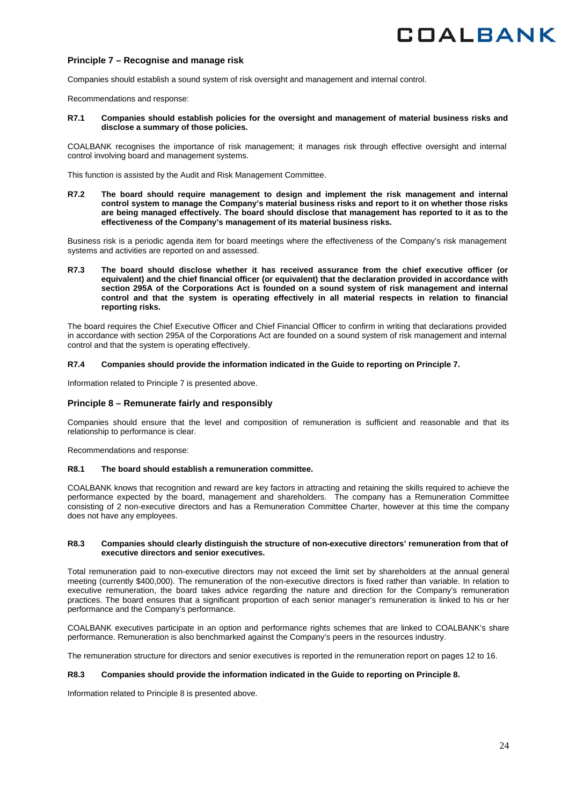#### **Principle 7 – Recognise and manage risk**

Companies should establish a sound system of risk oversight and management and internal control.

Recommendations and response:

#### **R7.1 Companies should establish policies for the oversight and management of material business risks and disclose a summary of those policies.**

COALBANK recognises the importance of risk management; it manages risk through effective oversight and internal control involving board and management systems.

This function is assisted by the Audit and Risk Management Committee.

**R7.2 The board should require management to design and implement the risk management and internal control system to manage the Company's material business risks and report to it on whether those risks are being managed effectively. The board should disclose that management has reported to it as to the effectiveness of the Company's management of its material business risks.** 

Business risk is a periodic agenda item for board meetings where the effectiveness of the Company's risk management systems and activities are reported on and assessed.

**R7.3 The board should disclose whether it has received assurance from the chief executive officer (or equivalent) and the chief financial officer (or equivalent) that the declaration provided in accordance with section 295A of the Corporations Act is founded on a sound system of risk management and internal control and that the system is operating effectively in all material respects in relation to financial reporting risks.** 

The board requires the Chief Executive Officer and Chief Financial Officer to confirm in writing that declarations provided in accordance with section 295A of the Corporations Act are founded on a sound system of risk management and internal control and that the system is operating effectively.

#### **R7.4 Companies should provide the information indicated in the Guide to reporting on Principle 7.**

Information related to Principle 7 is presented above.

#### **Principle 8 – Remunerate fairly and responsibly**

Companies should ensure that the level and composition of remuneration is sufficient and reasonable and that its relationship to performance is clear.

Recommendations and response:

#### **R8.1 The board should establish a remuneration committee.**

COALBANK knows that recognition and reward are key factors in attracting and retaining the skills required to achieve the performance expected by the board, management and shareholders. The company has a Remuneration Committee consisting of 2 non-executive directors and has a Remuneration Committee Charter, however at this time the company does not have any employees.

#### **R8.3 Companies should clearly distinguish the structure of non-executive directors' remuneration from that of executive directors and senior executives.**

Total remuneration paid to non-executive directors may not exceed the limit set by shareholders at the annual general meeting (currently \$400,000). The remuneration of the non-executive directors is fixed rather than variable. In relation to executive remuneration, the board takes advice regarding the nature and direction for the Company's remuneration practices. The board ensures that a significant proportion of each senior manager's remuneration is linked to his or her performance and the Company's performance.

COALBANK executives participate in an option and performance rights schemes that are linked to COALBANK's share performance. Remuneration is also benchmarked against the Company's peers in the resources industry.

The remuneration structure for directors and senior executives is reported in the remuneration report on pages 12 to 16.

#### **R8.3 Companies should provide the information indicated in the Guide to reporting on Principle 8.**

Information related to Principle 8 is presented above.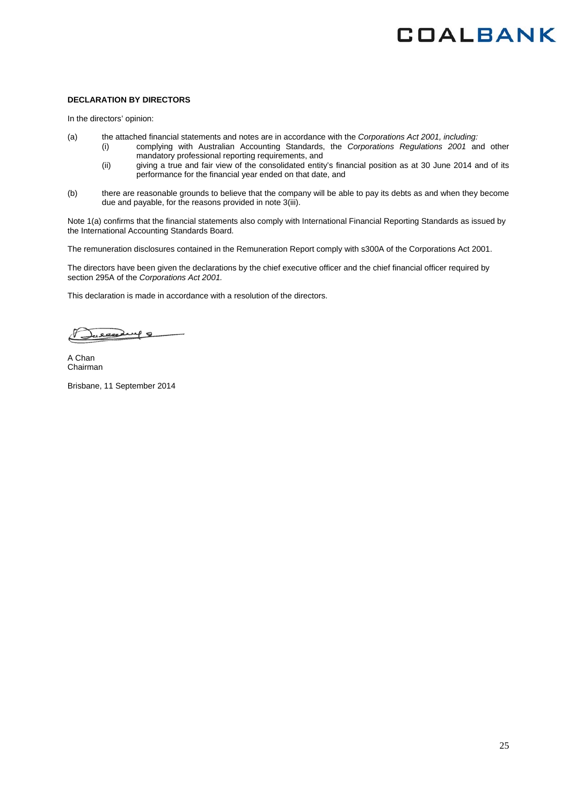#### **DECLARATION BY DIRECTORS**

In the directors' opinion:

- (a) the attached financial statements and notes are in accordance with the *Corporations Act 2001, including:*
	- (i) complying with Australian Accounting Standards, the *Corporations Regulations 2001* and other mandatory professional reporting requirements, and
	- (ii) giving a true and fair view of the consolidated entity's financial position as at 30 June 2014 and of its performance for the financial year ended on that date, and
- (b) there are reasonable grounds to believe that the company will be able to pay its debts as and when they become due and payable, for the reasons provided in note 3(iii).

Note 1(a) confirms that the financial statements also comply with International Financial Reporting Standards as issued by the International Accounting Standards Board.

The remuneration disclosures contained in the Remuneration Report comply with s300A of the Corporations Act 2001.

The directors have been given the declarations by the chief executive officer and the chief financial officer required by section 295A of the *Corporations Act 2001.* 

This declaration is made in accordance with a resolution of the directors.

reassery  $\epsilon$ 

A Chan Chairman

Brisbane, 11 September 2014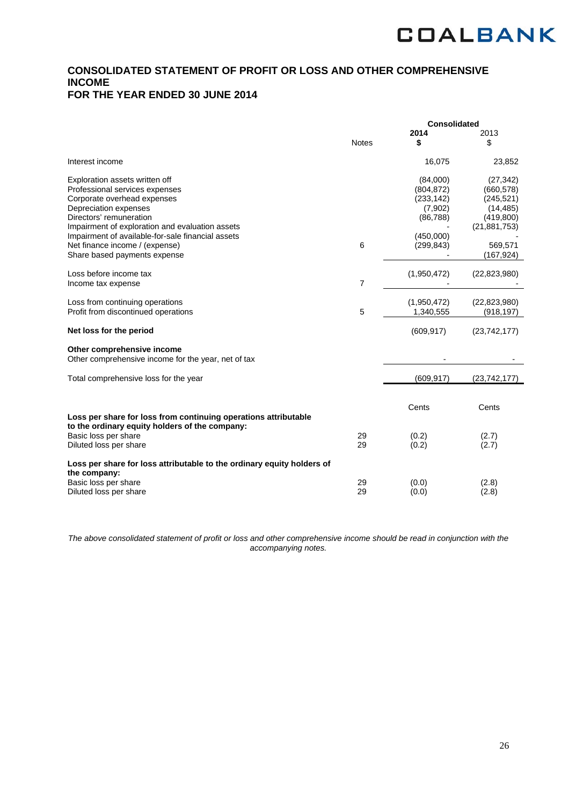## **CONSOLIDATED STATEMENT OF PROFIT OR LOSS AND OTHER COMPREHENSIVE INCOME FOR THE YEAR ENDED 30 JUNE 2014**

|                                                                                        | <b>Consolidated</b> |             |                |
|----------------------------------------------------------------------------------------|---------------------|-------------|----------------|
|                                                                                        |                     | 2014        | 2013           |
|                                                                                        | <b>Notes</b>        | \$          | \$             |
| Interest income                                                                        |                     | 16,075      | 23,852         |
| Exploration assets written off                                                         |                     | (84,000)    | (27, 342)      |
| Professional services expenses                                                         |                     | (804, 872)  | (660, 578)     |
| Corporate overhead expenses                                                            |                     | (233, 142)  | (245, 521)     |
| Depreciation expenses                                                                  |                     | (7,902)     | (14, 485)      |
| Directors' remuneration                                                                |                     | (86, 788)   | (419, 800)     |
| Impairment of exploration and evaluation assets                                        |                     |             | (21, 881, 753) |
| Impairment of available-for-sale financial assets                                      |                     | (450,000)   |                |
| Net finance income / (expense)                                                         | 6                   | (299, 843)  | 569,571        |
| Share based payments expense                                                           |                     |             | (167, 924)     |
| Loss before income tax                                                                 |                     | (1,950,472) | (22, 823, 980) |
| Income tax expense                                                                     | 7                   |             |                |
|                                                                                        |                     |             |                |
| Loss from continuing operations                                                        |                     | (1,950,472) | (22, 823, 980) |
| Profit from discontinued operations                                                    | 5                   | 1,340,555   | (918, 197)     |
| Net loss for the period                                                                |                     | (609, 917)  | (23, 742, 177) |
| Other comprehensive income                                                             |                     |             |                |
| Other comprehensive income for the year, net of tax                                    |                     |             |                |
|                                                                                        |                     |             |                |
| Total comprehensive loss for the year                                                  |                     | (609, 917)  | (23, 742, 177) |
|                                                                                        |                     |             |                |
|                                                                                        |                     | Cents       | Cents          |
| Loss per share for loss from continuing operations attributable                        |                     |             |                |
| to the ordinary equity holders of the company:                                         |                     |             |                |
| Basic loss per share                                                                   | 29                  | (0.2)       | (2.7)          |
| Diluted loss per share                                                                 | 29                  | (0.2)       | (2.7)          |
|                                                                                        |                     |             |                |
| Loss per share for loss attributable to the ordinary equity holders of<br>the company: |                     |             |                |
| Basic loss per share                                                                   | 29                  | (0.0)       | (2.8)          |
| Diluted loss per share                                                                 | 29                  | (0.0)       | (2.8)          |

*The above consolidated statement of profit or loss and other comprehensive income should be read in conjunction with the accompanying notes.*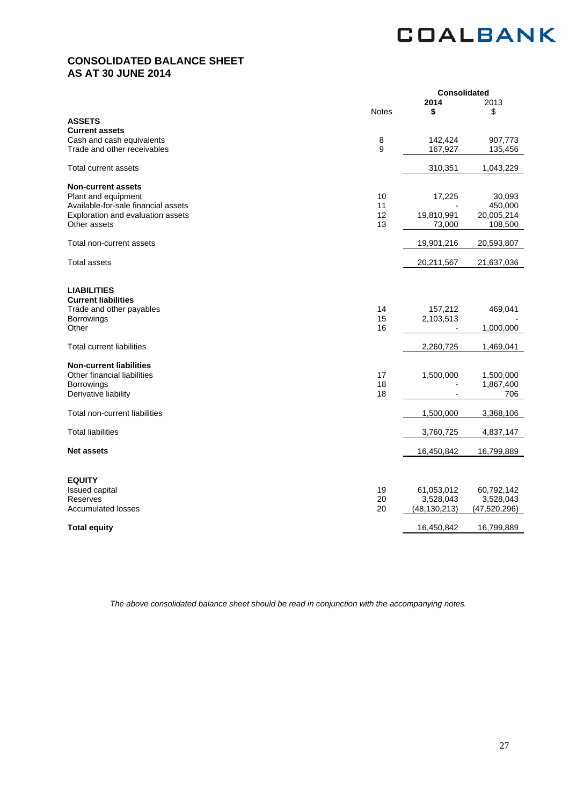## **CONSOLIDATED BALANCE SHEET AS AT 30 JUNE 2014**

|                                          |              | <b>Consolidated</b> |              |  |
|------------------------------------------|--------------|---------------------|--------------|--|
|                                          |              | 2014                | 2013         |  |
|                                          | <b>Notes</b> | \$                  | \$           |  |
| <b>ASSETS</b>                            |              |                     |              |  |
| <b>Current assets</b>                    |              |                     |              |  |
| Cash and cash equivalents                | 8            | 142,424             | 907,773      |  |
| Trade and other receivables              | 9            | 167,927             | 135,456      |  |
|                                          |              |                     |              |  |
| Total current assets                     |              | 310,351             | 1,043,229    |  |
|                                          |              |                     |              |  |
| <b>Non-current assets</b>                |              |                     |              |  |
| Plant and equipment                      | 10           | 17,225              | 30,093       |  |
| Available-for-sale financial assets      | 11           |                     | 450,000      |  |
| <b>Exploration and evaluation assets</b> | 12           | 19,810,991          | 20,005,214   |  |
| Other assets                             | 13           | 73,000              | 108,500      |  |
|                                          |              |                     |              |  |
|                                          |              |                     |              |  |
| Total non-current assets                 |              | 19,901,216          | 20,593,807   |  |
|                                          |              |                     |              |  |
| <b>Total assets</b>                      |              | 20,211,567          | 21,637,036   |  |
|                                          |              |                     |              |  |
|                                          |              |                     |              |  |
| <b>LIABILITIES</b>                       |              |                     |              |  |
| <b>Current liabilities</b>               |              |                     |              |  |
| Trade and other payables                 | 14           | 157,212             | 469,041      |  |
| Borrowings                               | 15           | 2,103,513           |              |  |
| Other                                    | 16           |                     | 1,000,000    |  |
|                                          |              |                     |              |  |
| <b>Total current liabilities</b>         |              | 2,260,725           | 1,469,041    |  |
|                                          |              |                     |              |  |
| <b>Non-current liabilities</b>           |              |                     |              |  |
| Other financial liabilities              | 17           | 1,500,000           | 1,500,000    |  |
| Borrowings                               | 18           |                     | 1,867,400    |  |
| Derivative liability                     | 18           |                     | 706          |  |
|                                          |              |                     |              |  |
| Total non-current liabilities            |              | 1,500,000           | 3,368,106    |  |
|                                          |              |                     |              |  |
| <b>Total liabilities</b>                 |              | 3,760,725           | 4,837,147    |  |
|                                          |              |                     |              |  |
| <b>Net assets</b>                        |              | 16,450,842          | 16,799,889   |  |
|                                          |              |                     |              |  |
|                                          |              |                     |              |  |
| <b>EQUITY</b>                            |              |                     |              |  |
|                                          | 19           |                     |              |  |
| Issued capital                           |              | 61,053,012          | 60,792,142   |  |
| Reserves                                 | 20           | 3,528,043           | 3,528,043    |  |
| <b>Accumulated losses</b>                | 20           | (48, 130, 213)      | (47,520,296) |  |
|                                          |              |                     |              |  |
| <b>Total equity</b>                      |              | 16,450,842          | 16,799,889   |  |

*The above consolidated balance sheet should be read in conjunction with the accompanying notes.*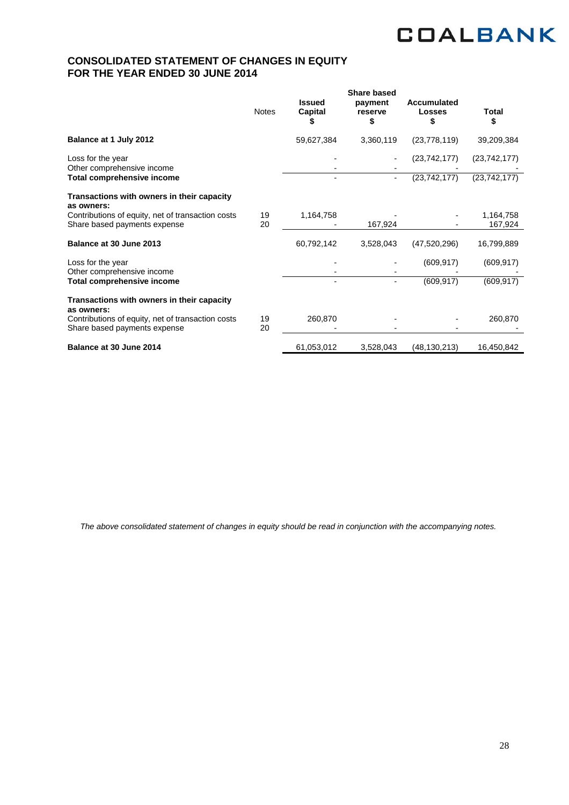## **CONSOLIDATED STATEMENT OF CHANGES IN EQUITY FOR THE YEAR ENDED 30 JUNE 2014**

|                                                                                   | <b>Notes</b> | <b>Issued</b><br>Capital<br>S | <b>Share based</b><br>payment<br>reserve<br>\$ | Accumulated<br><b>Losses</b><br>\$ | Total<br>\$          |
|-----------------------------------------------------------------------------------|--------------|-------------------------------|------------------------------------------------|------------------------------------|----------------------|
| Balance at 1 July 2012                                                            |              | 59,627,384                    | 3,360,119                                      | (23, 778, 119)                     | 39,209,384           |
| Loss for the year<br>Other comprehensive income                                   |              |                               |                                                | (23, 742, 177)                     | (23, 742, 177)       |
| Total comprehensive income                                                        |              |                               |                                                | (23, 742, 177)                     | (23, 742, 177)       |
| Transactions with owners in their capacity<br>as owners:                          |              |                               |                                                |                                    |                      |
| Contributions of equity, net of transaction costs<br>Share based payments expense | 19<br>20     | 1,164,758                     | 167,924                                        |                                    | 1,164,758<br>167,924 |
| Balance at 30 June 2013                                                           |              | 60,792,142                    | 3,528,043                                      | (47,520,296)                       | 16,799,889           |
| Loss for the year<br>Other comprehensive income                                   |              |                               |                                                | (609, 917)                         | (609, 917)           |
| Total comprehensive income                                                        |              |                               |                                                | (609, 917)                         | (609, 917)           |
| Transactions with owners in their capacity<br>as owners:                          |              |                               |                                                |                                    |                      |
| Contributions of equity, net of transaction costs<br>Share based payments expense | 19<br>20     | 260,870                       |                                                |                                    | 260,870              |
| Balance at 30 June 2014                                                           |              | 61,053,012                    | 3,528,043                                      | (48, 130, 213)                     | 16,450,842           |

*The above consolidated statement of changes in equity should be read in conjunction with the accompanying notes.*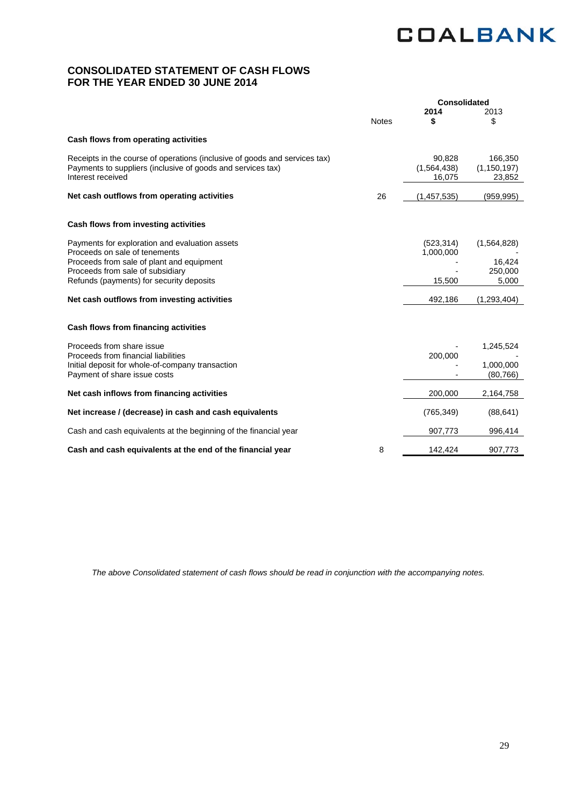## **CONSOLIDATED STATEMENT OF CASH FLOWS FOR THE YEAR ENDED 30 JUNE 2014**

|                                                                                                                                                                                                              | <b>Notes</b> | <b>Consolidated</b><br>2014<br>\$ | 2013<br>\$                                |
|--------------------------------------------------------------------------------------------------------------------------------------------------------------------------------------------------------------|--------------|-----------------------------------|-------------------------------------------|
| Cash flows from operating activities                                                                                                                                                                         |              |                                   |                                           |
| Receipts in the course of operations (inclusive of goods and services tax)<br>Payments to suppliers (inclusive of goods and services tax)<br>Interest received                                               |              | 90,828<br>(1, 564, 438)<br>16,075 | 166,350<br>(1, 150, 197)<br>23,852        |
| Net cash outflows from operating activities                                                                                                                                                                  | 26           | (1, 457, 535)                     | (959, 995)                                |
| Cash flows from investing activities                                                                                                                                                                         |              |                                   |                                           |
| Payments for exploration and evaluation assets<br>Proceeds on sale of tenements<br>Proceeds from sale of plant and equipment<br>Proceeds from sale of subsidiary<br>Refunds (payments) for security deposits |              | (523, 314)<br>1,000,000<br>15,500 | (1,564,828)<br>16,424<br>250,000<br>5,000 |
| Net cash outflows from investing activities                                                                                                                                                                  |              | 492,186                           | (1,293,404)                               |
| Cash flows from financing activities                                                                                                                                                                         |              |                                   |                                           |
| Proceeds from share issue<br>Proceeds from financial liabilities<br>Initial deposit for whole-of-company transaction<br>Payment of share issue costs                                                         |              | 200,000                           | 1,245,524<br>1,000,000<br>(80, 766)       |
| Net cash inflows from financing activities                                                                                                                                                                   |              | 200,000                           | 2,164,758                                 |
| Net increase / (decrease) in cash and cash equivalents                                                                                                                                                       |              | (765, 349)                        | (88, 641)                                 |
| Cash and cash equivalents at the beginning of the financial year                                                                                                                                             |              | 907,773                           | 996,414                                   |
| Cash and cash equivalents at the end of the financial year                                                                                                                                                   | 8            | 142.424                           | 907,773                                   |

*The above Consolidated statement of cash flows should be read in conjunction with the accompanying notes.*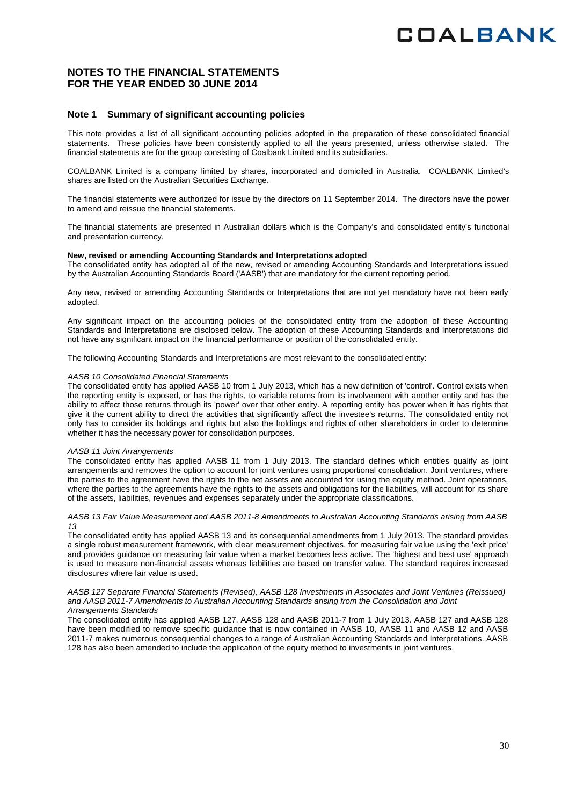### **NOTES TO THE FINANCIAL STATEMENTS FOR THE YEAR ENDED 30 JUNE 2014**

### **Note 1 Summary of significant accounting policies**

This note provides a list of all significant accounting policies adopted in the preparation of these consolidated financial statements. These policies have been consistently applied to all the years presented, unless otherwise stated. The financial statements are for the group consisting of Coalbank Limited and its subsidiaries.

COALBANK Limited is a company limited by shares, incorporated and domiciled in Australia. COALBANK Limited's shares are listed on the Australian Securities Exchange.

The financial statements were authorized for issue by the directors on 11 September 2014. The directors have the power to amend and reissue the financial statements.

The financial statements are presented in Australian dollars which is the Company's and consolidated entity's functional and presentation currency.

#### **New, revised or amending Accounting Standards and Interpretations adopted**

The consolidated entity has adopted all of the new, revised or amending Accounting Standards and Interpretations issued by the Australian Accounting Standards Board ('AASB') that are mandatory for the current reporting period.

Any new, revised or amending Accounting Standards or Interpretations that are not yet mandatory have not been early adopted.

Any significant impact on the accounting policies of the consolidated entity from the adoption of these Accounting Standards and Interpretations are disclosed below. The adoption of these Accounting Standards and Interpretations did not have any significant impact on the financial performance or position of the consolidated entity.

The following Accounting Standards and Interpretations are most relevant to the consolidated entity:

#### *AASB 10 Consolidated Financial Statements*

The consolidated entity has applied AASB 10 from 1 July 2013, which has a new definition of 'control'. Control exists when the reporting entity is exposed, or has the rights, to variable returns from its involvement with another entity and has the ability to affect those returns through its 'power' over that other entity. A reporting entity has power when it has rights that give it the current ability to direct the activities that significantly affect the investee's returns. The consolidated entity not only has to consider its holdings and rights but also the holdings and rights of other shareholders in order to determine whether it has the necessary power for consolidation purposes.

### *AASB 11 Joint Arrangements*

The consolidated entity has applied AASB 11 from 1 July 2013. The standard defines which entities qualify as joint arrangements and removes the option to account for joint ventures using proportional consolidation. Joint ventures, where the parties to the agreement have the rights to the net assets are accounted for using the equity method. Joint operations, where the parties to the agreements have the rights to the assets and obligations for the liabilities, will account for its share of the assets, liabilities, revenues and expenses separately under the appropriate classifications.

#### *AASB 13 Fair Value Measurement and AASB 2011-8 Amendments to Australian Accounting Standards arising from AASB 13*

The consolidated entity has applied AASB 13 and its consequential amendments from 1 July 2013. The standard provides a single robust measurement framework, with clear measurement objectives, for measuring fair value using the 'exit price' and provides guidance on measuring fair value when a market becomes less active. The 'highest and best use' approach is used to measure non-financial assets whereas liabilities are based on transfer value. The standard requires increased disclosures where fair value is used.

#### *AASB 127 Separate Financial Statements (Revised), AASB 128 Investments in Associates and Joint Ventures (Reissued) and AASB 2011-7 Amendments to Australian Accounting Standards arising from the Consolidation and Joint Arrangements Standards*

The consolidated entity has applied AASB 127, AASB 128 and AASB 2011-7 from 1 July 2013. AASB 127 and AASB 128 have been modified to remove specific guidance that is now contained in AASB 10, AASB 11 and AASB 12 and AASB 2011-7 makes numerous consequential changes to a range of Australian Accounting Standards and Interpretations. AASB 128 has also been amended to include the application of the equity method to investments in joint ventures.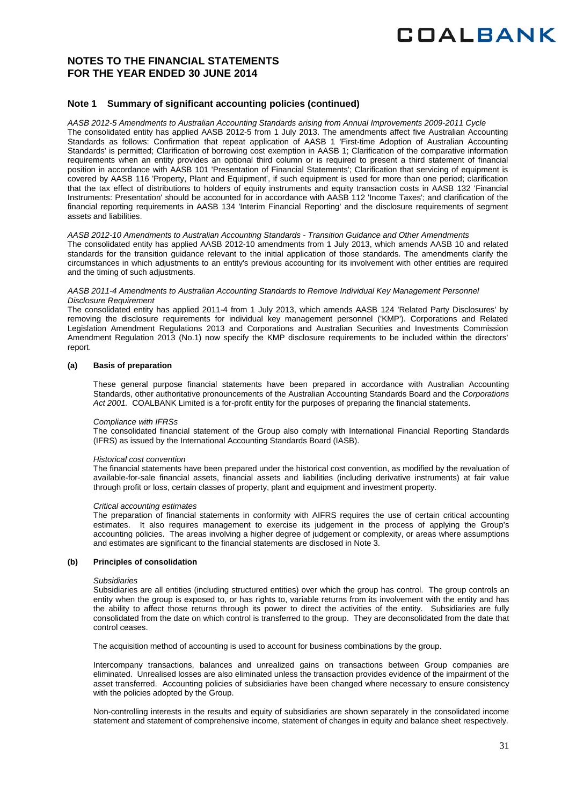### **NOTES TO THE FINANCIAL STATEMENTS FOR THE YEAR ENDED 30 JUNE 2014**

### **Note 1 Summary of significant accounting policies (continued)**

*AASB 2012-5 Amendments to Australian Accounting Standards arising from Annual Improvements 2009-2011 Cycle*  The consolidated entity has applied AASB 2012-5 from 1 July 2013. The amendments affect five Australian Accounting Standards as follows: Confirmation that repeat application of AASB 1 'First-time Adoption of Australian Accounting Standards' is permitted; Clarification of borrowing cost exemption in AASB 1; Clarification of the comparative information requirements when an entity provides an optional third column or is required to present a third statement of financial position in accordance with AASB 101 'Presentation of Financial Statements'; Clarification that servicing of equipment is covered by AASB 116 'Property, Plant and Equipment', if such equipment is used for more than one period; clarification that the tax effect of distributions to holders of equity instruments and equity transaction costs in AASB 132 'Financial Instruments: Presentation' should be accounted for in accordance with AASB 112 'Income Taxes'; and clarification of the financial reporting requirements in AASB 134 'Interim Financial Reporting' and the disclosure requirements of segment assets and liabilities.

#### *AASB 2012-10 Amendments to Australian Accounting Standards - Transition Guidance and Other Amendments*

The consolidated entity has applied AASB 2012-10 amendments from 1 July 2013, which amends AASB 10 and related standards for the transition guidance relevant to the initial application of those standards. The amendments clarify the circumstances in which adjustments to an entity's previous accounting for its involvement with other entities are required and the timing of such adjustments.

#### *AASB 2011-4 Amendments to Australian Accounting Standards to Remove Individual Key Management Personnel Disclosure Requirement*

The consolidated entity has applied 2011-4 from 1 July 2013, which amends AASB 124 'Related Party Disclosures' by removing the disclosure requirements for individual key management personnel ('KMP'). Corporations and Related Legislation Amendment Regulations 2013 and Corporations and Australian Securities and Investments Commission Amendment Regulation 2013 (No.1) now specify the KMP disclosure requirements to be included within the directors' report.

#### **(a) Basis of preparation**

These general purpose financial statements have been prepared in accordance with Australian Accounting Standards, other authoritative pronouncements of the Australian Accounting Standards Board and the *Corporations Act 2001.* COALBANK Limited is a for-profit entity for the purposes of preparing the financial statements.

#### *Compliance with IFRSs*

The consolidated financial statement of the Group also comply with International Financial Reporting Standards (IFRS) as issued by the International Accounting Standards Board (IASB).

#### *Historical cost convention*

The financial statements have been prepared under the historical cost convention, as modified by the revaluation of available-for-sale financial assets, financial assets and liabilities (including derivative instruments) at fair value through profit or loss, certain classes of property, plant and equipment and investment property.

#### *Critical accounting estimates*

The preparation of financial statements in conformity with AIFRS requires the use of certain critical accounting estimates. It also requires management to exercise its judgement in the process of applying the Group's accounting policies. The areas involving a higher degree of judgement or complexity, or areas where assumptions and estimates are significant to the financial statements are disclosed in Note 3.

#### **(b) Principles of consolidation**

#### *Subsidiaries*

Subsidiaries are all entities (including structured entities) over which the group has control. The group controls an entity when the group is exposed to, or has rights to, variable returns from its involvement with the entity and has the ability to affect those returns through its power to direct the activities of the entity. Subsidiaries are fully consolidated from the date on which control is transferred to the group. They are deconsolidated from the date that control ceases.

The acquisition method of accounting is used to account for business combinations by the group.

Intercompany transactions, balances and unrealized gains on transactions between Group companies are eliminated. Unrealised losses are also eliminated unless the transaction provides evidence of the impairment of the asset transferred. Accounting policies of subsidiaries have been changed where necessary to ensure consistency with the policies adopted by the Group.

Non-controlling interests in the results and equity of subsidiaries are shown separately in the consolidated income statement and statement of comprehensive income, statement of changes in equity and balance sheet respectively.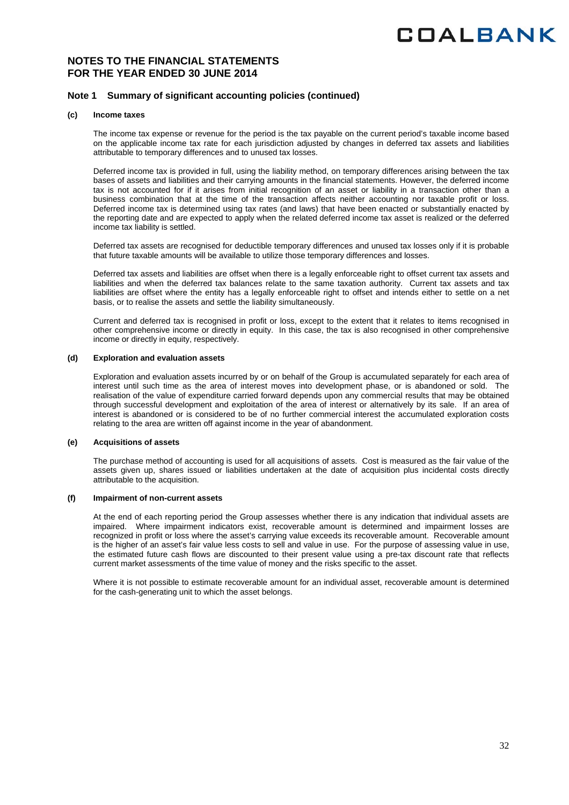### **NOTES TO THE FINANCIAL STATEMENTS FOR THE YEAR ENDED 30 JUNE 2014**

### **Note 1 Summary of significant accounting policies (continued)**

#### **(c) Income taxes**

The income tax expense or revenue for the period is the tax payable on the current period's taxable income based on the applicable income tax rate for each jurisdiction adjusted by changes in deferred tax assets and liabilities attributable to temporary differences and to unused tax losses.

Deferred income tax is provided in full, using the liability method, on temporary differences arising between the tax bases of assets and liabilities and their carrying amounts in the financial statements. However, the deferred income tax is not accounted for if it arises from initial recognition of an asset or liability in a transaction other than a business combination that at the time of the transaction affects neither accounting nor taxable profit or loss. Deferred income tax is determined using tax rates (and laws) that have been enacted or substantially enacted by the reporting date and are expected to apply when the related deferred income tax asset is realized or the deferred income tax liability is settled.

Deferred tax assets are recognised for deductible temporary differences and unused tax losses only if it is probable that future taxable amounts will be available to utilize those temporary differences and losses.

Deferred tax assets and liabilities are offset when there is a legally enforceable right to offset current tax assets and liabilities and when the deferred tax balances relate to the same taxation authority. Current tax assets and tax liabilities are offset where the entity has a legally enforceable right to offset and intends either to settle on a net basis, or to realise the assets and settle the liability simultaneously.

Current and deferred tax is recognised in profit or loss, except to the extent that it relates to items recognised in other comprehensive income or directly in equity. In this case, the tax is also recognised in other comprehensive income or directly in equity, respectively.

#### **(d) Exploration and evaluation assets**

Exploration and evaluation assets incurred by or on behalf of the Group is accumulated separately for each area of interest until such time as the area of interest moves into development phase, or is abandoned or sold. The realisation of the value of expenditure carried forward depends upon any commercial results that may be obtained through successful development and exploitation of the area of interest or alternatively by its sale. If an area of interest is abandoned or is considered to be of no further commercial interest the accumulated exploration costs relating to the area are written off against income in the year of abandonment.

#### **(e) Acquisitions of assets**

The purchase method of accounting is used for all acquisitions of assets. Cost is measured as the fair value of the assets given up, shares issued or liabilities undertaken at the date of acquisition plus incidental costs directly attributable to the acquisition.

#### **(f) Impairment of non-current assets**

At the end of each reporting period the Group assesses whether there is any indication that individual assets are impaired. Where impairment indicators exist, recoverable amount is determined and impairment losses are recognized in profit or loss where the asset's carrying value exceeds its recoverable amount. Recoverable amount is the higher of an asset's fair value less costs to sell and value in use. For the purpose of assessing value in use, the estimated future cash flows are discounted to their present value using a pre-tax discount rate that reflects current market assessments of the time value of money and the risks specific to the asset.

Where it is not possible to estimate recoverable amount for an individual asset, recoverable amount is determined for the cash-generating unit to which the asset belongs.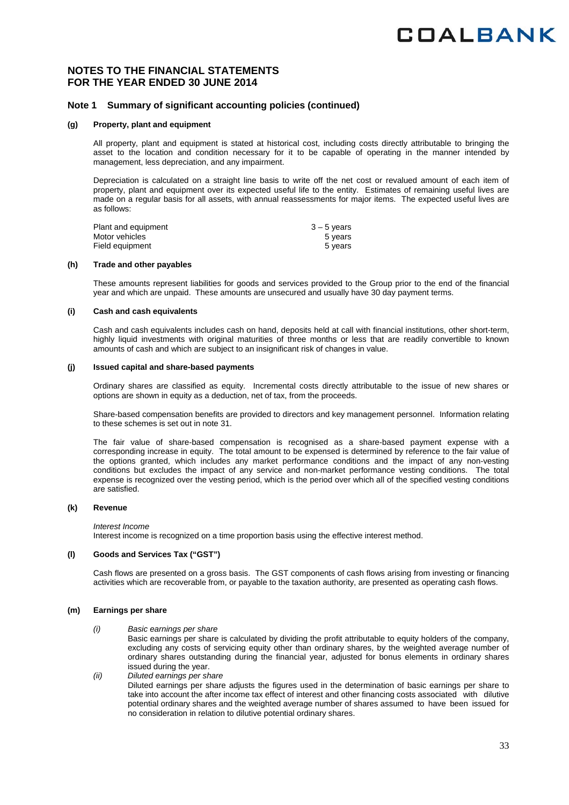### **NOTES TO THE FINANCIAL STATEMENTS FOR THE YEAR ENDED 30 JUNE 2014**

### **Note 1 Summary of significant accounting policies (continued)**

#### **(g) Property, plant and equipment**

All property, plant and equipment is stated at historical cost, including costs directly attributable to bringing the asset to the location and condition necessary for it to be capable of operating in the manner intended by management, less depreciation, and any impairment.

Depreciation is calculated on a straight line basis to write off the net cost or revalued amount of each item of property, plant and equipment over its expected useful life to the entity. Estimates of remaining useful lives are made on a regular basis for all assets, with annual reassessments for major items. The expected useful lives are as follows:

| Plant and equipment | $3 - 5$ years |
|---------------------|---------------|
| Motor vehicles      | 5 vears       |
| Field equipment     | 5 vears       |

#### **(h) Trade and other payables**

These amounts represent liabilities for goods and services provided to the Group prior to the end of the financial year and which are unpaid. These amounts are unsecured and usually have 30 day payment terms.

#### **(i) Cash and cash equivalents**

Cash and cash equivalents includes cash on hand, deposits held at call with financial institutions, other short-term, highly liquid investments with original maturities of three months or less that are readily convertible to known amounts of cash and which are subject to an insignificant risk of changes in value.

#### **(j) Issued capital and share-based payments**

Ordinary shares are classified as equity. Incremental costs directly attributable to the issue of new shares or options are shown in equity as a deduction, net of tax, from the proceeds.

Share-based compensation benefits are provided to directors and key management personnel. Information relating to these schemes is set out in note 31.

The fair value of share-based compensation is recognised as a share-based payment expense with a corresponding increase in equity. The total amount to be expensed is determined by reference to the fair value of the options granted, which includes any market performance conditions and the impact of any non-vesting conditions but excludes the impact of any service and non-market performance vesting conditions. The total expense is recognized over the vesting period, which is the period over which all of the specified vesting conditions are satisfied.

#### **(k) Revenue**

#### *Interest Income*

Interest income is recognized on a time proportion basis using the effective interest method.

#### **(l) Goods and Services Tax ("GST")**

Cash flows are presented on a gross basis. The GST components of cash flows arising from investing or financing activities which are recoverable from, or payable to the taxation authority, are presented as operating cash flows.

#### **(m) Earnings per share**

*(i) Basic earnings per share* 

Basic earnings per share is calculated by dividing the profit attributable to equity holders of the company, excluding any costs of servicing equity other than ordinary shares, by the weighted average number of ordinary shares outstanding during the financial year, adjusted for bonus elements in ordinary shares issued during the year.

*(ii) Diluted earnings per share* 

 Diluted earnings per share adjusts the figures used in the determination of basic earnings per share to take into account the after income tax effect of interest and other financing costs associated with dilutive potential ordinary shares and the weighted average number of shares assumed to have been issued for no consideration in relation to dilutive potential ordinary shares.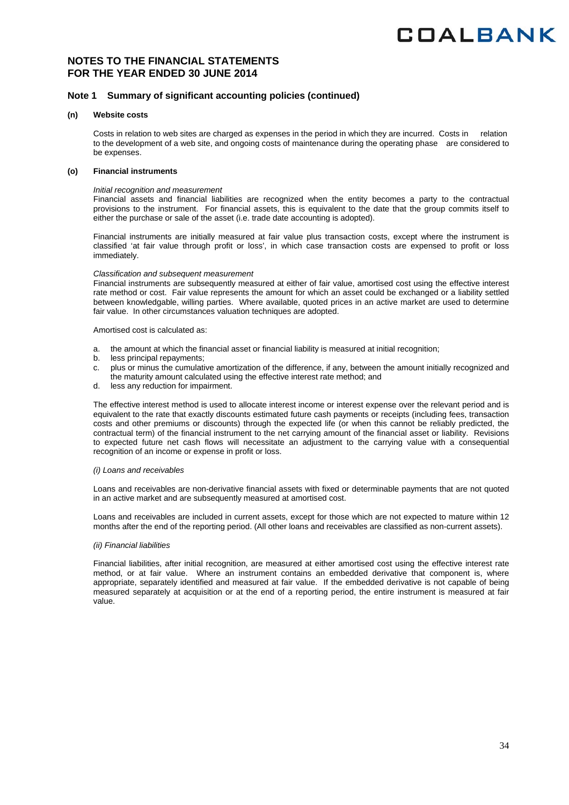### **NOTES TO THE FINANCIAL STATEMENTS FOR THE YEAR ENDED 30 JUNE 2014**

### **Note 1 Summary of significant accounting policies (continued)**

#### **(n) Website costs**

Costs in relation to web sites are charged as expenses in the period in which they are incurred. Costs in relation to the development of a web site, and ongoing costs of maintenance during the operating phase are considered to be expenses.

#### **(o) Financial instruments**

#### *Initial recognition and measurement*

Financial assets and financial liabilities are recognized when the entity becomes a party to the contractual provisions to the instrument. For financial assets, this is equivalent to the date that the group commits itself to either the purchase or sale of the asset (i.e. trade date accounting is adopted).

Financial instruments are initially measured at fair value plus transaction costs, except where the instrument is classified 'at fair value through profit or loss', in which case transaction costs are expensed to profit or loss immediately.

#### *Classification and subsequent measurement*

Financial instruments are subsequently measured at either of fair value, amortised cost using the effective interest rate method or cost. Fair value represents the amount for which an asset could be exchanged or a liability settled between knowledgable, willing parties. Where available, quoted prices in an active market are used to determine fair value. In other circumstances valuation techniques are adopted.

Amortised cost is calculated as:

- a. the amount at which the financial asset or financial liability is measured at initial recognition;
- b. less principal repayments;
- c. plus or minus the cumulative amortization of the difference, if any, between the amount initially recognized and the maturity amount calculated using the effective interest rate method; and
- d. less any reduction for impairment.

The effective interest method is used to allocate interest income or interest expense over the relevant period and is equivalent to the rate that exactly discounts estimated future cash payments or receipts (including fees, transaction costs and other premiums or discounts) through the expected life (or when this cannot be reliably predicted, the contractual term) of the financial instrument to the net carrying amount of the financial asset or liability. Revisions to expected future net cash flows will necessitate an adjustment to the carrying value with a consequential recognition of an income or expense in profit or loss.

#### *(i) Loans and receivables*

Loans and receivables are non-derivative financial assets with fixed or determinable payments that are not quoted in an active market and are subsequently measured at amortised cost.

Loans and receivables are included in current assets, except for those which are not expected to mature within 12 months after the end of the reporting period. (All other loans and receivables are classified as non-current assets).

#### *(ii) Financial liabilities*

Financial liabilities, after initial recognition, are measured at either amortised cost using the effective interest rate method, or at fair value. Where an instrument contains an embedded derivative that component is, where appropriate, separately identified and measured at fair value. If the embedded derivative is not capable of being measured separately at acquisition or at the end of a reporting period, the entire instrument is measured at fair value.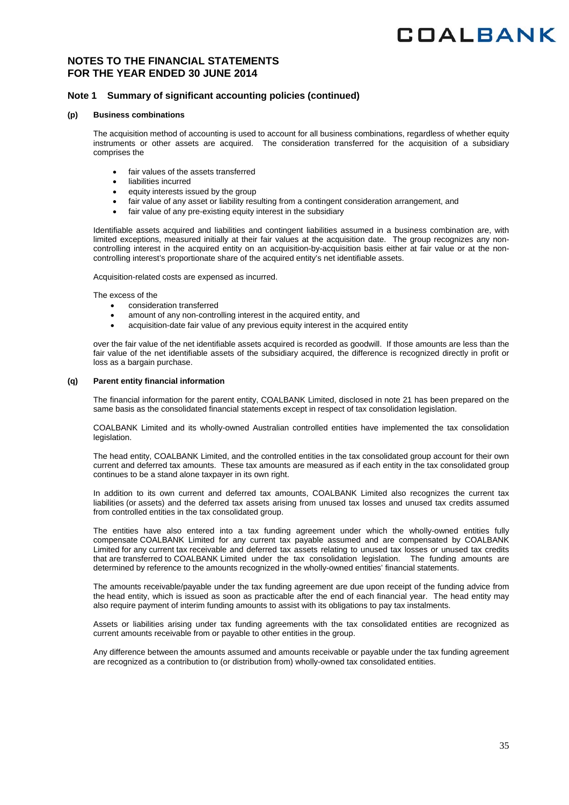### **NOTES TO THE FINANCIAL STATEMENTS FOR THE YEAR ENDED 30 JUNE 2014**

### **Note 1 Summary of significant accounting policies (continued)**

#### **(p) Business combinations**

The acquisition method of accounting is used to account for all business combinations, regardless of whether equity instruments or other assets are acquired. The consideration transferred for the acquisition of a subsidiary comprises the

- fair values of the assets transferred
- liabilities incurred
- equity interests issued by the group
- fair value of any asset or liability resulting from a contingent consideration arrangement, and
- fair value of any pre-existing equity interest in the subsidiary

Identifiable assets acquired and liabilities and contingent liabilities assumed in a business combination are, with limited exceptions, measured initially at their fair values at the acquisition date. The group recognizes any noncontrolling interest in the acquired entity on an acquisition-by-acquisition basis either at fair value or at the noncontrolling interest's proportionate share of the acquired entity's net identifiable assets.

Acquisition-related costs are expensed as incurred.

The excess of the

- consideration transferred
- amount of any non-controlling interest in the acquired entity, and
- acquisition-date fair value of any previous equity interest in the acquired entity

over the fair value of the net identifiable assets acquired is recorded as goodwill. If those amounts are less than the fair value of the net identifiable assets of the subsidiary acquired, the difference is recognized directly in profit or loss as a bargain purchase.

#### **(q) Parent entity financial information**

 The financial information for the parent entity, COALBANK Limited, disclosed in note 21 has been prepared on the same basis as the consolidated financial statements except in respect of tax consolidation legislation.

COALBANK Limited and its wholly-owned Australian controlled entities have implemented the tax consolidation legislation.

 The head entity, COALBANK Limited, and the controlled entities in the tax consolidated group account for their own current and deferred tax amounts. These tax amounts are measured as if each entity in the tax consolidated group continues to be a stand alone taxpayer in its own right.

In addition to its own current and deferred tax amounts, COALBANK Limited also recognizes the current tax liabilities (or assets) and the deferred tax assets arising from unused tax losses and unused tax credits assumed from controlled entities in the tax consolidated group.

The entities have also entered into a tax funding agreement under which the wholly-owned entities fully compensate COALBANK Limited for any current tax payable assumed and are compensated by COALBANK Limited for any current tax receivable and deferred tax assets relating to unused tax losses or unused tax credits that are transferred to COALBANK Limited under the tax consolidation legislation. The funding amounts are determined by reference to the amounts recognized in the wholly-owned entities' financial statements.

The amounts receivable/payable under the tax funding agreement are due upon receipt of the funding advice from the head entity, which is issued as soon as practicable after the end of each financial year. The head entity may also require payment of interim funding amounts to assist with its obligations to pay tax instalments.

Assets or liabilities arising under tax funding agreements with the tax consolidated entities are recognized as current amounts receivable from or payable to other entities in the group.

Any difference between the amounts assumed and amounts receivable or payable under the tax funding agreement are recognized as a contribution to (or distribution from) wholly-owned tax consolidated entities.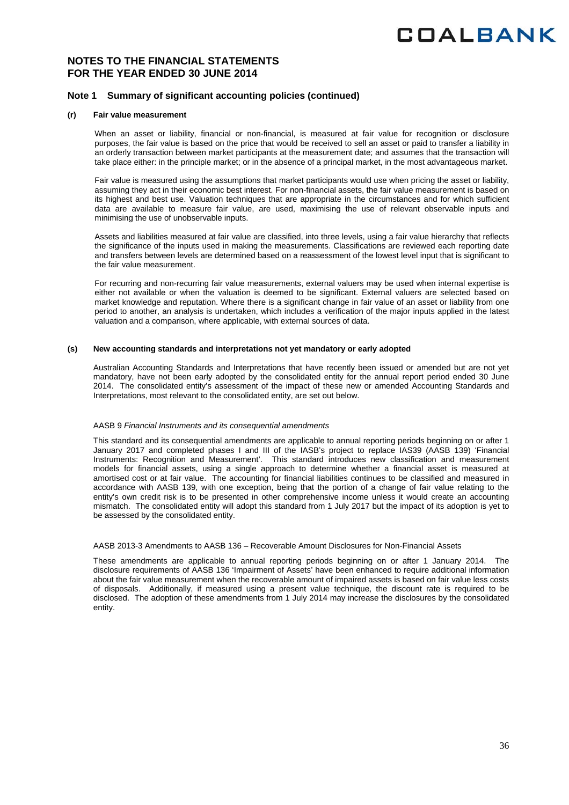### **NOTES TO THE FINANCIAL STATEMENTS FOR THE YEAR ENDED 30 JUNE 2014**

### **Note 1 Summary of significant accounting policies (continued)**

#### **(r) Fair value measurement**

When an asset or liability, financial or non-financial, is measured at fair value for recognition or disclosure purposes, the fair value is based on the price that would be received to sell an asset or paid to transfer a liability in an orderly transaction between market participants at the measurement date; and assumes that the transaction will take place either: in the principle market; or in the absence of a principal market, in the most advantageous market.

Fair value is measured using the assumptions that market participants would use when pricing the asset or liability, assuming they act in their economic best interest. For non-financial assets, the fair value measurement is based on its highest and best use. Valuation techniques that are appropriate in the circumstances and for which sufficient data are available to measure fair value, are used, maximising the use of relevant observable inputs and minimising the use of unobservable inputs.

Assets and liabilities measured at fair value are classified, into three levels, using a fair value hierarchy that reflects the significance of the inputs used in making the measurements. Classifications are reviewed each reporting date and transfers between levels are determined based on a reassessment of the lowest level input that is significant to the fair value measurement.

For recurring and non-recurring fair value measurements, external valuers may be used when internal expertise is either not available or when the valuation is deemed to be significant. External valuers are selected based on market knowledge and reputation. Where there is a significant change in fair value of an asset or liability from one period to another, an analysis is undertaken, which includes a verification of the major inputs applied in the latest valuation and a comparison, where applicable, with external sources of data.

#### **(s) New accounting standards and interpretations not yet mandatory or early adopted**

Australian Accounting Standards and Interpretations that have recently been issued or amended but are not yet mandatory, have not been early adopted by the consolidated entity for the annual report period ended 30 June 2014. The consolidated entity's assessment of the impact of these new or amended Accounting Standards and Interpretations, most relevant to the consolidated entity, are set out below.

#### AASB 9 *Financial Instruments and its consequential amendments*

This standard and its consequential amendments are applicable to annual reporting periods beginning on or after 1 January 2017 and completed phases I and III of the IASB's project to replace IAS39 (AASB 139) 'Financial Instruments: Recognition and Measurement'. This standard introduces new classification and measurement models for financial assets, using a single approach to determine whether a financial asset is measured at amortised cost or at fair value. The accounting for financial liabilities continues to be classified and measured in accordance with AASB 139, with one exception, being that the portion of a change of fair value relating to the entity's own credit risk is to be presented in other comprehensive income unless it would create an accounting mismatch. The consolidated entity will adopt this standard from 1 July 2017 but the impact of its adoption is yet to be assessed by the consolidated entity.

#### AASB 2013-3 Amendments to AASB 136 – Recoverable Amount Disclosures for Non-Financial Assets

These amendments are applicable to annual reporting periods beginning on or after 1 January 2014. The disclosure requirements of AASB 136 'Impairment of Assets' have been enhanced to require additional information about the fair value measurement when the recoverable amount of impaired assets is based on fair value less costs of disposals. Additionally, if measured using a present value technique, the discount rate is required to be disclosed. The adoption of these amendments from 1 July 2014 may increase the disclosures by the consolidated entity.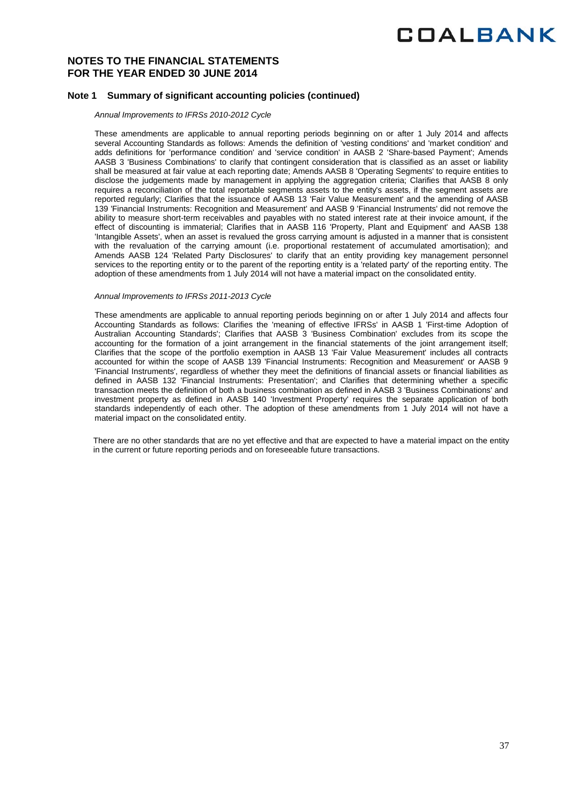### **NOTES TO THE FINANCIAL STATEMENTS FOR THE YEAR ENDED 30 JUNE 2014**

### **Note 1 Summary of significant accounting policies (continued)**

#### *Annual Improvements to IFRSs 2010-2012 Cycle*

These amendments are applicable to annual reporting periods beginning on or after 1 July 2014 and affects several Accounting Standards as follows: Amends the definition of 'vesting conditions' and 'market condition' and adds definitions for 'performance condition' and 'service condition' in AASB 2 'Share-based Payment'; Amends AASB 3 'Business Combinations' to clarify that contingent consideration that is classified as an asset or liability shall be measured at fair value at each reporting date; Amends AASB 8 'Operating Segments' to require entities to disclose the judgements made by management in applying the aggregation criteria; Clarifies that AASB 8 only requires a reconciliation of the total reportable segments assets to the entity's assets, if the segment assets are reported regularly; Clarifies that the issuance of AASB 13 'Fair Value Measurement' and the amending of AASB 139 'Financial Instruments: Recognition and Measurement' and AASB 9 'Financial Instruments' did not remove the ability to measure short-term receivables and payables with no stated interest rate at their invoice amount, if the effect of discounting is immaterial; Clarifies that in AASB 116 'Property, Plant and Equipment' and AASB 138 'Intangible Assets', when an asset is revalued the gross carrying amount is adjusted in a manner that is consistent with the revaluation of the carrying amount (i.e. proportional restatement of accumulated amortisation); and Amends AASB 124 'Related Party Disclosures' to clarify that an entity providing key management personnel services to the reporting entity or to the parent of the reporting entity is a 'related party' of the reporting entity. The adoption of these amendments from 1 July 2014 will not have a material impact on the consolidated entity.

#### *Annual Improvements to IFRSs 2011-2013 Cycle*

These amendments are applicable to annual reporting periods beginning on or after 1 July 2014 and affects four Accounting Standards as follows: Clarifies the 'meaning of effective IFRSs' in AASB 1 'First-time Adoption of Australian Accounting Standards'; Clarifies that AASB 3 'Business Combination' excludes from its scope the accounting for the formation of a joint arrangement in the financial statements of the joint arrangement itself; Clarifies that the scope of the portfolio exemption in AASB 13 'Fair Value Measurement' includes all contracts accounted for within the scope of AASB 139 'Financial Instruments: Recognition and Measurement' or AASB 9 'Financial Instruments', regardless of whether they meet the definitions of financial assets or financial liabilities as defined in AASB 132 'Financial Instruments: Presentation'; and Clarifies that determining whether a specific transaction meets the definition of both a business combination as defined in AASB 3 'Business Combinations' and investment property as defined in AASB 140 'Investment Property' requires the separate application of both standards independently of each other. The adoption of these amendments from 1 July 2014 will not have a material impact on the consolidated entity.

There are no other standards that are no yet effective and that are expected to have a material impact on the entity in the current or future reporting periods and on foreseeable future transactions.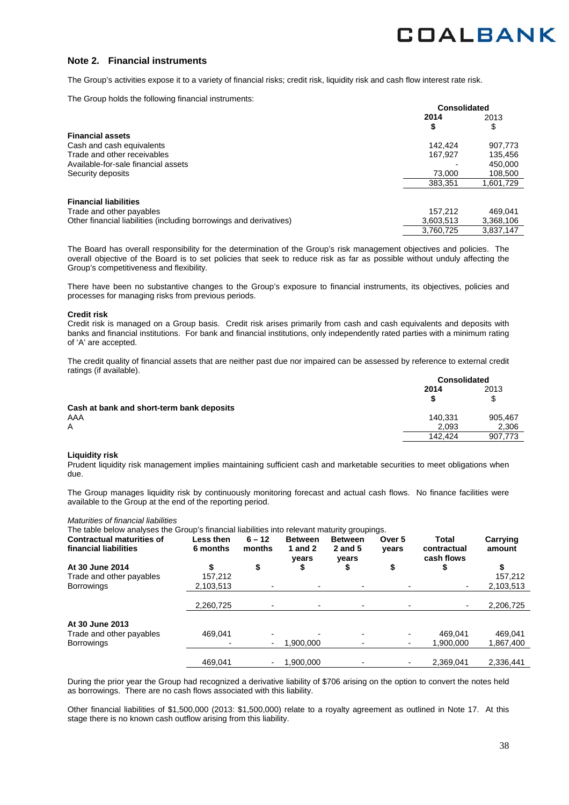### **Note 2. Financial instruments**

The Group's activities expose it to a variety of financial risks; credit risk, liquidity risk and cash flow interest rate risk.

The Group holds the following financial instruments:

|                                                                    | Consolidated |           |
|--------------------------------------------------------------------|--------------|-----------|
|                                                                    | 2014         | 2013      |
|                                                                    | \$           | \$        |
| <b>Financial assets</b>                                            |              |           |
| Cash and cash equivalents                                          | 142.424      | 907,773   |
| Trade and other receivables                                        | 167.927      | 135,456   |
| Available-for-sale financial assets                                |              | 450,000   |
| Security deposits                                                  | 73,000       | 108,500   |
|                                                                    | 383.351      | 1,601,729 |
| <b>Financial liabilities</b>                                       |              |           |
| Trade and other payables                                           | 157.212      | 469.041   |
| Other financial liabilities (including borrowings and derivatives) | 3,603,513    | 3,368,106 |
|                                                                    | 3,760,725    | 3,837,147 |

The Board has overall responsibility for the determination of the Group's risk management objectives and policies. The overall objective of the Board is to set policies that seek to reduce risk as far as possible without unduly affecting the Group's competitiveness and flexibility.

There have been no substantive changes to the Group's exposure to financial instruments, its objectives, policies and processes for managing risks from previous periods.

#### **Credit risk**

Credit risk is managed on a Group basis. Credit risk arises primarily from cash and cash equivalents and deposits with banks and financial institutions. For bank and financial institutions, only independently rated parties with a minimum rating of 'A' are accepted.

The credit quality of financial assets that are neither past due nor impaired can be assessed by reference to external credit ratings (if available).

|                                           | <b>Consolidated</b> |         |
|-------------------------------------------|---------------------|---------|
|                                           | 2014                | 2013    |
|                                           |                     | \$      |
| Cash at bank and short-term bank deposits |                     |         |
| AAA                                       | 140.331             | 905,467 |
| A                                         | 2.093               | 2,306   |
|                                           | 142.424             | 907.773 |

#### **Liquidity risk**

Prudent liquidity risk management implies maintaining sufficient cash and marketable securities to meet obligations when due.

The Group manages liquidity risk by continuously monitoring forecast and actual cash flows. No finance facilities were available to the Group at the end of the reporting period.

#### *Maturities of financial liabilities*

The table below analyses the Group's financial liabilities into relevant maturity groupings.

| <b>Contractual maturities of</b><br>financial liabilities | Less then<br>6 months | $6 - 12$<br>months       | <b>Between</b><br>1 and 2<br>vears | <b>Between</b><br>2 and 5<br>years | Over 5<br>years | Total<br>contractual<br>cash flows | Carrying<br>amount |
|-----------------------------------------------------------|-----------------------|--------------------------|------------------------------------|------------------------------------|-----------------|------------------------------------|--------------------|
| At 30 June 2014                                           |                       | \$                       | \$                                 | \$                                 | \$              |                                    | \$                 |
| Trade and other payables                                  | 157.212               |                          |                                    |                                    |                 |                                    | 157.212            |
| <b>Borrowings</b>                                         | 2,103,513             |                          |                                    |                                    |                 |                                    | 2,103,513          |
|                                                           | 2,260,725             |                          |                                    |                                    |                 |                                    | 2,206,725          |
| At 30 June 2013                                           |                       |                          |                                    |                                    |                 |                                    |                    |
| Trade and other payables                                  | 469.041               |                          |                                    |                                    | ٠               | 469.041                            | 469.041            |
| <b>Borrowings</b>                                         |                       | $\overline{\phantom{a}}$ | 1.900.000                          |                                    | ٠               | 1.900.000                          | 1,867,400          |
|                                                           | 469.041               | $\overline{\phantom{a}}$ | 1,900,000                          |                                    |                 | 2,369,041                          | 2,336,441          |

During the prior year the Group had recognized a derivative liability of \$706 arising on the option to convert the notes held as borrowings. There are no cash flows associated with this liability.

Other financial liabilities of \$1,500,000 (2013: \$1,500,000) relate to a royalty agreement as outlined in Note 17. At this stage there is no known cash outflow arising from this liability.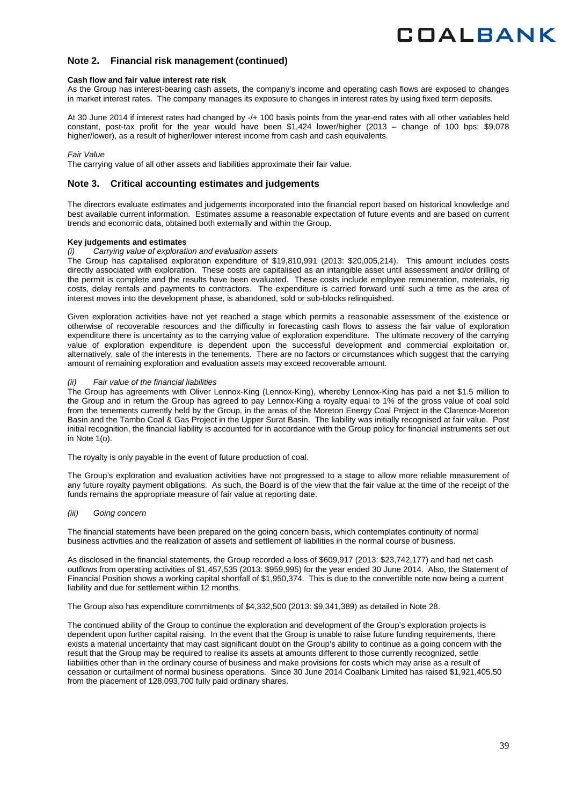### **Note 2. Financial risk management (continued)**

#### **Cash flow and fair value interest rate risk**

As the Group has interest-bearing cash assets, the company's income and operating cash flows are exposed to changes in market interest rates. The company manages its exposure to changes in interest rates by using fixed term deposits.

At 30 June 2014 if interest rates had changed by -/+ 100 basis points from the year-end rates with all other variables held constant, post-tax profit for the year would have been \$1,424 lower/higher (2013 – change of 100 bps: \$9,078 higher/lower), as a result of higher/lower interest income from cash and cash equivalents.

#### *Fair Value*

The carrying value of all other assets and liabilities approximate their fair value.

#### **Note 3. Critical accounting estimates and judgements**

The directors evaluate estimates and judgements incorporated into the financial report based on historical knowledge and best available current information. Estimates assume a reasonable expectation of future events and are based on current trends and economic data, obtained both externally and within the Group.

#### **Key judgements and estimates**

#### *(i) Carrying value of exploration and evaluation assets*

The Group has capitalised exploration expenditure of \$19,810,991 (2013: \$20,005,214). This amount includes costs directly associated with exploration. These costs are capitalised as an intangible asset until assessment and/or drilling of the permit is complete and the results have been evaluated. These costs include employee remuneration, materials, rig costs, delay rentals and payments to contractors. The expenditure is carried forward until such a time as the area of interest moves into the development phase, is abandoned, sold or sub-blocks relinquished.

Given exploration activities have not yet reached a stage which permits a reasonable assessment of the existence or otherwise of recoverable resources and the difficulty in forecasting cash flows to assess the fair value of exploration expenditure there is uncertainty as to the carrying value of exploration expenditure. The ultimate recovery of the carrying value of exploration expenditure is dependent upon the successful development and commercial exploitation or, alternatively, sale of the interests in the tenements. There are no factors or circumstances which suggest that the carrying amount of remaining exploration and evaluation assets may exceed recoverable amount.

#### *(ii) Fair value of the financial liabilities*

The Group has agreements with Oliver Lennox-King (Lennox-King), whereby Lennox-King has paid a net \$1.5 million to the Group and in return the Group has agreed to pay Lennox-King a royalty equal to 1% of the gross value of coal sold from the tenements currently held by the Group, in the areas of the Moreton Energy Coal Project in the Clarence-Moreton Basin and the Tambo Coal & Gas Project in the Upper Surat Basin. The liability was initially recognised at fair value. Post initial recognition, the financial liability is accounted for in accordance with the Group policy for financial instruments set out in Note 1(o).

The royalty is only payable in the event of future production of coal.

The Group's exploration and evaluation activities have not progressed to a stage to allow more reliable measurement of any future royalty payment obligations. As such, the Board is of the view that the fair value at the time of the receipt of the funds remains the appropriate measure of fair value at reporting date.

#### *(iii) Going concern*

The financial statements have been prepared on the going concern basis, which contemplates continuity of normal business activities and the realization of assets and settlement of liabilities in the normal course of business.

As disclosed in the financial statements, the Group recorded a loss of \$609,917 (2013: \$23,742,177) and had net cash outflows from operating activities of \$1,457,535 (2013: \$959,995) for the year ended 30 June 2014. Also, the Statement of Financial Position shows a working capital shortfall of \$1,950,374. This is due to the convertible note now being a current liability and due for settlement within 12 months.

The Group also has expenditure commitments of \$4,332,500 (2013: \$9,341,389) as detailed in Note 28.

The continued ability of the Group to continue the exploration and development of the Group's exploration projects is dependent upon further capital raising. In the event that the Group is unable to raise future funding requirements, there exists a material uncertainty that may cast significant doubt on the Group's ability to continue as a going concern with the result that the Group may be required to realise its assets at amounts different to those currently recognized, settle liabilities other than in the ordinary course of business and make provisions for costs which may arise as a result of cessation or curtailment of normal business operations. Since 30 June 2014 Coalbank Limited has raised \$1,921,405.50 from the placement of 128,093,700 fully paid ordinary shares.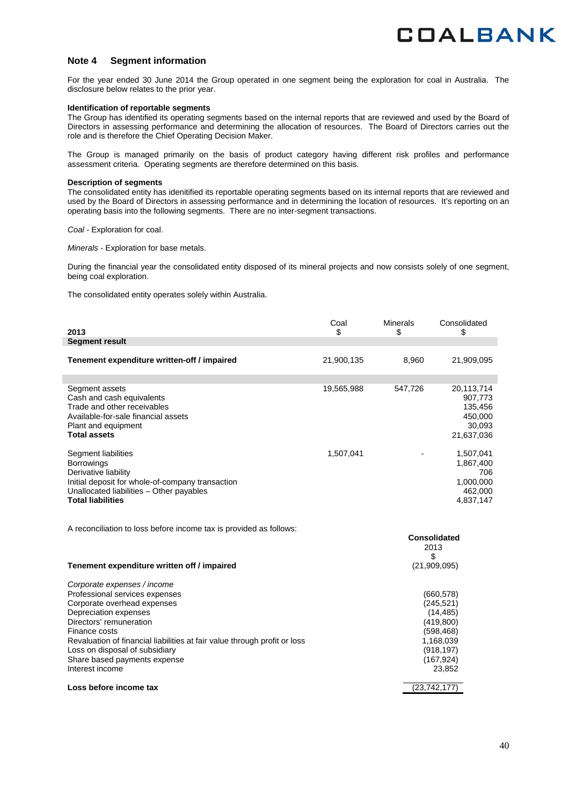### **Note 4 Segment information**

For the year ended 30 June 2014 the Group operated in one segment being the exploration for coal in Australia. The disclosure below relates to the prior year.

#### **Identification of reportable segments**

The Group has identified its operating segments based on the internal reports that are reviewed and used by the Board of Directors in assessing performance and determining the allocation of resources. The Board of Directors carries out the role and is therefore the Chief Operating Decision Maker.

The Group is managed primarily on the basis of product category having different risk profiles and performance assessment criteria. Operating segments are therefore determined on this basis.

#### **Description of segments**

The consolidated entity has idenitified its reportable operating segments based on its internal reports that are reviewed and used by the Board of Directors in assessing performance and in determining the location of resources. It's reporting on an operating basis into the following segments. There are no inter-segment transactions.

*Coal -* Exploration for coal.

*Minerals -* Exploration for base metals.

During the financial year the consolidated entity disposed of its mineral projects and now consists solely of one segment, being coal exploration.

The consolidated entity operates solely within Australia.

| 2013                                                                                                                                                                                         | Coal<br>\$ | <b>Minerals</b><br>\$ | Consolidated<br>\$                                                  |
|----------------------------------------------------------------------------------------------------------------------------------------------------------------------------------------------|------------|-----------------------|---------------------------------------------------------------------|
| <b>Segment result</b>                                                                                                                                                                        |            |                       |                                                                     |
| Tenement expenditure written-off / impaired                                                                                                                                                  | 21,900,135 | 8,960                 | 21,909,095                                                          |
| Segment assets<br>Cash and cash equivalents<br>Trade and other receivables<br>Available-for-sale financial assets<br>Plant and equipment<br><b>Total assets</b>                              | 19,565,988 | 547,726               | 20,113,714<br>907,773<br>135,456<br>450,000<br>30,093<br>21,637,036 |
| Segment liabilities<br><b>Borrowings</b><br>Derivative liability<br>Initial deposit for whole-of-company transaction<br>Unallocated liabilities - Other payables<br><b>Total liabilities</b> | 1,507,041  |                       | 1,507,041<br>1,867,400<br>706<br>1,000,000<br>462,000<br>4,837,147  |

A reconciliation to loss before income tax is provided as follows:

|                                                                           | 2013<br>S    |
|---------------------------------------------------------------------------|--------------|
| Tenement expenditure written off / impaired                               | (21,909,095) |
| Corporate expenses / income                                               |              |
| Professional services expenses                                            | (660,578)    |
| Corporate overhead expenses                                               | (245, 521)   |
| Depreciation expenses                                                     | (14.485)     |
| Directors' remuneration                                                   | (419, 800)   |
| Finance costs                                                             | (598,468)    |
| Revaluation of financial liabilities at fair value through profit or loss | 1,168,039    |
| Loss on disposal of subsidiary                                            | (918, 197)   |
| Share based payments expense                                              | (167, 924)   |
| Interest income                                                           | 23,852       |
| Loss before income tax                                                    | (23,742,177) |

**Consolidated**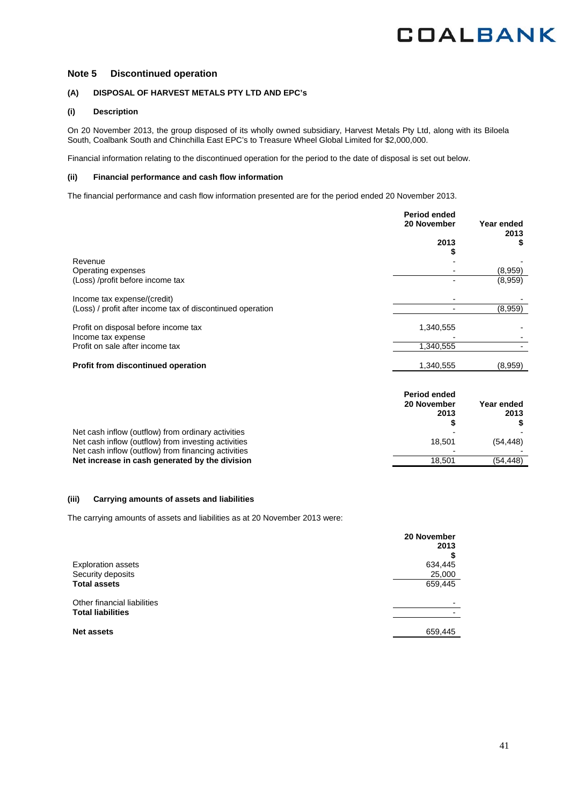### **Note 5 Discontinued operation**

### **(A) DISPOSAL OF HARVEST METALS PTY LTD AND EPC's**

#### **(i) Description**

On 20 November 2013, the group disposed of its wholly owned subsidiary, Harvest Metals Pty Ltd, along with its Biloela South, Coalbank South and Chinchilla East EPC's to Treasure Wheel Global Limited for \$2,000,000.

Financial information relating to the discontinued operation for the period to the date of disposal is set out below.

#### **(ii) Financial performance and cash flow information**

The financial performance and cash flow information presented are for the period ended 20 November 2013.

|                                                            | <b>Period ended</b><br>20 November | Year ended<br>2013 |
|------------------------------------------------------------|------------------------------------|--------------------|
|                                                            | 2013<br>\$                         | 5                  |
| Revenue<br>Operating expenses                              |                                    | (8,959)            |
| (Loss) /profit before income tax                           |                                    | (8,959)            |
| Income tax expense/(credit)                                |                                    |                    |
| (Loss) / profit after income tax of discontinued operation |                                    | (8,959)            |
| Profit on disposal before income tax                       | 1,340,555                          |                    |
| Income tax expense<br>Profit on sale after income tax      | 1,340,555                          |                    |
|                                                            |                                    |                    |
| Profit from discontinued operation                         | 1,340,555                          | (8.959)            |

|                                                                                                           | <b>Period ended</b><br>20 November<br>2013 | Year ended<br>2013 |
|-----------------------------------------------------------------------------------------------------------|--------------------------------------------|--------------------|
| Net cash inflow (outflow) from ordinary activities<br>Net cash inflow (outflow) from investing activities | 18.501                                     | (54, 448)          |
| Net cash inflow (outflow) from financing activities<br>Net increase in cash generated by the division     | 18.501                                     | (54.448)           |

#### **(iii) Carrying amounts of assets and liabilities**

The carrying amounts of assets and liabilities as at 20 November 2013 were:

|                             | 20 November<br>2013 |
|-----------------------------|---------------------|
|                             |                     |
| <b>Exploration assets</b>   | 634,445             |
| Security deposits           | 25,000              |
| <b>Total assets</b>         | 659,445             |
| Other financial liabilities |                     |
| <b>Total liabilities</b>    |                     |
| <b>Net assets</b>           | 659,445             |
|                             |                     |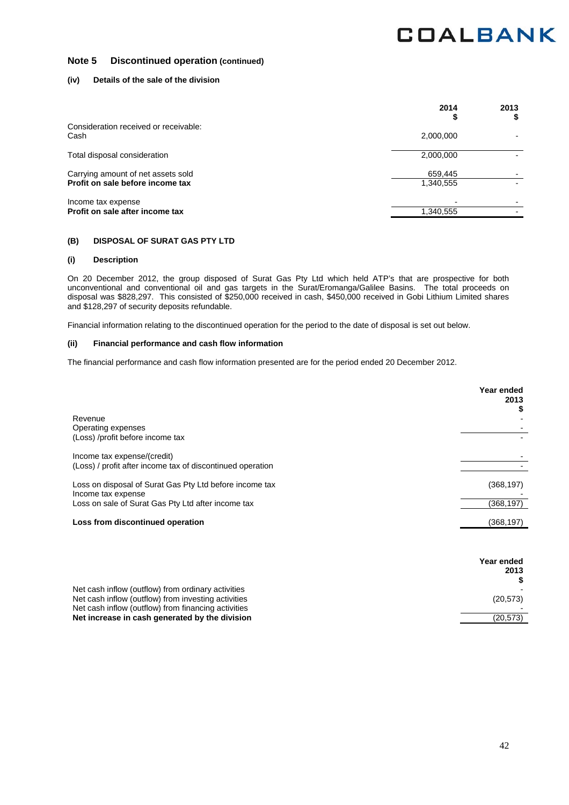### **Note 5 Discontinued operation (continued)**

#### **(iv) Details of the sale of the division**

|                                               | 2014      | 2013 |
|-----------------------------------------------|-----------|------|
| Consideration received or receivable:<br>Cash | 2,000,000 |      |
| Total disposal consideration                  | 2,000,000 |      |
| Carrying amount of net assets sold            | 659,445   |      |
| Profit on sale before income tax              | 1,340,555 |      |
| Income tax expense                            |           |      |
| Profit on sale after income tax               | 1,340,555 |      |

#### **(B) DISPOSAL OF SURAT GAS PTY LTD**

#### **(i) Description**

On 20 December 2012, the group disposed of Surat Gas Pty Ltd which held ATP's that are prospective for both unconventional and conventional oil and gas targets in the Surat/Eromanga/Galilee Basins. The total proceeds on disposal was \$828,297. This consisted of \$250,000 received in cash, \$450,000 received in Gobi Lithium Limited shares and \$128,297 of security deposits refundable.

Financial information relating to the discontinued operation for the period to the date of disposal is set out below.

#### **(ii) Financial performance and cash flow information**

The financial performance and cash flow information presented are for the period ended 20 December 2012.

|                                                                                                                                                                                                                    | Year ended<br>2013<br>S |
|--------------------------------------------------------------------------------------------------------------------------------------------------------------------------------------------------------------------|-------------------------|
| Revenue<br>Operating expenses<br>(Loss) /profit before income tax                                                                                                                                                  |                         |
| Income tax expense/(credit)<br>(Loss) / profit after income tax of discontinued operation                                                                                                                          |                         |
| Loss on disposal of Surat Gas Pty Ltd before income tax<br>Income tax expense                                                                                                                                      | (368, 197)              |
| Loss on sale of Surat Gas Pty Ltd after income tax                                                                                                                                                                 | (368,197)               |
| Loss from discontinued operation                                                                                                                                                                                   | (368, 197)              |
|                                                                                                                                                                                                                    | Year ended<br>2013      |
| Net cash inflow (outflow) from ordinary activities<br>Net cash inflow (outflow) from investing activities<br>Net cash inflow (outflow) from financing activities<br>Net increase in cash generated by the division | (20, 573)<br>(20, 573)  |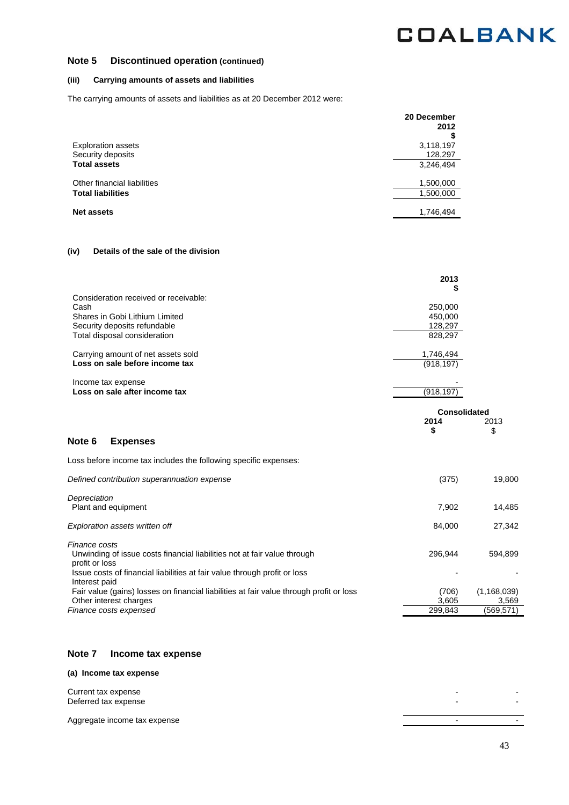**Consolidated 2014**  2013

\$

**\$**

## **Note 5 Discontinued operation (continued)**

#### **(iii) Carrying amounts of assets and liabilities**

The carrying amounts of assets and liabilities as at 20 December 2012 were:

|                             | 20 December |
|-----------------------------|-------------|
|                             | 2012        |
|                             |             |
| <b>Exploration assets</b>   | 3,118,197   |
| Security deposits           | 128,297     |
| <b>Total assets</b>         | 3,246,494   |
| Other financial liabilities | 1,500,000   |
| <b>Total liabilities</b>    | 1,500,000   |
| <b>Net assets</b>           | 1,746,494   |
|                             |             |

## **(iv) Details of the sale of the division**

|                                       | 2013<br>\$ |
|---------------------------------------|------------|
| Consideration received or receivable: |            |
| Cash                                  | 250,000    |
| Shares in Gobi Lithium Limited        | 450,000    |
| Security deposits refundable          | 128,297    |
| Total disposal consideration          | 828,297    |
| Carrying amount of net assets sold    | 1,746,494  |
| Loss on sale before income tax        | (918, 197) |
| Income tax expense                    |            |
| Loss on sale after income tax         | (918,197)  |

|  | Note 6 |  | <b>Expenses</b> |
|--|--------|--|-----------------|
|--|--------|--|-----------------|

Loss before income tax includes the following specific expenses:

| Defined contribution superannuation expense                                                                 | (375)   | 19,800        |
|-------------------------------------------------------------------------------------------------------------|---------|---------------|
| Depreciation<br>Plant and equipment                                                                         | 7.902   | 14.485        |
| Exploration assets written off                                                                              | 84.000  | 27,342        |
| Finance costs<br>Unwinding of issue costs financial liabilities not at fair value through<br>profit or loss | 296.944 | 594.899       |
| Issue costs of financial liabilities at fair value through profit or loss<br>Interest paid                  |         |               |
| Fair value (gains) losses on financial liabilities at fair value through profit or loss                     | (706)   | (1, 168, 039) |
| Other interest charges                                                                                      | 3.605   | 3.569         |
| Finance costs expensed                                                                                      | 299.843 | (569.571)     |

## **Note 7 Income tax expense**

|  |  |  | (a) Income tax expense |
|--|--|--|------------------------|
|--|--|--|------------------------|

| Current tax expense<br>Deferred tax expense |  |
|---------------------------------------------|--|
| Aggregate income tax expense                |  |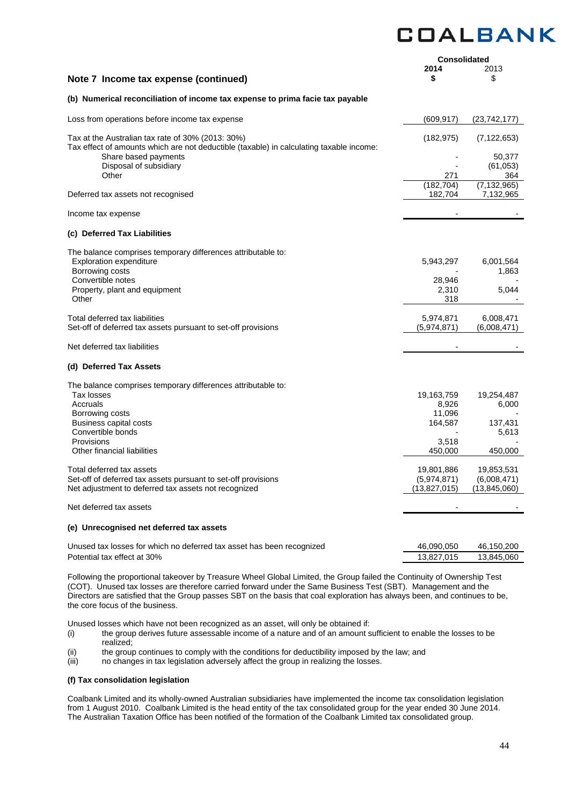|                                                                                                                                              | <b>Consolidated</b>      |                            |
|----------------------------------------------------------------------------------------------------------------------------------------------|--------------------------|----------------------------|
| Note 7 Income tax expense (continued)                                                                                                        | 2014<br>\$               | 2013<br>\$                 |
| (b) Numerical reconciliation of income tax expense to prima facie tax payable                                                                |                          |                            |
| Loss from operations before income tax expense                                                                                               | (609,917)                | (23, 742, 177)             |
| Tax at the Australian tax rate of 30% (2013: 30%)<br>Tax effect of amounts which are not deductible (taxable) in calculating taxable income: | (182, 975)               | (7, 122, 653)              |
| Share based payments<br>Disposal of subsidiary                                                                                               |                          | 50,377<br>(61, 053)        |
| Other                                                                                                                                        | 271                      | 364                        |
| Deferred tax assets not recognised                                                                                                           | (182, 704)<br>182,704    | (7, 132, 965)<br>7,132,965 |
| Income tax expense                                                                                                                           |                          |                            |
| (c) Deferred Tax Liabilities                                                                                                                 |                          |                            |
| The balance comprises temporary differences attributable to:                                                                                 |                          |                            |
| <b>Exploration expenditure</b>                                                                                                               | 5,943,297                | 6,001,564                  |
| Borrowing costs<br>Convertible notes                                                                                                         | 28,946                   | 1,863                      |
| Property, plant and equipment                                                                                                                | 2,310                    | 5,044                      |
| Other                                                                                                                                        | 318                      |                            |
| Total deferred tax liabilities<br>Set-off of deferred tax assets pursuant to set-off provisions                                              | 5,974,871<br>(5,974,871) | 6,008,471<br>(6,008,471)   |
|                                                                                                                                              |                          |                            |
| Net deferred tax liabilities                                                                                                                 |                          |                            |
| (d) Deferred Tax Assets                                                                                                                      |                          |                            |
| The balance comprises temporary differences attributable to:                                                                                 |                          |                            |
| Tax losses                                                                                                                                   | 19,163,759               | 19,254,487                 |
| Accruals<br>Borrowing costs                                                                                                                  | 8,926<br>11,096          | 6,000                      |
| <b>Business capital costs</b>                                                                                                                | 164,587                  | 137,431                    |
| Convertible bonds                                                                                                                            |                          | 5,613                      |
| Provisions                                                                                                                                   | 3,518                    |                            |
| Other financial liabilities                                                                                                                  | 450,000                  | 450,000                    |
| Total deferred tax assets                                                                                                                    | 19,801,886               | 19,853,531                 |
| Set-off of deferred tax assets pursuant to set-off provisions                                                                                | (5,974,871)              | (6,008,471)                |
| Net adjustment to deferred tax assets not recognized                                                                                         | (13,827,015)             | (13,845,060)               |
| Net deferred tax assets                                                                                                                      |                          |                            |
| (e) Unrecognised net deferred tax assets                                                                                                     |                          |                            |
| Unused tax losses for which no deferred tax asset has been recognized                                                                        | 46,090,050               | 46,150,200                 |
| Potential tax effect at 30%                                                                                                                  | 13,827,015               | 13,845,060                 |

Following the proportional takeover by Treasure Wheel Global Limited, the Group failed the Continuity of Ownership Test (COT). Unused tax losses are therefore carried forward under the Same Business Test (SBT). Management and the Directors are satisfied that the Group passes SBT on the basis that coal exploration has always been, and continues to be, the core focus of the business.

Unused losses which have not been recognized as an asset, will only be obtained if:

- (i) the group derives future assessable income of a nature and of an amount sufficient to enable the losses to be realized;
- (ii) the group continues to comply with the conditions for deductibility imposed by the law; and<br>(iii) on changes in tax legislation adversely affect the group in realizing the losses.
- no changes in tax legislation adversely affect the group in realizing the losses.

#### **(f) Tax consolidation legislation**

Coalbank Limited and its wholly-owned Australian subsidiaries have implemented the income tax consolidation legislation from 1 August 2010. Coalbank Limited is the head entity of the tax consolidated group for the year ended 30 June 2014. The Australian Taxation Office has been notified of the formation of the Coalbank Limited tax consolidated group.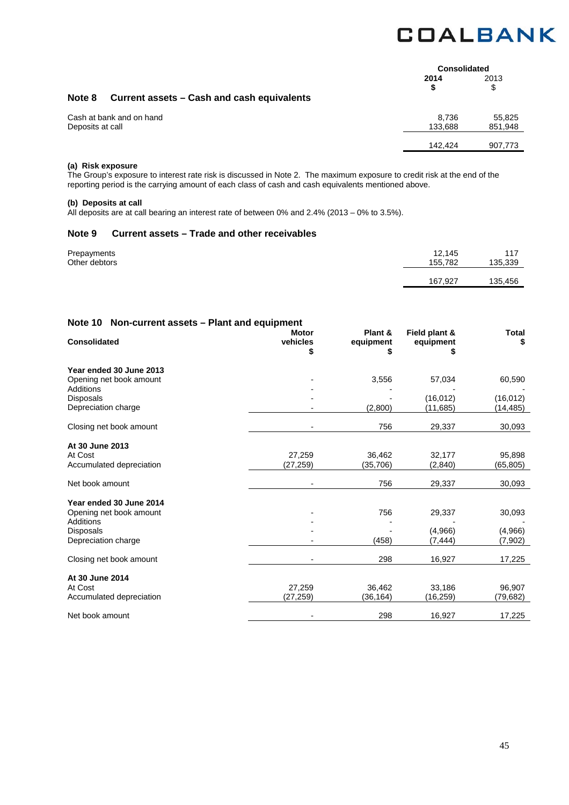|                  |                                            | <b>Consolidated</b> |            |
|------------------|--------------------------------------------|---------------------|------------|
|                  |                                            | 2014<br>S           | 2013<br>\$ |
| Note 8           | Current assets - Cash and cash equivalents |                     |            |
|                  | Cash at bank and on hand                   | 8.736               | 55,825     |
| Deposits at call |                                            | 133.688             | 851,948    |
|                  |                                            | 142.424             | 907.773    |

#### **(a) Risk exposure**

The Group's exposure to interest rate risk is discussed in Note 2. The maximum exposure to credit risk at the end of the reporting period is the carrying amount of each class of cash and cash equivalents mentioned above.

#### **(b) Deposits at call**

All deposits are at call bearing an interest rate of between 0% and 2.4% (2013 – 0% to 3.5%).

### **Note 9 Current assets – Trade and other receivables**

| Prepayments   | 12.145  | 117     |
|---------------|---------|---------|
| Other debtors | 155,782 | 135,339 |
|               | 167,927 | 135,456 |

| Note 10 Non-current assets - Plant and equipment                                                           | <b>Motor</b>        | Plant &            | Field plant &                 | <b>Total</b>                 |
|------------------------------------------------------------------------------------------------------------|---------------------|--------------------|-------------------------------|------------------------------|
| Consolidated                                                                                               | vehicles            | equipment<br>S     | equipment                     | S                            |
| Year ended 30 June 2013<br>Opening net book amount<br>Additions                                            |                     | 3,556              | 57,034                        | 60,590                       |
| <b>Disposals</b><br>Depreciation charge                                                                    |                     | (2,800)            | (16, 012)<br>(11,685)         | (16, 012)<br>(14, 485)       |
| Closing net book amount                                                                                    |                     | 756                | 29,337                        | 30,093                       |
| At 30 June 2013<br>At Cost<br>Accumulated depreciation                                                     | 27,259<br>(27, 259) | 36,462<br>(35,706) | 32,177<br>(2,840)             | 95,898<br>(65,805)           |
| Net book amount                                                                                            |                     | 756                | 29,337                        | 30,093                       |
| Year ended 30 June 2014<br>Opening net book amount<br>Additions<br><b>Disposals</b><br>Depreciation charge |                     | 756<br>(458)       | 29,337<br>(4,966)<br>(7, 444) | 30,093<br>(4,966)<br>(7,902) |
| Closing net book amount                                                                                    |                     | 298                | 16,927                        | 17,225                       |
| At 30 June 2014<br>At Cost<br>Accumulated depreciation                                                     | 27,259<br>(27, 259) | 36,462<br>(36,164) | 33,186<br>(16, 259)           | 96,907<br>(79,682)           |
| Net book amount                                                                                            |                     | 298                | 16,927                        | 17,225                       |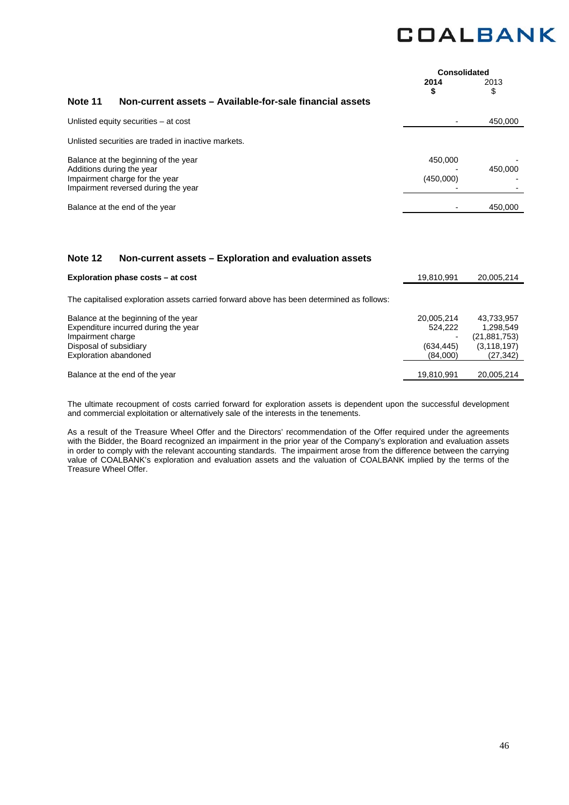|                                                                                                                                            | Consolidated         |            |
|--------------------------------------------------------------------------------------------------------------------------------------------|----------------------|------------|
|                                                                                                                                            | 2014<br>\$           | 2013<br>\$ |
| Note 11<br>Non-current assets - Available-for-sale financial assets                                                                        |                      |            |
| Unlisted equity securities – at cost                                                                                                       |                      | 450,000    |
| Unlisted securities are traded in inactive markets.                                                                                        |                      |            |
| Balance at the beginning of the year<br>Additions during the year<br>Impairment charge for the year<br>Impairment reversed during the year | 450.000<br>(450,000) | 450.000    |
| Balance at the end of the year                                                                                                             |                      | 450,000    |

### **Note 12 Non-current assets – Exploration and evaluation assets**

| Exploration phase costs – at cost                                                                                                                    | 19,810,991                                     | 20,005,214                                                            |
|------------------------------------------------------------------------------------------------------------------------------------------------------|------------------------------------------------|-----------------------------------------------------------------------|
| The capitalised exploration assets carried forward above has been determined as follows:                                                             |                                                |                                                                       |
| Balance at the beginning of the year<br>Expenditure incurred during the year<br>Impairment charge<br>Disposal of subsidiary<br>Exploration abandoned | 20.005.214<br>524.222<br>(634,445)<br>(84,000) | 43,733,957<br>1.298.549<br>(21,881,753)<br>(3, 118, 197)<br>(27, 342) |
| Balance at the end of the year                                                                                                                       | 19,810,991                                     | 20,005,214                                                            |

The ultimate recoupment of costs carried forward for exploration assets is dependent upon the successful development and commercial exploitation or alternatively sale of the interests in the tenements.

As a result of the Treasure Wheel Offer and the Directors' recommendation of the Offer required under the agreements with the Bidder, the Board recognized an impairment in the prior year of the Company's exploration and evaluation assets in order to comply with the relevant accounting standards. The impairment arose from the difference between the carrying value of COALBANK's exploration and evaluation assets and the valuation of COALBANK implied by the terms of the Treasure Wheel Offer.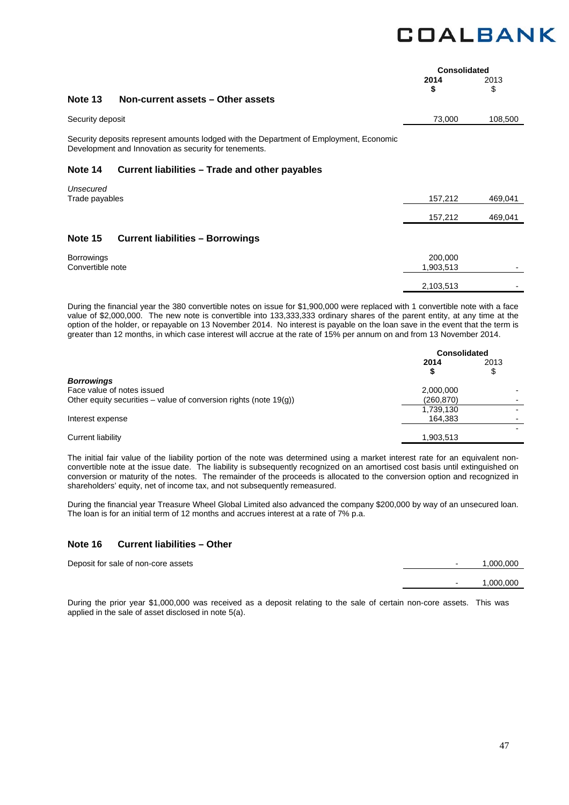|                   |                                                                                                                                                 | <b>Consolidated</b> |            |
|-------------------|-------------------------------------------------------------------------------------------------------------------------------------------------|---------------------|------------|
|                   |                                                                                                                                                 | 2014<br>\$          | 2013<br>\$ |
| Note 13           | Non-current assets – Other assets                                                                                                               |                     |            |
| Security deposit  |                                                                                                                                                 | 73,000              | 108,500    |
|                   | Security deposits represent amounts lodged with the Department of Employment, Economic<br>Development and Innovation as security for tenements. |                     |            |
| Note 14           | Current liabilities – Trade and other payables                                                                                                  |                     |            |
| Unsecured         |                                                                                                                                                 |                     |            |
| Trade payables    |                                                                                                                                                 | 157,212             | 469,041    |
|                   |                                                                                                                                                 | 157,212             | 469,041    |
| Note 15           | <b>Current liabilities - Borrowings</b>                                                                                                         |                     |            |
| <b>Borrowings</b> |                                                                                                                                                 | 200,000             |            |
| Convertible note  |                                                                                                                                                 | 1,903,513           |            |
|                   |                                                                                                                                                 | 2,103,513           |            |

During the financial year the 380 convertible notes on issue for \$1,900,000 were replaced with 1 convertible note with a face value of \$2,000,000. The new note is convertible into 133,333,333 ordinary shares of the parent entity, at any time at the option of the holder, or repayable on 13 November 2014. No interest is payable on the loan save in the event that the term is greater than 12 months, in which case interest will accrue at the rate of 15% per annum on and from 13 November 2014.

|                                                                      | <b>Consolidated</b> |            |
|----------------------------------------------------------------------|---------------------|------------|
|                                                                      | 2014<br>\$          | 2013<br>\$ |
| <b>Borrowings</b>                                                    |                     |            |
| Face value of notes issued                                           | 2,000,000           |            |
| Other equity securities – value of conversion rights (note $19(g)$ ) | (260, 870)          |            |
|                                                                      | 1,739,130           |            |
| Interest expense                                                     | 164,383             |            |
|                                                                      |                     |            |
| Current liability                                                    | 1,903,513           |            |

The initial fair value of the liability portion of the note was determined using a market interest rate for an equivalent nonconvertible note at the issue date. The liability is subsequently recognized on an amortised cost basis until extinguished on conversion or maturity of the notes. The remainder of the proceeds is allocated to the conversion option and recognized in shareholders' equity, net of income tax, and not subsequently remeasured.

During the financial year Treasure Wheel Global Limited also advanced the company \$200,000 by way of an unsecured loan. The loan is for an initial term of 12 months and accrues interest at a rate of 7% p.a.

## **Note 16 Current liabilities – Other**

Deposit for sale of non-core assets  $1,000,000$ 

- 1,000,000

During the prior year \$1,000,000 was received as a deposit relating to the sale of certain non-core assets. This was applied in the sale of asset disclosed in note 5(a).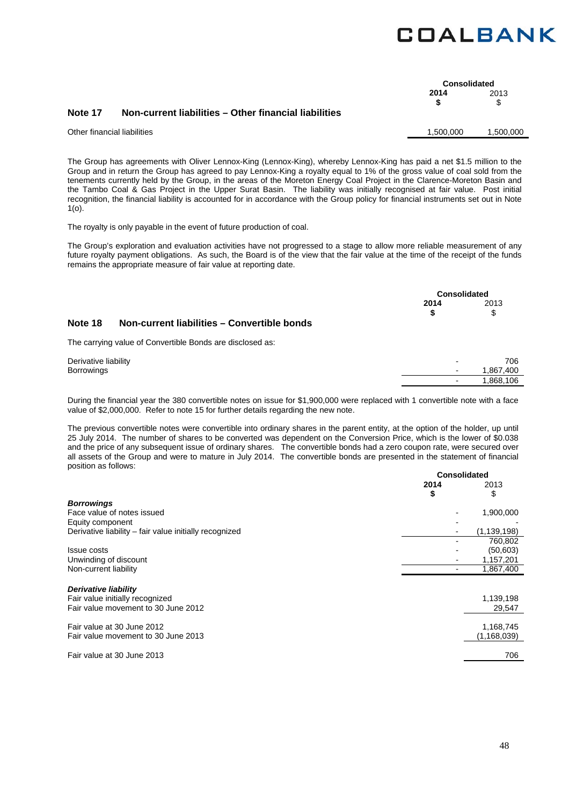|                             |                                                       | <b>Consolidated</b> |            |
|-----------------------------|-------------------------------------------------------|---------------------|------------|
|                             |                                                       | 2014                | 2013<br>\$ |
| Note 17                     | Non-current liabilities – Other financial liabilities |                     |            |
| Other financial liabilities |                                                       | 1,500,000           | 1.500.000  |
|                             |                                                       |                     |            |

The Group has agreements with Oliver Lennox-King (Lennox-King), whereby Lennox-King has paid a net \$1.5 million to the Group and in return the Group has agreed to pay Lennox-King a royalty equal to 1% of the gross value of coal sold from the tenements currently held by the Group, in the areas of the Moreton Energy Coal Project in the Clarence-Moreton Basin and the Tambo Coal & Gas Project in the Upper Surat Basin. The liability was initially recognised at fair value. Post initial recognition, the financial liability is accounted for in accordance with the Group policy for financial instruments set out in Note 1(o).

The royalty is only payable in the event of future production of coal.

The Group's exploration and evaluation activities have not progressed to a stage to allow more reliable measurement of any future royalty payment obligations. As such, the Board is of the view that the fair value at the time of the receipt of the funds remains the appropriate measure of fair value at reporting date.

|         |                                             | <b>Consolidated</b> |      |
|---------|---------------------------------------------|---------------------|------|
|         |                                             | 2014                | 2013 |
|         |                                             |                     |      |
| Note 18 | Non-current liabilities – Convertible bonds |                     |      |

The carrying value of Convertible Bonds are disclosed as:

| Derivative liability | $\overline{\phantom{0}}$ | 706       |
|----------------------|--------------------------|-----------|
| <b>Borrowings</b>    | $\sim$                   | 1,867,400 |
|                      | $\overline{\phantom{0}}$ | 1.868.106 |
|                      |                          |           |

During the financial year the 380 convertible notes on issue for \$1,900,000 were replaced with 1 convertible note with a face value of \$2,000,000. Refer to note 15 for further details regarding the new note.

The previous convertible notes were convertible into ordinary shares in the parent entity, at the option of the holder, up until 25 July 2014. The number of shares to be converted was dependent on the Conversion Price, which is the lower of \$0.038 and the price of any subsequent issue of ordinary shares. The convertible bonds had a zero coupon rate, were secured over all assets of the Group and were to mature in July 2014. The convertible bonds are presented in the statement of financial position as follows:

|                                                        | <b>Consolidated</b> |               |
|--------------------------------------------------------|---------------------|---------------|
|                                                        | 2014<br>\$          | 2013<br>\$    |
| <b>Borrowings</b>                                      |                     |               |
| Face value of notes issued                             |                     | 1,900,000     |
| Equity component                                       |                     |               |
| Derivative liability - fair value initially recognized |                     | (1, 139, 198) |
|                                                        |                     | 760,802       |
| <b>Issue costs</b>                                     |                     | (50, 603)     |
| Unwinding of discount                                  |                     | 1,157,201     |
| Non-current liability                                  |                     | 1,867,400     |
| <b>Derivative liability</b>                            |                     |               |
| Fair value initially recognized                        |                     | 1,139,198     |
| Fair value movement to 30 June 2012                    |                     | 29,547        |
| Fair value at 30 June 2012                             |                     | 1,168,745     |
| Fair value movement to 30 June 2013                    |                     | (1,168,039)   |
|                                                        |                     |               |
| Fair value at 30 June 2013                             |                     | 706           |
|                                                        |                     |               |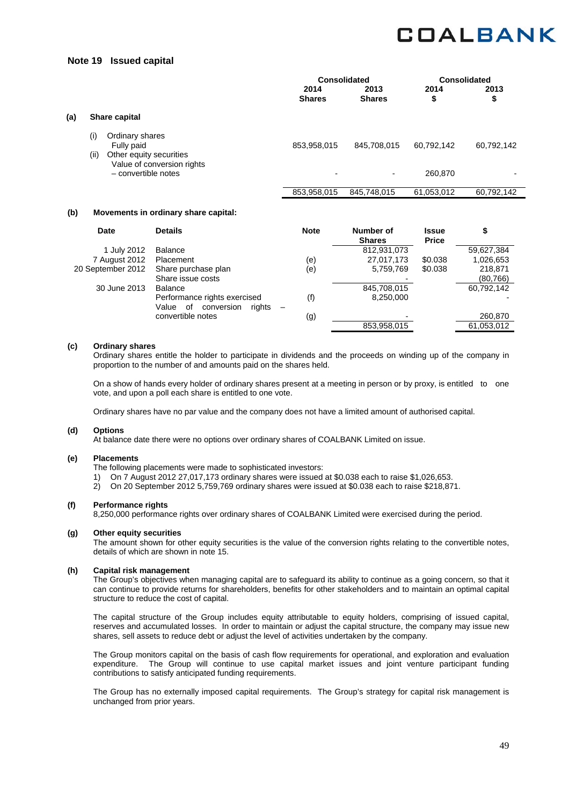#### **Note 19 Issued capital**

|     |                                                                         |                       | <b>Consolidated</b>      |            | <b>Consolidated</b> |
|-----|-------------------------------------------------------------------------|-----------------------|--------------------------|------------|---------------------|
|     |                                                                         | 2014<br><b>Shares</b> | 2013<br><b>Shares</b>    | 2014<br>\$ | 2013<br>\$          |
| (a) | Share capital                                                           |                       |                          |            |                     |
|     | (i)<br>Ordinary shares<br>Fully paid<br>(ii)<br>Other equity securities | 853,958,015           | 845,708,015              | 60,792,142 | 60,792,142          |
|     | Value of conversion rights<br>- convertible notes                       |                       | $\overline{\phantom{0}}$ | 260,870    |                     |
|     |                                                                         | 853,958,015           | 845,748,015              | 61,053,012 | 60,792,142          |

#### **(b) Movements in ordinary share capital:**

| <b>Date</b>       | <b>Details</b>                      | <b>Note</b> | Number of<br><b>Shares</b> | <b>Issue</b><br><b>Price</b> | \$         |
|-------------------|-------------------------------------|-------------|----------------------------|------------------------------|------------|
| 1 July 2012       | <b>Balance</b>                      |             | 812,931,073                |                              | 59,627,384 |
| 7 August 2012     | Placement                           | (e)         | 27,017,173                 | \$0.038                      | 1,026,653  |
| 20 September 2012 | Share purchase plan                 | (e)         | 5,759,769                  | \$0.038                      | 218,871    |
|                   | Share issue costs                   |             |                            |                              | (80, 766)  |
| 30 June 2013      | <b>Balance</b>                      |             | 845,708,015                |                              | 60,792,142 |
|                   | Performance rights exercised        | (f)         | 8,250,000                  |                              |            |
|                   | Value<br>conversion<br>riahts<br>οf |             |                            |                              |            |
|                   | convertible notes                   | (g)         |                            |                              | 260,870    |
|                   |                                     |             | 853,958,015                |                              | 61,053,012 |

#### **(c) Ordinary shares**

 Ordinary shares entitle the holder to participate in dividends and the proceeds on winding up of the company in proportion to the number of and amounts paid on the shares held.

 On a show of hands every holder of ordinary shares present at a meeting in person or by proxy, is entitled to one vote, and upon a poll each share is entitled to one vote.

Ordinary shares have no par value and the company does not have a limited amount of authorised capital.

#### **(d) Options**

At balance date there were no options over ordinary shares of COALBANK Limited on issue.

#### **(e) Placements**

- The following placements were made to sophisticated investors:
- 1) On 7 August 2012 27,017,173 ordinary shares were issued at \$0.038 each to raise \$1,026,653.
- 2) On 20 September 2012 5,759,769 ordinary shares were issued at \$0.038 each to raise \$218,871.

#### **(f) Performance rights**

8,250,000 performance rights over ordinary shares of COALBANK Limited were exercised during the period.

#### **(g) Other equity securities**

The amount shown for other equity securities is the value of the conversion rights relating to the convertible notes, details of which are shown in note 15.

#### **(h) Capital risk management**

The Group's objectives when managing capital are to safeguard its ability to continue as a going concern, so that it can continue to provide returns for shareholders, benefits for other stakeholders and to maintain an optimal capital structure to reduce the cost of capital.

The capital structure of the Group includes equity attributable to equity holders, comprising of issued capital, reserves and accumulated losses. In order to maintain or adjust the capital structure, the company may issue new shares, sell assets to reduce debt or adjust the level of activities undertaken by the company.

The Group monitors capital on the basis of cash flow requirements for operational, and exploration and evaluation expenditure. The Group will continue to use capital market issues and joint venture participant funding contributions to satisfy anticipated funding requirements.

The Group has no externally imposed capital requirements. The Group's strategy for capital risk management is unchanged from prior years.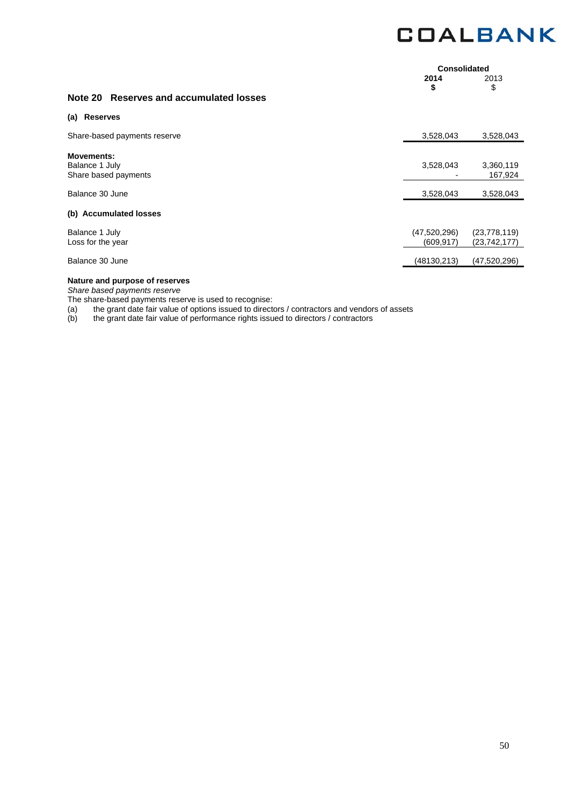|                                         | Consolidated |                |
|-----------------------------------------|--------------|----------------|
|                                         | 2014         | 2013           |
| Note 20 Reserves and accumulated losses | \$           | \$             |
|                                         |              |                |
| <b>Reserves</b><br>(a)                  |              |                |
| Share-based payments reserve            | 3,528,043    | 3,528,043      |
| <b>Movements:</b>                       |              |                |
| Balance 1 July                          | 3,528,043    | 3,360,119      |
| Share based payments                    |              | 167,924        |
| Balance 30 June                         | 3,528,043    | 3,528,043      |
|                                         |              |                |
| (b) Accumulated losses                  |              |                |
| Balance 1 July                          | (47,520,296) | (23, 778, 119) |
| Loss for the year                       | (609,917)    | (23, 742, 177) |
| Balance 30 June                         | (48130, 213) | (47,520,296)   |
|                                         |              |                |

#### **Nature and purpose of reserves**

*Share based payments reserve* 

The share-based payments reserve is used to recognise:

(a) the grant date fair value of options issued to directors / contractors and vendors of assets

(b) the grant date fair value of performance rights issued to directors / contractors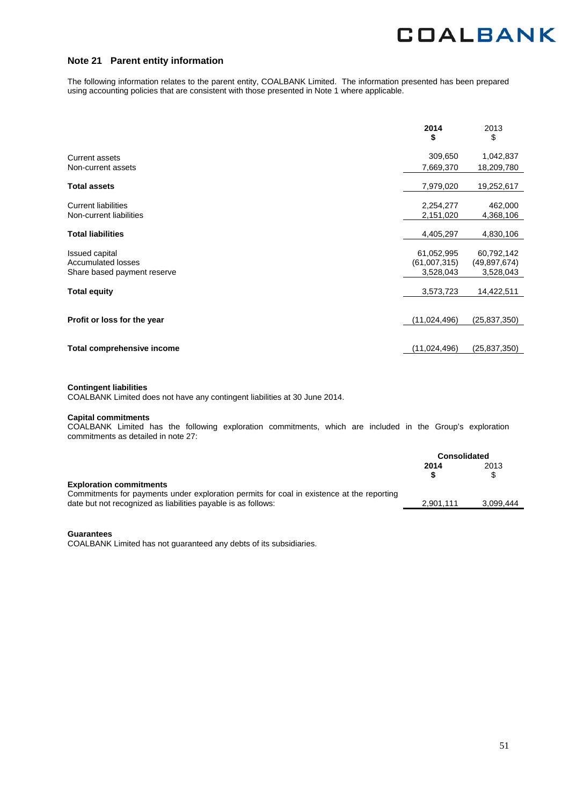### **Note 21 Parent entity information**

The following information relates to the parent entity, COALBANK Limited. The information presented has been prepared using accounting policies that are consistent with those presented in Note 1 where applicable.

|                                                          | 2014<br>\$                | 2013<br>\$                  |
|----------------------------------------------------------|---------------------------|-----------------------------|
| <b>Current assets</b>                                    | 309,650                   | 1,042,837                   |
| Non-current assets                                       | 7,669,370                 | 18,209,780                  |
| <b>Total assets</b>                                      | 7,979,020                 | 19,252,617                  |
| <b>Current liabilities</b>                               | 2,254,277                 | 462,000                     |
| Non-current liabilities                                  | 2,151,020                 | 4,368,106                   |
| <b>Total liabilities</b>                                 | 4,405,297                 | 4,830,106                   |
| <b>Issued capital</b>                                    | 61,052,995                | 60,792,142                  |
| <b>Accumulated losses</b><br>Share based payment reserve | (61,007,315)<br>3,528,043 | (49, 897, 674)<br>3,528,043 |
| <b>Total equity</b>                                      | 3,573,723                 | 14,422,511                  |
|                                                          |                           |                             |
| Profit or loss for the year                              | (11,024,496)              | (25, 837, 350)              |
|                                                          |                           |                             |
| <b>Total comprehensive income</b>                        | (11,024,496)              | (25, 837, 350)              |

#### **Contingent liabilities**

COALBANK Limited does not have any contingent liabilities at 30 June 2014.

#### **Capital commitments**

COALBANK Limited has the following exploration commitments, which are included in the Group's exploration commitments as detailed in note 27:

|                                                                                           | <b>Consolidated</b> |  |
|-------------------------------------------------------------------------------------------|---------------------|--|
| 2014                                                                                      | 2013                |  |
|                                                                                           |                     |  |
| <b>Exploration commitments</b>                                                            |                     |  |
| Commitments for payments under exploration permits for coal in existence at the reporting |                     |  |
| date but not recognized as liabilities payable is as follows:<br>2.901.111                | 3.099.444           |  |

#### **Guarantees**

COALBANK Limited has not guaranteed any debts of its subsidiaries.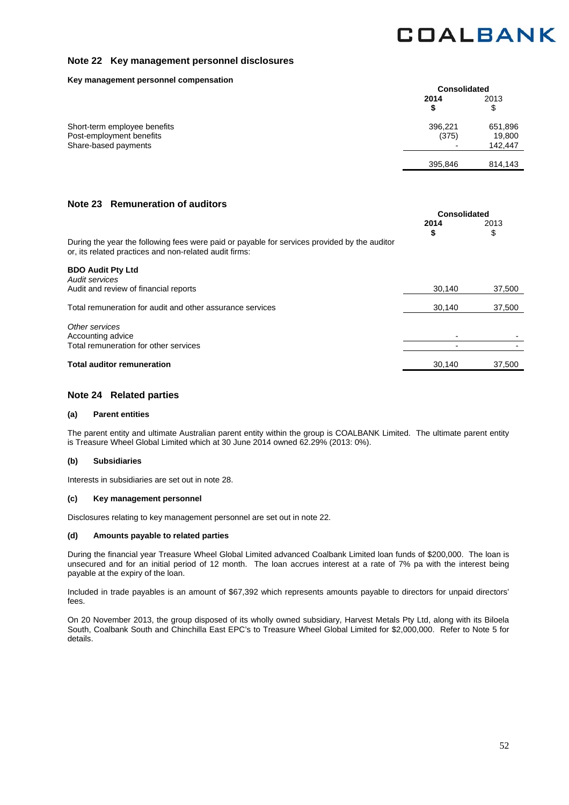### **Note 22 Key management personnel disclosures**

#### **Key management personnel compensation**

|                                                                                  |                  | <b>Consolidated</b>          |  |
|----------------------------------------------------------------------------------|------------------|------------------------------|--|
|                                                                                  | 2014<br>S        | 2013<br>\$                   |  |
| Short-term employee benefits<br>Post-employment benefits<br>Share-based payments | 396.221<br>(375) | 651,896<br>19,800<br>142,447 |  |
|                                                                                  | 395.846          | 814,143                      |  |

### **Note 23 Remuneration of auditors**

|                                                                                                                                                        | Consolidated |            |
|--------------------------------------------------------------------------------------------------------------------------------------------------------|--------------|------------|
|                                                                                                                                                        | 2014<br>\$   | 2013<br>\$ |
| During the year the following fees were paid or payable for services provided by the auditor<br>or, its related practices and non-related audit firms: |              |            |
| <b>BDO Audit Pty Ltd</b><br>Audit services                                                                                                             |              |            |
| Audit and review of financial reports                                                                                                                  | 30.140       | 37.500     |
| Total remuneration for audit and other assurance services                                                                                              | 30,140       | 37,500     |
| Other services<br>Accounting advice                                                                                                                    |              |            |
| Total remuneration for other services                                                                                                                  |              |            |
| <b>Total auditor remuneration</b>                                                                                                                      | 30.140       | 37.500     |

### **Note 24 Related parties**

#### **(a) Parent entities**

The parent entity and ultimate Australian parent entity within the group is COALBANK Limited. The ultimate parent entity is Treasure Wheel Global Limited which at 30 June 2014 owned 62.29% (2013: 0%).

#### **(b) Subsidiaries**

Interests in subsidiaries are set out in note 28.

#### **(c) Key management personnel**

Disclosures relating to key management personnel are set out in note 22.

#### **(d) Amounts payable to related parties**

During the financial year Treasure Wheel Global Limited advanced Coalbank Limited loan funds of \$200,000. The loan is unsecured and for an initial period of 12 month. The loan accrues interest at a rate of 7% pa with the interest being payable at the expiry of the loan.

Included in trade payables is an amount of \$67,392 which represents amounts payable to directors for unpaid directors' fees.

On 20 November 2013, the group disposed of its wholly owned subsidiary, Harvest Metals Pty Ltd, along with its Biloela South, Coalbank South and Chinchilla East EPC's to Treasure Wheel Global Limited for \$2,000,000. Refer to Note 5 for details.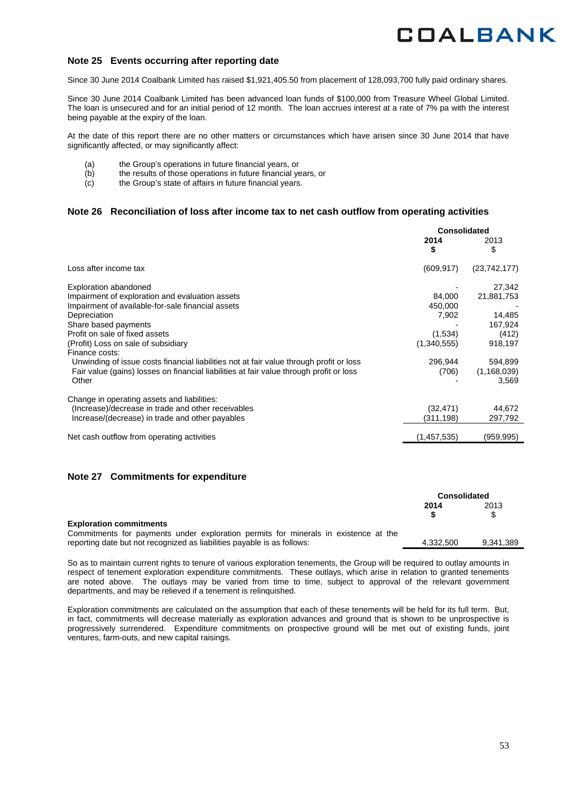### **Note 25 Events occurring after reporting date**

Since 30 June 2014 Coalbank Limited has raised \$1,921,405.50 from placement of 128,093,700 fully paid ordinary shares.

Since 30 June 2014 Coalbank Limited has been advanced loan funds of \$100,000 from Treasure Wheel Global Limited. The loan is unsecured and for an initial period of 12 month. The loan accrues interest at a rate of 7% pa with the interest being payable at the expiry of the loan.

At the date of this report there are no other matters or circumstances which have arisen since 30 June 2014 that have significantly affected, or may significantly affect:

- (a) the Group's operations in future financial years, or
- (b) the results of those operations in future financial years, or (c) the Group's state of affairs in future financial years.
- the Group's state of affairs in future financial years.

#### **Note 26 Reconciliation of loss after income tax to net cash outflow from operating activities**

|                                                                                         | Consolidated  |                |
|-----------------------------------------------------------------------------------------|---------------|----------------|
|                                                                                         | 2014<br>\$    | 2013<br>\$     |
| Loss after income tax                                                                   | (609.917)     | (23, 742, 177) |
| <b>Exploration abandoned</b>                                                            |               | 27,342         |
| Impairment of exploration and evaluation assets                                         | 84,000        | 21,881,753     |
| Impairment of available-for-sale financial assets                                       | 450,000       |                |
| Depreciation                                                                            | 7,902         | 14,485         |
| Share based payments                                                                    |               | 167,924        |
| Profit on sale of fixed assets                                                          | (1,534)       | (412)          |
| (Profit) Loss on sale of subsidiary                                                     | (1,340,555)   | 918,197        |
| Finance costs:                                                                          |               |                |
| Unwinding of issue costs financial liabilities not at fair value through profit or loss | 296,944       | 594,899        |
| Fair value (gains) losses on financial liabilities at fair value through profit or loss | (706)         | (1, 168, 039)  |
| Other                                                                                   |               | 3,569          |
| Change in operating assets and liabilities:                                             |               |                |
| (Increase)/decrease in trade and other receivables                                      | (32, 471)     | 44,672         |
| Increase/(decrease) in trade and other payables                                         | (311,198)     | 297,792        |
| Net cash outflow from operating activities                                              | (1, 457, 535) | (959,995)      |

### **Note 27 Commitments for expenditure**

|                                                                                     | Consolidated |           |
|-------------------------------------------------------------------------------------|--------------|-----------|
|                                                                                     | 2014         | 2013      |
|                                                                                     |              |           |
| <b>Exploration commitments</b>                                                      |              |           |
| Commitments for payments under exploration permits for minerals in existence at the |              |           |
| reporting date but not recognized as liabilities payable is as follows:             | 4.332.500    | 9.341.389 |

So as to maintain current rights to tenure of various exploration tenements, the Group will be required to outlay amounts in respect of tenement exploration expenditure commitments. These outlays, which arise in relation to granted tenements are noted above. The outlays may be varied from time to time, subject to approval of the relevant government departments, and may be relieved if a tenement is relinquished.

Exploration commitments are calculated on the assumption that each of these tenements will be held for its full term. But, in fact, commitments will decrease materially as exploration advances and ground that is shown to be unprospective is progressively surrendered. Expenditure commitments on prospective ground will be met out of existing funds, joint ventures, farm-outs, and new capital raisings.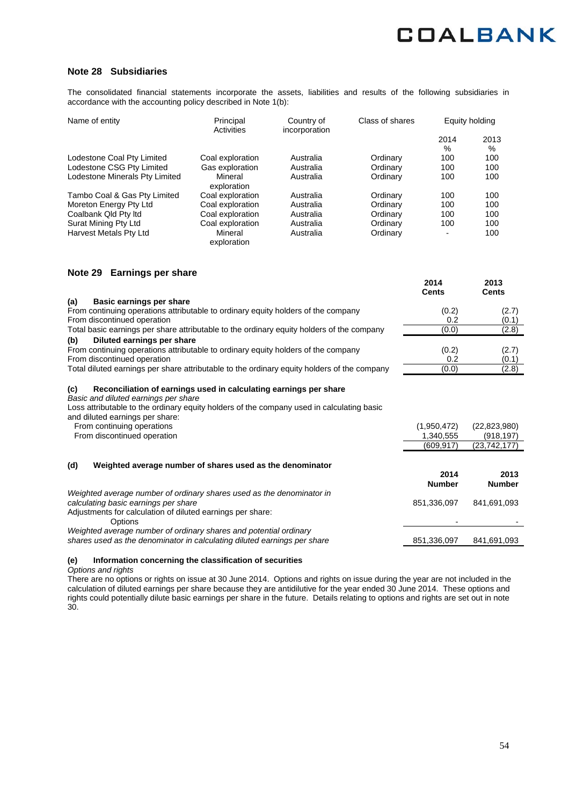**2014** 

**2013**

### **Note 28 Subsidiaries**

The consolidated financial statements incorporate the assets, liabilities and results of the following subsidiaries in accordance with the accounting policy described in Note 1(b):

| Name of entity                 | Principal<br>Activities | Country of<br>incorporation | Class of shares |                          | Equity holding |
|--------------------------------|-------------------------|-----------------------------|-----------------|--------------------------|----------------|
|                                |                         |                             |                 | 2014<br>%                | 2013<br>$\%$   |
| Lodestone Coal Pty Limited     | Coal exploration        | Australia                   | Ordinary        | 100                      | 100            |
| Lodestone CSG Pty Limited      | Gas exploration         | Australia                   | Ordinary        | 100                      | 100            |
| Lodestone Minerals Pty Limited | Mineral<br>exploration  | Australia                   | Ordinary        | 100                      | 100            |
| Tambo Coal & Gas Pty Limited   | Coal exploration        | Australia                   | Ordinary        | 100                      | 100            |
| Moreton Energy Pty Ltd         | Coal exploration        | Australia                   | Ordinary        | 100                      | 100            |
| Coalbank Qld Pty Itd           | Coal exploration        | Australia                   | Ordinary        | 100                      | 100            |
| Surat Mining Pty Ltd           | Coal exploration        | Australia                   | Ordinary        | 100                      | 100            |
| Harvest Metals Pty Ltd         | Mineral<br>exploration  | Australia                   | Ordinary        | $\overline{\phantom{0}}$ | 100            |

### **Note 29 Earnings per share**

|                                                                                                                                               | 20 I 4<br><b>Cents</b> | 20 I J<br><b>Cents</b> |
|-----------------------------------------------------------------------------------------------------------------------------------------------|------------------------|------------------------|
| (a)<br>Basic earnings per share                                                                                                               |                        |                        |
| From continuing operations attributable to ordinary equity holders of the company                                                             | (0.2)                  | (2.7)                  |
| From discontinued operation                                                                                                                   | 0.2                    | (0.1)                  |
| Total basic earnings per share attributable to the ordinary equity holders of the company                                                     | (0.0)                  | (2.8)                  |
| Diluted earnings per share<br>(b)                                                                                                             |                        |                        |
| From continuing operations attributable to ordinary equity holders of the company                                                             | (0.2)                  | (2.7)                  |
| From discontinued operation                                                                                                                   | 0.2                    | (0.1)                  |
| Total diluted earnings per share attributable to the ordinary equity holders of the company                                                   | (0.0)                  | (2.8)                  |
|                                                                                                                                               |                        |                        |
| Reconciliation of earnings used in calculating earnings per share<br>(c)                                                                      |                        |                        |
| Basic and diluted earnings per share                                                                                                          |                        |                        |
| Loss attributable to the ordinary equity holders of the company used in calculating basic                                                     |                        |                        |
| and diluted earnings per share:                                                                                                               |                        |                        |
| From continuing operations                                                                                                                    | (1,950,472)            | (22, 823, 980)         |
| From discontinued operation                                                                                                                   | 1,340,555              | (918, 197)             |
|                                                                                                                                               | (609, 917)             | (23, 742, 177)         |
|                                                                                                                                               |                        |                        |
| Weighted average number of shares used as the denominator<br>(d)                                                                              |                        |                        |
|                                                                                                                                               | 2014                   | 2013                   |
|                                                                                                                                               | <b>Number</b>          | <b>Number</b>          |
| Weighted average number of ordinary shares used as the denominator in                                                                         |                        |                        |
| calculating basic earnings per share                                                                                                          | 851,336,097            | 841,691,093            |
| Adjustments for calculation of diluted earnings per share:                                                                                    |                        |                        |
| Options                                                                                                                                       |                        |                        |
| Weighted average number of ordinary shares and potential ordinary<br>shares used as the denominator in calculating diluted earnings per share | 851,336,097            | 841,691,093            |
|                                                                                                                                               |                        |                        |

### **(e) Information concerning the classification of securities**

*Options and rights* 

There are no options or rights on issue at 30 June 2014. Options and rights on issue during the year are not included in the calculation of diluted earnings per share because they are antidilutive for the year ended 30 June 2014. These options and rights could potentially dilute basic earnings per share in the future. Details relating to options and rights are set out in note 30.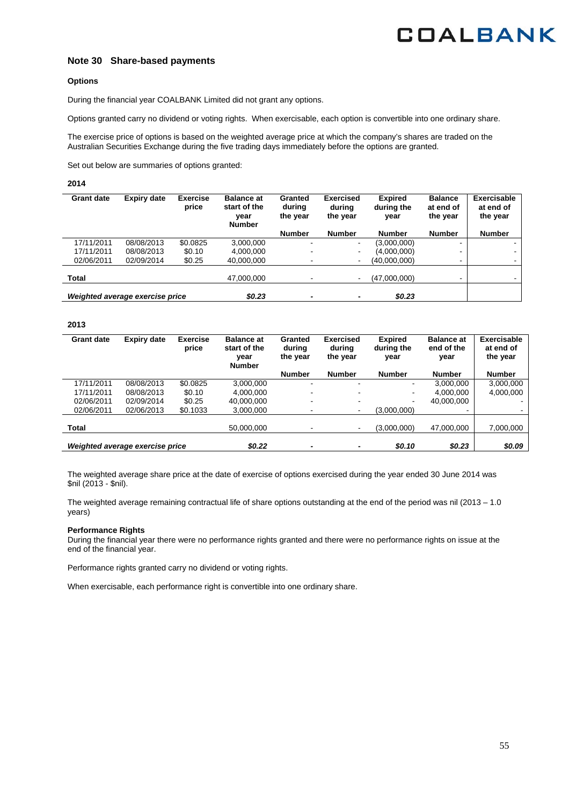### **Note 30 Share-based payments**

### **Options**

During the financial year COALBANK Limited did not grant any options.

Options granted carry no dividend or voting rights. When exercisable, each option is convertible into one ordinary share.

The exercise price of options is based on the weighted average price at which the company's shares are traded on the Australian Securities Exchange during the five trading days immediately before the options are granted.

Set out below are summaries of options granted:

### **2014**

| <b>Grant date</b> | <b>Expiry date</b>              | <b>Exercise</b><br>price | <b>Balance at</b><br>start of the<br>year<br><b>Number</b> | Granted<br>during<br>the year | <b>Exercised</b><br>during<br>the year | <b>Expired</b><br>during the<br>year | <b>Balance</b><br>at end of<br>the year | <b>Exercisable</b><br>at end of<br>the year |
|-------------------|---------------------------------|--------------------------|------------------------------------------------------------|-------------------------------|----------------------------------------|--------------------------------------|-----------------------------------------|---------------------------------------------|
|                   |                                 |                          |                                                            | <b>Number</b>                 | <b>Number</b>                          | <b>Number</b>                        | <b>Number</b>                           | <b>Number</b>                               |
| 17/11/2011        | 08/08/2013                      | \$0.0825                 | 3.000.000                                                  | $\overline{\phantom{a}}$      | $\sim$                                 | (3,000,000)                          | -                                       |                                             |
| 17/11/2011        | 08/08/2013                      | \$0.10                   | 4,000,000                                                  | $\overline{\phantom{a}}$      | $\blacksquare$                         | (4,000,000)                          |                                         |                                             |
| 02/06/2011        | 02/09/2014                      | \$0.25                   | 40,000,000                                                 | $\overline{\phantom{a}}$      |                                        | (40,000,000)                         |                                         |                                             |
| Total             |                                 |                          | 47.000.000                                                 |                               |                                        | (47,000,000)                         |                                         |                                             |
|                   | Weighted average exercise price |                          | \$0.23                                                     | $\overline{\phantom{a}}$      | ٠                                      | \$0.23                               |                                         |                                             |

#### **2013**

| <b>Grant date</b> | Expiry date                     | <b>Exercise</b><br>price | <b>Balance at</b><br>start of the<br>year<br><b>Number</b> | Granted<br>during<br>the year | <b>Exercised</b><br>during<br>the year | <b>Expired</b><br>during the<br>year | <b>Balance at</b><br>end of the<br>year | Exercisable<br>at end of<br>the year |
|-------------------|---------------------------------|--------------------------|------------------------------------------------------------|-------------------------------|----------------------------------------|--------------------------------------|-----------------------------------------|--------------------------------------|
|                   |                                 |                          |                                                            | <b>Number</b>                 | <b>Number</b>                          | <b>Number</b>                        | <b>Number</b>                           | <b>Number</b>                        |
| 17/11/2011        | 08/08/2013                      | \$0.0825                 | 3.000.000                                                  | $\blacksquare$                | ۰                                      | $\blacksquare$                       | 3.000.000                               | 3.000.000                            |
| 17/11/2011        | 08/08/2013                      | \$0.10                   | 4.000.000                                                  |                               | $\overline{\phantom{a}}$               |                                      | 4.000.000                               | 4.000.000                            |
| 02/06/2011        | 02/09/2014                      | \$0.25                   | 40,000,000                                                 | $\blacksquare$                | $\overline{\phantom{a}}$               | $\blacksquare$                       | 40,000,000                              |                                      |
| 02/06/2011        | 02/06/2013                      | \$0.1033                 | 3,000,000                                                  |                               | ۰.                                     | (3.000.000)                          |                                         |                                      |
|                   |                                 |                          |                                                            |                               |                                        |                                      |                                         |                                      |
| Total             |                                 |                          | 50.000.000                                                 |                               | ٠                                      | (3,000,000)                          | 47,000,000                              | 7.000.000                            |
|                   | Weighted average exercise price |                          | \$0.22                                                     | -                             | ٠                                      | \$0.10                               | \$0.23                                  | \$0.09                               |

The weighted average share price at the date of exercise of options exercised during the year ended 30 June 2014 was \$nil (2013 - \$nil).

The weighted average remaining contractual life of share options outstanding at the end of the period was nil (2013 – 1.0 years)

#### **Performance Rights**

During the financial year there were no performance rights granted and there were no performance rights on issue at the end of the financial year.

Performance rights granted carry no dividend or voting rights.

When exercisable, each performance right is convertible into one ordinary share.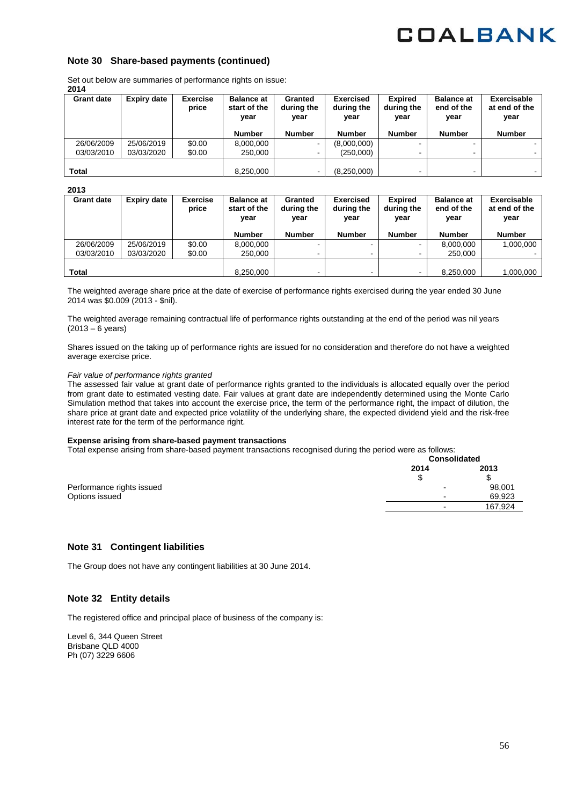### **Note 30 Share-based payments (continued)**

Set out below are summaries of performance rights on issue: **2014** 

| <b>Grant date</b> | Expiry date | <b>Exercise</b><br>price | <b>Balance at</b><br>start of the<br>year | Granted<br>during the<br>year | <b>Exercised</b><br>during the<br>vear | <b>Expired</b><br>during the<br>vear | <b>Balance at</b><br>end of the<br>year | Exercisable<br>at end of the<br>year |
|-------------------|-------------|--------------------------|-------------------------------------------|-------------------------------|----------------------------------------|--------------------------------------|-----------------------------------------|--------------------------------------|
|                   |             |                          | <b>Number</b>                             | <b>Number</b>                 | <b>Number</b>                          | <b>Number</b>                        | <b>Number</b>                           | <b>Number</b>                        |
| 26/06/2009        | 25/06/2019  | \$0.00                   | 8.000.000                                 |                               | (8,000,000)                            |                                      | ۰.                                      |                                      |
| 03/03/2010        | 03/03/2020  | \$0.00                   | 250,000                                   |                               | (250.000)                              |                                      | -                                       |                                      |
| Total             |             |                          | 8.250.000                                 |                               | (8.250.000)                            | -                                    | $\overline{\phantom{a}}$                | $\overline{\phantom{a}}$             |

#### **2013**

| 20 I J            |                    |                          |                                           |                                      |                                        |                                      |                                         |                                      |
|-------------------|--------------------|--------------------------|-------------------------------------------|--------------------------------------|----------------------------------------|--------------------------------------|-----------------------------------------|--------------------------------------|
| <b>Grant date</b> | <b>Expiry date</b> | <b>Exercise</b><br>price | <b>Balance at</b><br>start of the<br>year | <b>Granted</b><br>during the<br>year | <b>Exercised</b><br>during the<br>year | <b>Expired</b><br>during the<br>year | <b>Balance at</b><br>end of the<br>year | Exercisable<br>at end of the<br>year |
|                   |                    |                          | <b>Number</b>                             | <b>Number</b>                        | <b>Number</b>                          | <b>Number</b>                        | <b>Number</b>                           | <b>Number</b>                        |
| 26/06/2009        | 25/06/2019         | \$0.00                   | 8,000,000                                 |                                      | ۰.                                     |                                      | 8.000.000                               | 1.000.000                            |
| 03/03/2010        | 03/03/2020         | \$0.00                   | 250,000                                   |                                      | $\overline{\phantom{a}}$               |                                      | 250.000                                 |                                      |
|                   |                    |                          |                                           |                                      |                                        |                                      |                                         |                                      |
| Total             |                    |                          | 8,250,000                                 | -                                    | $\overline{\phantom{a}}$               |                                      | 8,250,000                               | 1,000,000                            |

The weighted average share price at the date of exercise of performance rights exercised during the year ended 30 June 2014 was \$0.009 (2013 - \$nil).

The weighted average remaining contractual life of performance rights outstanding at the end of the period was nil years  $(2013 - 6 \text{ years})$ 

Shares issued on the taking up of performance rights are issued for no consideration and therefore do not have a weighted average exercise price.

#### *Fair value of performance rights granted*

The assessed fair value at grant date of performance rights granted to the individuals is allocated equally over the period from grant date to estimated vesting date. Fair values at grant date are independently determined using the Monte Carlo Simulation method that takes into account the exercise price, the term of the performance right, the impact of dilution, the share price at grant date and expected price volatility of the underlying share, the expected dividend yield and the risk-free interest rate for the term of the performance right.

#### **Expense arising from share-based payment transactions**

Total expense arising from share-based payment transactions recognised during the period were as follows:

|      | <b>Consolidated</b> |  |  |
|------|---------------------|--|--|
| 2014 | 2013                |  |  |
| \$   |                     |  |  |
|      | 98,001              |  |  |
|      | 69,923              |  |  |
| -    | 167.924             |  |  |
|      |                     |  |  |

### **Note 31 Contingent liabilities**

The Group does not have any contingent liabilities at 30 June 2014.

### **Note 32 Entity details**

The registered office and principal place of business of the company is:

Level 6, 344 Queen Street Brisbane QLD 4000 Ph (07) 3229 6606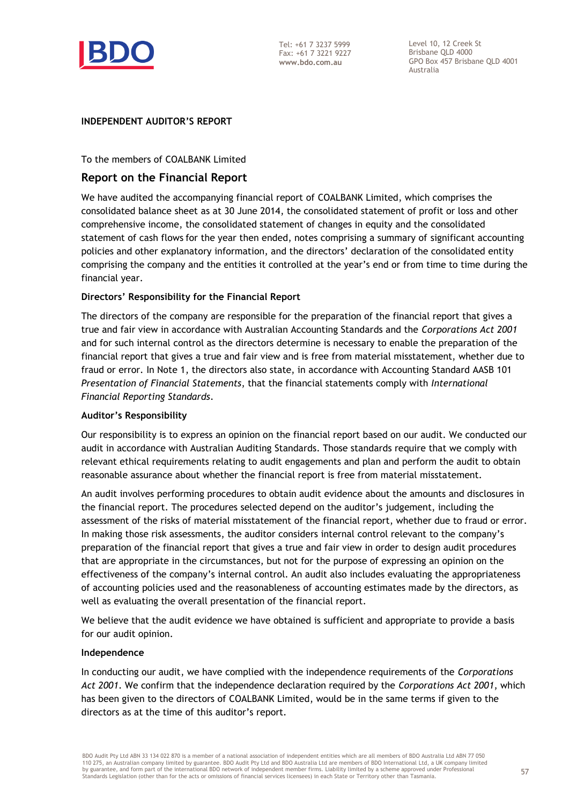

Tel: +61 7 3237 5999 Fax: +61 7 3221 9227 **www.bdo.com.au**

Level 10, 12 Creek St Brisbane QLD 4000 GPO Box 457 Brisbane QLD 4001 Australia

### **INDEPENDENT AUDITOR'S REPORT**

### To the members of COALBANK Limited

## **Report on the Financial Report**

We have audited the accompanying financial report of COALBANK Limited, which comprises the consolidated balance sheet as at 30 June 2014, the consolidated statement of profit or loss and other comprehensive income, the consolidated statement of changes in equity and the consolidated statement of cash flows for the year then ended, notes comprising a summary of significant accounting policies and other explanatory information, and the directors' declaration of the consolidated entity comprising the company and the entities it controlled at the year's end or from time to time during the financial year.

### **Directors' Responsibility for the Financial Report**

The directors of the company are responsible for the preparation of the financial report that gives a true and fair view in accordance with Australian Accounting Standards and the *Corporations Act 2001*  and for such internal control as the directors determine is necessary to enable the preparation of the financial report that gives a true and fair view and is free from material misstatement, whether due to fraud or error. In Note 1, the directors also state, in accordance with Accounting Standard AASB 101 *Presentation of Financial Statements*, that the financial statements comply with *International Financial Reporting Standards*.

### **Auditor's Responsibility**

Our responsibility is to express an opinion on the financial report based on our audit. We conducted our audit in accordance with Australian Auditing Standards. Those standards require that we comply with relevant ethical requirements relating to audit engagements and plan and perform the audit to obtain reasonable assurance about whether the financial report is free from material misstatement.

An audit involves performing procedures to obtain audit evidence about the amounts and disclosures in the financial report. The procedures selected depend on the auditor's judgement, including the assessment of the risks of material misstatement of the financial report, whether due to fraud or error. In making those risk assessments, the auditor considers internal control relevant to the company's preparation of the financial report that gives a true and fair view in order to design audit procedures that are appropriate in the circumstances, but not for the purpose of expressing an opinion on the effectiveness of the company's internal control. An audit also includes evaluating the appropriateness of accounting policies used and the reasonableness of accounting estimates made by the directors, as well as evaluating the overall presentation of the financial report.

We believe that the audit evidence we have obtained is sufficient and appropriate to provide a basis for our audit opinion.

### **Independence**

In conducting our audit, we have complied with the independence requirements of the *Corporations Act 2001*. We confirm that the independence declaration required by the *Corporations Act 2001*, which has been given to the directors of COALBANK Limited, would be in the same terms if given to the directors as at the time of this auditor's report.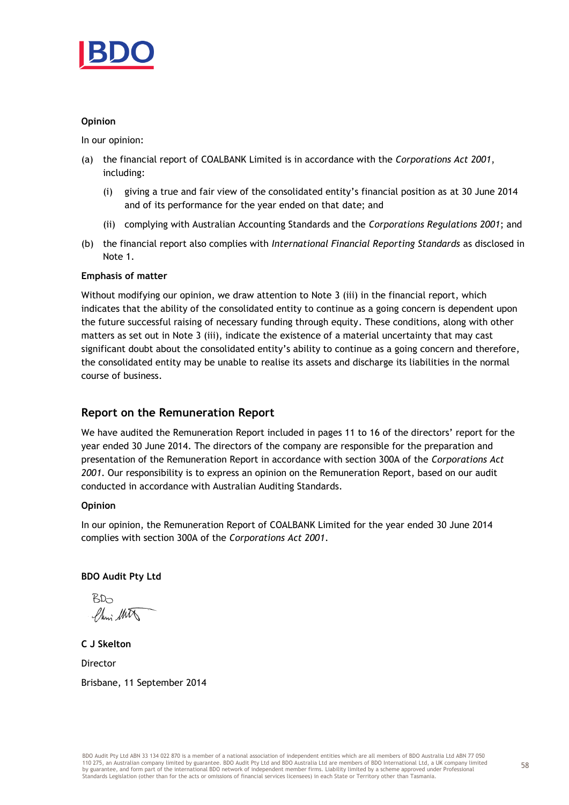

### **Opinion**

In our opinion:

- (a) the financial report of COALBANK Limited is in accordance with the *Corporations Act 2001*, including:
	- (i) giving a true and fair view of the consolidated entity's financial position as at 30 June 2014 and of its performance for the year ended on that date; and
	- (ii) complying with Australian Accounting Standards and the *Corporations Regulations 2001*; and
- (b) the financial report also complies with *International Financial Reporting Standards* as disclosed in Note 1.

### **Emphasis of matter**

Without modifying our opinion, we draw attention to Note 3 (iii) in the financial report, which indicates that the ability of the consolidated entity to continue as a going concern is dependent upon the future successful raising of necessary funding through equity. These conditions, along with other matters as set out in Note 3 (iii), indicate the existence of a material uncertainty that may cast significant doubt about the consolidated entity's ability to continue as a going concern and therefore, the consolidated entity may be unable to realise its assets and discharge its liabilities in the normal course of business.

## **Report on the Remuneration Report**

We have audited the Remuneration Report included in pages 11 to 16 of the directors' report for the year ended 30 June 2014. The directors of the company are responsible for the preparation and presentation of the Remuneration Report in accordance with section 300A of the *Corporations Act 2001*. Our responsibility is to express an opinion on the Remuneration Report, based on our audit conducted in accordance with Australian Auditing Standards.

### **Opinion**

In our opinion, the Remuneration Report of COALBANK Limited for the year ended 30 June 2014 complies with section 300A of the *Corporations Act 2001*.

**BDO Audit Pty Ltd**

 $BD<sub>0</sub>$ Phi MT

**C J Skelton** Director Brisbane, 11 September 2014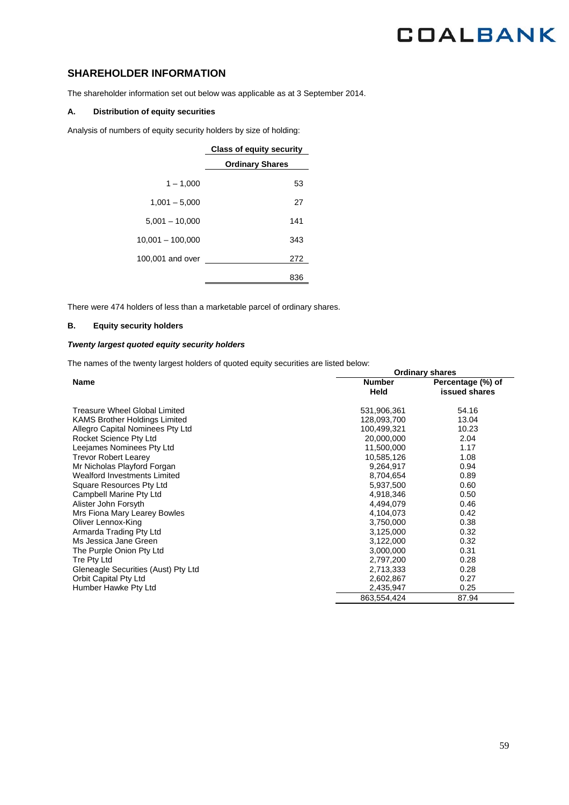### **SHAREHOLDER INFORMATION**

The shareholder information set out below was applicable as at 3 September 2014.

#### **A. Distribution of equity securities**

Analysis of numbers of equity security holders by size of holding:

|                    | <b>Class of equity security</b> |
|--------------------|---------------------------------|
|                    | <b>Ordinary Shares</b>          |
| $1 - 1,000$        | 53                              |
| $1,001 - 5,000$    | 27                              |
| $5,001 - 10,000$   | 141                             |
| $10,001 - 100,000$ | 343                             |
| 100,001 and over   | 272                             |
|                    | 836                             |

There were 474 holders of less than a marketable parcel of ordinary shares.

#### **B**. **B. Equity security holders**

### *Twenty largest quoted equity security holders*

The names of the twenty largest holders of quoted equity securities are listed below:

|                                      | <b>Ordinary shares</b> |                                    |  |  |
|--------------------------------------|------------------------|------------------------------------|--|--|
| <b>Name</b>                          | <b>Number</b><br>Held  | Percentage (%) of<br>issued shares |  |  |
| Treasure Wheel Global Limited        | 531,906,361            | 54.16                              |  |  |
| <b>KAMS Brother Holdings Limited</b> | 128,093,700            | 13.04                              |  |  |
| Allegro Capital Nominees Pty Ltd     | 100,499,321            | 10.23                              |  |  |
| Rocket Science Pty Ltd               | 20,000,000             | 2.04                               |  |  |
| Leejames Nominees Pty Ltd            | 11,500,000             | 1.17                               |  |  |
| <b>Trevor Robert Learey</b>          | 10,585,126             | 1.08                               |  |  |
| Mr Nicholas Playford Forgan          | 9,264,917              | 0.94                               |  |  |
| <b>Wealford Investments Limited</b>  | 8,704,654              | 0.89                               |  |  |
| Square Resources Pty Ltd             | 5,937,500              | 0.60                               |  |  |
| Campbell Marine Pty Ltd              | 4,918,346              | 0.50                               |  |  |
| Alister John Forsyth                 | 4,494,079              | 0.46                               |  |  |
| Mrs Fiona Mary Learey Bowles         | 4,104,073              | 0.42                               |  |  |
| Oliver Lennox-King                   | 3,750,000              | 0.38                               |  |  |
| Armarda Trading Pty Ltd              | 3,125,000              | 0.32                               |  |  |
| Ms Jessica Jane Green                | 3,122,000              | 0.32                               |  |  |
| The Purple Onion Pty Ltd             | 3,000,000              | 0.31                               |  |  |
| Tre Pty Ltd                          | 2,797,200              | 0.28                               |  |  |
| Gleneagle Securities (Aust) Pty Ltd  | 2,713,333              | 0.28                               |  |  |
| Orbit Capital Pty Ltd                | 2,602,867              | 0.27                               |  |  |
| Humber Hawke Pty Ltd                 | 2,435,947              | 0.25                               |  |  |
|                                      | 863,554,424            | 87.94                              |  |  |